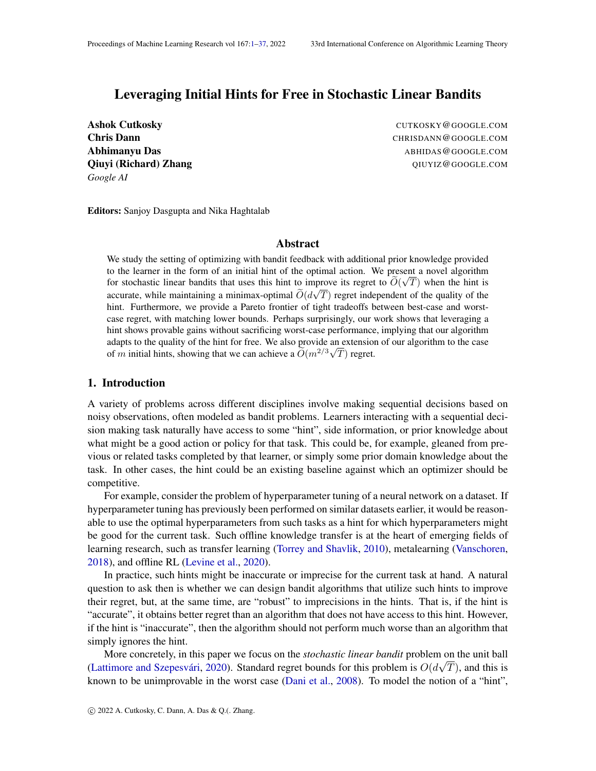## <span id="page-0-0"></span>Leveraging Initial Hints for Free in Stochastic Linear Bandits

Ashok Cutkosky **Cuthosky** CUTKOSKY @GOOGLE.COM *Google AI*

**Chris Dann** CHRISDANN @GOOGLE.COM Abhimanyu Das **Abhimanyu Das** Abhimanyu Das Abhimanyu Das Abhimanyu Das Abhimanyu Das Abhimanyu Das Abhimanyu Das Qiuyi (Richard) Zhang Qurichard (Richard)  $\mathbf{Q}$  and  $\mathbf{Q}$ 

Editors: Sanjoy Dasgupta and Nika Haghtalab

## Abstract

We study the setting of optimizing with bandit feedback with additional prior knowledge provided to the learner in the form of an initial hint of the optimal action. We present a novel algorithm for stochastic linear bandits that uses this hint to improve its regret to  $O(\sqrt{T})$  when the hint is accurate, while maintaining a minimax-optimal  $O(d\sqrt{T})$  regret independent of the quality of the hint. Furthermore, we provide a Pareto frontier of tight tradeoffs between best-case and worstcase regret, with matching lower bounds. Perhaps surprisingly, our work shows that leveraging a hint shows provable gains without sacrificing worst-case performance, implying that our algorithm adapts to the quality of the hint for free. We also provide an extension of our algorithm to the case of m initial hints, showing that we can achieve a  $\widetilde{O}(m^{2/3}\sqrt{T})$  regret.

## <span id="page-0-1"></span>1. Introduction

A variety of problems across different disciplines involve making sequential decisions based on noisy observations, often modeled as bandit problems. Learners interacting with a sequential decision making task naturally have access to some "hint", side information, or prior knowledge about what might be a good action or policy for that task. This could be, for example, gleaned from previous or related tasks completed by that learner, or simply some prior domain knowledge about the task. In other cases, the hint could be an existing baseline against which an optimizer should be competitive.

For example, consider the problem of hyperparameter tuning of a neural network on a dataset. If hyperparameter tuning has previously been performed on similar datasets earlier, it would be reasonable to use the optimal hyperparameters from such tasks as a hint for which hyperparameters might be good for the current task. Such offline knowledge transfer is at the heart of emerging fields of learning research, such as transfer learning [\(Torrey and Shavlik,](#page-15-0) [2010\)](#page-15-0), metalearning [\(Vanschoren,](#page-15-1) [2018\)](#page-15-1), and offline RL [\(Levine et al.,](#page-14-0) [2020\)](#page-14-0).

In practice, such hints might be inaccurate or imprecise for the current task at hand. A natural question to ask then is whether we can design bandit algorithms that utilize such hints to improve their regret, but, at the same time, are "robust" to imprecisions in the hints. That is, if the hint is "accurate", it obtains better regret than an algorithm that does not have access to this hint. However, if the hint is "inaccurate", then the algorithm should not perform much worse than an algorithm that simply ignores the hint.

More concretely, in this paper we focus on the *stochastic linear bandit* problem on the unit ball (Lattimore and Szepesvári, [2020\)](#page-14-1). Standard regret bounds for this problem is  $O(d\sqrt{T})$ , and this is known to be unimprovable in the worst case [\(Dani et al.,](#page-14-2) [2008\)](#page-14-2). To model the notion of a "hint",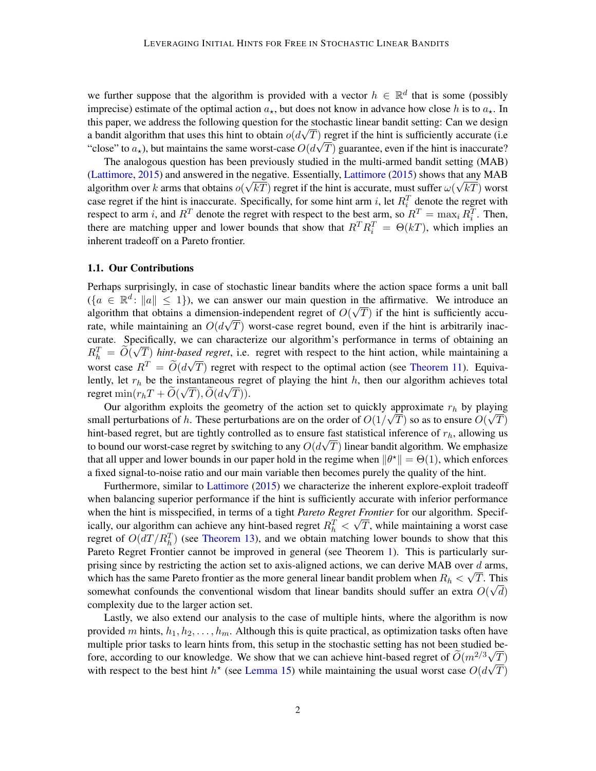we further suppose that the algorithm is provided with a vector  $h \in \mathbb{R}^d$  that is some (possibly imprecise) estimate of the optimal action  $a<sub>*</sub>$ , but does not know in advance how close h is to  $a<sub>*</sub>$ . In this paper, we address the following question for the stochastic linear bandit setting: Can we design a bandit algorithm that uses this hint to obtain  $o(d\sqrt{T})$  regret if the hint is sufficiently accurate (i.e. "close" to  $a_{\star}$ ), but maintains the same worst-case  $O(d\sqrt{T})$  guarantee, even if the hint is inaccurate?

The analogous question has been previously studied in the multi-armed bandit setting (MAB) [\(Lattimore,](#page-14-3) [2015\)](#page-14-3) and answered in the negative. Essentially, [Lattimore](#page-14-3) [\(2015\)](#page-14-3) shows that any MAB algorithm over  $k$  arms that obtains  $o(\sqrt{k}T)$  regret if the hint is accurate, must suffer  $\omega(\sqrt{k}T)$  worst case regret if the hint is inaccurate. Specifically, for some hint arm i, let  $R_i^T$  denote the regret with respect to arm *i*, and  $R^T$  denote the regret with respect to the best arm, so  $R^T = \max_i R_i^T$ . Then, there are matching upper and lower bounds that show that  $R^T R_i^T = \Theta(kT)$ , which implies an inherent tradeoff on a Pareto frontier.

## <span id="page-1-0"></span>1.1. Our Contributions

Perhaps surprisingly, in case of stochastic linear bandits where the action space forms a unit ball  $(\lbrace a \in \mathbb{R}^d : ||a|| \leq 1 \rbrace)$ , we can answer our main question in the affirmative. We introduce an algorithm that obtains a dimension-independent regret of  $O(\sqrt{T})$  if the hint is sufficiently accurate, while maintaining an  $O(d\sqrt{T})$  worst-case regret bound, even if the hint is arbitrarily inaccurate. Specifically, we can characterize our algorithm's performance in terms of obtaining an  $R_h^T = \widetilde{O}(\sqrt{T})$  *hint-based regret*, i.e. regret with respect to the hint action, while maintaining a  $m_h = O(\sqrt{T})$  nm-base<br>worst case  $R^T = \widetilde{O}(d\sqrt{T})$  $T$ ) regret with respect to the optimal action (see [Theorem 11\)](#page-9-0). Equivalently, let  $r_h$  be the instantaneous regret of playing the hint h, then our algorithm achieves total regret  $\min(r_h T + O(\sqrt{T}), O(d\sqrt{T})).$ 

Our algorithm exploits the geometry of the action set to quickly approximate  $r_h$  by playing small perturbations of h. These perturbations are on the order of  $O(1/\sqrt{T})$  so as to ensure  $O(\sqrt{T})$ hint-based regret, but are tightly controlled as to ensure fast statistical inference of  $r_h$ , allowing us to bound our worst-case regret by switching to any  $O(d\sqrt{T})$  linear bandit algorithm. We emphasize that all upper and lower bounds in our paper hold in the regime when  $\|\theta^*\| = \Theta(1)$ , which enforces a fixed signal-to-noise ratio and our main variable then becomes purely the quality of the hint.

Furthermore, similar to [Lattimore](#page-14-3) [\(2015\)](#page-14-3) we characterize the inherent explore-exploit tradeoff when balancing superior performance if the hint is sufficiently accurate with inferior performance when the hint is misspecified, in terms of a tight *Pareto Regret Frontier* for our algorithm. Specifically, our algorithm can achieve any hint-based regret  $R_h^T < \sqrt{T}$ , while maintaining a worst case regret of  $O(dT/R<sub>h</sub><sup>T</sup>)$  (see [Theorem 13\)](#page-11-0), and we obtain matching lower bounds to show that this Pareto Regret Frontier cannot be improved in general (see Theorem [1\)](#page-5-0). This is particularly surprising since by restricting the action set to axis-aligned actions, we can derive MAB over  $\frac{d}{dx}$  arms, which has the same Pareto frontier as the more general linear bandit problem when  $R_h < \sqrt{T}$ . This somewhat confounds the conventional wisdom that linear bandits should suffer an extra  $O(\sqrt{d})$ complexity due to the larger action set.

Lastly, we also extend our analysis to the case of multiple hints, where the algorithm is now provided m hints,  $h_1, h_2, \ldots, h_m$ . Although this is quite practical, as optimization tasks often have multiple prior tasks to learn hints from, this setup in the stochastic setting has not been studied before, according to our knowledge. We show that we can achieve hint-based regret of  $\widetilde{O}(m^{2/3}\sqrt{T})$ with respect to the best hint  $h^*$  (see [Lemma 15\)](#page-12-0) while maintaining the usual worst case  $O(d\sqrt{T})$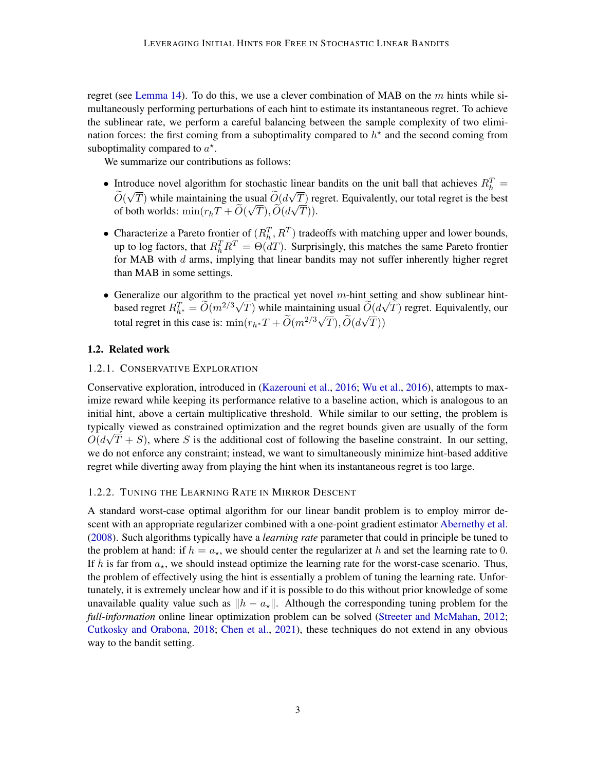regret (see [Lemma 14\)](#page-12-1). To do this, we use a clever combination of MAB on the  $m$  hints while simultaneously performing perturbations of each hint to estimate its instantaneous regret. To achieve the sublinear rate, we perform a careful balancing between the sample complexity of two elimination forces: the first coming from a suboptimality compared to  $h^*$  and the second coming from suboptimality compared to  $a^*$ .

We summarize our contributions as follows:

- Introduce novel algorithm for stochastic linear bandits on the unit ball that achieves  $R_h^T = \tilde{z}_h \sqrt{m}$  $O(\sqrt{T})$  while maintaining the usual  $O(d\sqrt{T})$  regret. Equivalently, our total regret is the best of both worlds:  $\min(r_h T + O(\sqrt{T}), O(d\sqrt{T})).$
- Characterize a Pareto frontier of  $(R_h^T, R^T)$  tradeoffs with matching upper and lower bounds, up to log factors, that  $R_h^T R^T = \Theta(dT)$ . Surprisingly, this matches the same Pareto frontier for MAB with d arms, implying that linear bandits may not suffer inherently higher regret than MAB in some settings.
- Generalize our algorithm to the practical yet novel m-hint setting and show sublinear hintbased regret  $R_{h^*}^T = \widetilde{O}(m^{2/3}\sqrt{T})$  while maintaining usual  $\widetilde{O}(d\sqrt{T})$  regret. Equivalently, our total regret in this case is: min $(r_h * T + \tilde{O}(m^{2/3}\sqrt{2}))$  $T$ ),  $O(d$  $\overline{C}$  $T))$

## <span id="page-2-0"></span>1.2. Related work

## <span id="page-2-1"></span>1.2.1. CONSERVATIVE EXPLORATION

Conservative exploration, introduced in [\(Kazerouni et al.,](#page-14-4) [2016;](#page-14-4) [Wu et al.,](#page-15-2) [2016\)](#page-15-2), attempts to maximize reward while keeping its performance relative to a baseline action, which is analogous to an initial hint, above a certain multiplicative threshold. While similar to our setting, the problem is typically viewed as constrained optimization and the regret bounds given are usually of the form  $O(d\sqrt{T} + S)$ , where S is the additional cost of following the baseline constraint. In our setting, we do not enforce any constraint; instead, we want to simultaneously minimize hint-based additive regret while diverting away from playing the hint when its instantaneous regret is too large.

## <span id="page-2-2"></span>1.2.2. TUNING THE LEARNING RATE IN MIRROR DESCENT

A standard worst-case optimal algorithm for our linear bandit problem is to employ mirror descent with an appropriate regularizer combined with a one-point gradient estimator [Abernethy et al.](#page-13-0) [\(2008\)](#page-13-0). Such algorithms typically have a *learning rate* parameter that could in principle be tuned to the problem at hand: if  $h = a_{\star}$ , we should center the regularizer at h and set the learning rate to 0. If h is far from  $a_{\star}$ , we should instead optimize the learning rate for the worst-case scenario. Thus, the problem of effectively using the hint is essentially a problem of tuning the learning rate. Unfortunately, it is extremely unclear how and if it is possible to do this without prior knowledge of some unavailable quality value such as  $\|h - a_{\star}\|$ . Although the corresponding tuning problem for the *full-information* online linear optimization problem can be solved [\(Streeter and McMahan,](#page-15-3) [2012;](#page-15-3) [Cutkosky and Orabona,](#page-14-5) [2018;](#page-14-5) [Chen et al.,](#page-14-6) [2021\)](#page-14-6), these techniques do not extend in any obvious way to the bandit setting.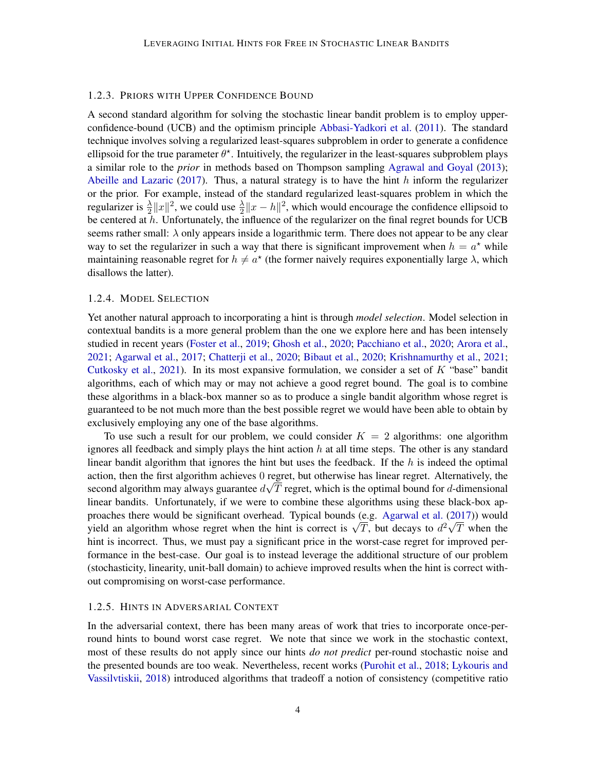#### <span id="page-3-0"></span>1.2.3. PRIORS WITH UPPER CONFIDENCE BOUND

A second standard algorithm for solving the stochastic linear bandit problem is to employ upperconfidence-bound (UCB) and the optimism principle [Abbasi-Yadkori et al.](#page-13-1) [\(2011\)](#page-13-1). The standard technique involves solving a regularized least-squares subproblem in order to generate a confidence ellipsoid for the true parameter  $\theta^*$ . Intuitively, the regularizer in the least-squares subproblem plays a similar role to the *prior* in methods based on Thompson sampling [Agrawal and Goyal](#page-13-2) [\(2013\)](#page-13-2); [Abeille and Lazaric](#page-13-3) [\(2017\)](#page-13-3). Thus, a natural strategy is to have the hint  $h$  inform the regularizer or the prior. For example, instead of the standard regularized least-squares problem in which the regularizer is  $\frac{\lambda}{2}||x||^2$ , we could use  $\frac{\lambda}{2}||x-h||^2$ , which would encourage the confidence ellipsoid to be centered at  $h$ . Unfortunately, the influence of the regularizer on the final regret bounds for UCB seems rather small:  $\lambda$  only appears inside a logarithmic term. There does not appear to be any clear way to set the regularizer in such a way that there is significant improvement when  $h = a^*$  while maintaining reasonable regret for  $h \neq a^*$  (the former naively requires exponentially large  $\lambda$ , which disallows the latter).

## <span id="page-3-1"></span>1.2.4. MODEL SELECTION

Yet another natural approach to incorporating a hint is through *model selection*. Model selection in contextual bandits is a more general problem than the one we explore here and has been intensely studied in recent years [\(Foster et al.,](#page-14-7) [2019;](#page-14-7) [Ghosh et al.,](#page-14-8) [2020;](#page-14-8) [Pacchiano et al.,](#page-14-9) [2020;](#page-14-9) [Arora et al.,](#page-13-4) [2021;](#page-13-4) [Agarwal et al.,](#page-13-5) [2017;](#page-13-5) [Chatterji et al.,](#page-13-6) [2020;](#page-13-6) [Bibaut et al.,](#page-13-7) [2020;](#page-13-7) [Krishnamurthy et al.,](#page-14-10) [2021;](#page-14-10) [Cutkosky et al.,](#page-14-11) [2021\)](#page-14-11). In its most expansive formulation, we consider a set of  $K$  "base" bandit algorithms, each of which may or may not achieve a good regret bound. The goal is to combine these algorithms in a black-box manner so as to produce a single bandit algorithm whose regret is guaranteed to be not much more than the best possible regret we would have been able to obtain by exclusively employing any one of the base algorithms.

To use such a result for our problem, we could consider  $K = 2$  algorithms: one algorithm ignores all feedback and simply plays the hint action  $h$  at all time steps. The other is any standard linear bandit algorithm that ignores the hint but uses the feedback. If the  $h$  is indeed the optimal action, then the first algorithm achieves  $0$  regret, but otherwise has linear regret. Alternatively, the second algorithm may always guarantee  $d\sqrt{T}$  regret, which is the optimal bound for d-dimensional linear bandits. Unfortunately, if we were to combine these algorithms using these black-box ap-proaches there would be significant overhead. Typical bounds (e.g. [Agarwal et al.](#page-13-5) [\(2017\)](#page-13-5)) would proacnes there would be significant overhead. Typical bounds (e.g. Agarwal et al. (2017)) would<br>yield an algorithm whose regret when the hint is correct is  $\sqrt{T}$ , but decays to  $d^2\sqrt{T}$  when the hint is incorrect. Thus, we must pay a significant price in the worst-case regret for improved performance in the best-case. Our goal is to instead leverage the additional structure of our problem (stochasticity, linearity, unit-ball domain) to achieve improved results when the hint is correct without compromising on worst-case performance.

#### <span id="page-3-2"></span>1.2.5. HINTS IN ADVERSARIAL CONTEXT

In the adversarial context, there has been many areas of work that tries to incorporate once-perround hints to bound worst case regret. We note that since we work in the stochastic context, most of these results do not apply since our hints *do not predict* per-round stochastic noise and the presented bounds are too weak. Nevertheless, recent works [\(Purohit et al.,](#page-14-12) [2018;](#page-14-12) [Lykouris and](#page-14-13) [Vassilvtiskii,](#page-14-13) [2018\)](#page-14-13) introduced algorithms that tradeoff a notion of consistency (competitive ratio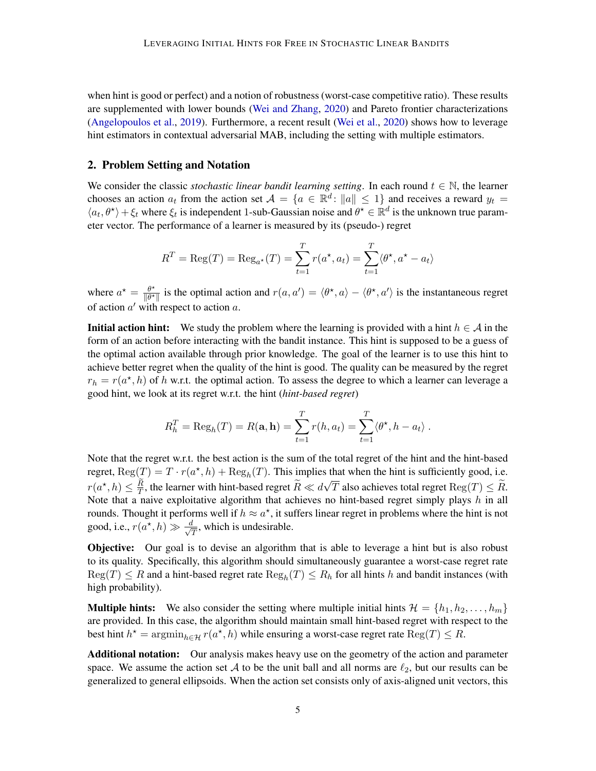when hint is good or perfect) and a notion of robustness (worst-case competitive ratio). These results are supplemented with lower bounds [\(Wei and Zhang,](#page-15-4) [2020\)](#page-15-4) and Pareto frontier characterizations [\(Angelopoulos et al.,](#page-13-8) [2019\)](#page-13-8). Furthermore, a recent result [\(Wei et al.,](#page-15-5) [2020\)](#page-15-5) shows how to leverage hint estimators in contextual adversarial MAB, including the setting with multiple estimators.

## <span id="page-4-0"></span>2. Problem Setting and Notation

We consider the classic *stochastic linear bandit learning setting*. In each round  $t \in \mathbb{N}$ , the learner chooses an action  $a_t$  from the action set  $\mathcal{A} = \{a \in \mathbb{R}^d : ||a|| \leq 1\}$  and receives a reward  $y_t =$  $\langle a_t, \theta^* \rangle + \xi_t$  where  $\xi_t$  is independent 1-sub-Gaussian noise and  $\theta^* \in \mathbb{R}^d$  is the unknown true parameter vector. The performance of a learner is measured by its (pseudo-) regret

$$
R^{T} = \text{Reg}(T) = \text{Reg}_{a^{*}}(T) = \sum_{t=1}^{T} r(a^{*}, a_{t}) = \sum_{t=1}^{T} \langle \theta^{*}, a^{*} - a_{t} \rangle
$$

where  $a^* = \frac{\theta^*}{\|\theta^*\|}$  $\frac{\theta^*}{\|\theta^*\|}$  is the optimal action and  $r(a, a') = \langle \theta^*, a \rangle - \langle \theta^*, a' \rangle$  is the instantaneous regret of action  $a'$  with respect to action  $a$ .

**Initial action hint:** We study the problem where the learning is provided with a hint  $h \in A$  in the form of an action before interacting with the bandit instance. This hint is supposed to be a guess of the optimal action available through prior knowledge. The goal of the learner is to use this hint to achieve better regret when the quality of the hint is good. The quality can be measured by the regret  $r_h = r(a^*, h)$  of h w.r.t. the optimal action. To assess the degree to which a learner can leverage a good hint, we look at its regret w.r.t. the hint (*hint-based regret*)

$$
R_h^T = \text{Reg}_h(T) = R(\mathbf{a}, \mathbf{h}) = \sum_{t=1}^T r(h, a_t) = \sum_{t=1}^T \langle \theta^*, h - a_t \rangle.
$$

Note that the regret w.r.t. the best action is the sum of the total regret of the hint and the hint-based regret,  $\text{Reg}(T) = T \cdot r(a^*, h) + \text{Reg}_h(T)$ . This implies that when the hint is sufficiently good, i.e.  $r(a^*, h) \leq \frac{R}{T}$ , the learner with hint-based regret  $\widetilde{R} \ll d$ √ T also achieves total regret  $\text{Reg}(T) \leq R$ . Note that a naive exploitative algorithm that achieves no hint-based regret simply plays  $h$  in all rounds. Thought it performs well if  $h \approx a^*$ , it suffers linear regret in problems where the hint is not good, i.e.,  $r(a^*, h) \gg \frac{d}{d}$  $\frac{d}{T}$ , which is undesirable.

**Objective:** Our goal is to devise an algorithm that is able to leverage a hint but is also robust to its quality. Specifically, this algorithm should simultaneously guarantee a worst-case regret rate  $Reg(T) \leq R$  and a hint-based regret rate  $Reg_h(T) \leq R_h$  for all hints h and bandit instances (with high probability).

**Multiple hints:** We also consider the setting where multiple initial hints  $\mathcal{H} = \{h_1, h_2, \ldots, h_m\}$ are provided. In this case, the algorithm should maintain small hint-based regret with respect to the best hint  $h^* = \operatorname{argmin}_{h \in \mathcal{H}} r(a^*, h)$  while ensuring a worst-case regret rate  $\text{Reg}(T) \leq R$ .

Additional notation: Our analysis makes heavy use on the geometry of the action and parameter space. We assume the action set A to be the unit ball and all norms are  $\ell_2$ , but our results can be generalized to general ellipsoids. When the action set consists only of axis-aligned unit vectors, this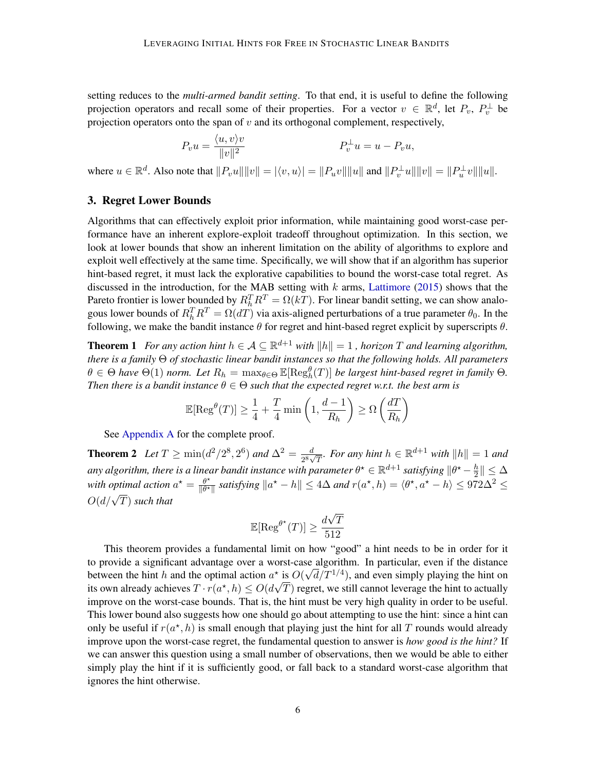setting reduces to the *multi-armed bandit setting*. To that end, it is useful to define the following projection operators and recall some of their properties. For a vector  $v \in \mathbb{R}^d$ , let  $P_v$ ,  $P_v^{\perp}$  be projection operators onto the span of  $v$  and its orthogonal complement, respectively,

$$
P_v u = \frac{\langle u, v \rangle v}{\|v\|^2} \qquad P_v^{\perp} u = u - P_v u,
$$

where  $u \in \mathbb{R}^d$ . Also note that  $||P_vu|| ||v|| = |\langle v, u \rangle| = ||P_u v|| ||u||$  and  $||P_v^{\perp}u|| ||v|| = ||P_u^{\perp}v|| ||u||$ .

## <span id="page-5-2"></span>3. Regret Lower Bounds

Algorithms that can effectively exploit prior information, while maintaining good worst-case performance have an inherent explore-exploit tradeoff throughout optimization. In this section, we look at lower bounds that show an inherent limitation on the ability of algorithms to explore and exploit well effectively at the same time. Specifically, we will show that if an algorithm has superior hint-based regret, it must lack the explorative capabilities to bound the worst-case total regret. As discussed in the introduction, for the MAB setting with  $k$  arms, [Lattimore](#page-14-3) [\(2015\)](#page-14-3) shows that the Pareto frontier is lower bounded by  $R_h^T R^T = \Omega(kT)$ . For linear bandit setting, we can show analogous lower bounds of  $R_h^T R^T = \Omega(dT)$  via axis-aligned perturbations of a true parameter  $\theta_0$ . In the following, we make the bandit instance  $\theta$  for regret and hint-based regret explicit by superscripts  $\theta$ .

<span id="page-5-0"></span>**Theorem 1** For any action hint  $h \in \mathcal{A} \subseteq \mathbb{R}^{d+1}$  with  $||h|| = 1$ , horizon T and learning algorithm, *there is a family* Θ *of stochastic linear bandit instances so that the following holds. All parameters*  $\theta \in \Theta$  have  $\Theta(1)$  norm. Let  $R_h = \max_{\theta \in \Theta} \mathbb{E}[\text{Reg}_h^{\theta}(T)]$  be largest hint-based regret in family  $\Theta$ . *Then there is a bandit instance*  $\theta \in \Theta$  *such that the expected regret w.r.t. the best arm is* 

$$
\mathbb{E}[\mathrm{Reg}^{\theta}(T)] \ge \frac{1}{4} + \frac{T}{4} \min\left(1, \frac{d-1}{R_h}\right) \ge \Omega\left(\frac{dT}{R_h}\right)
$$

See [Appendix A](#page-17-0) for the complete proof.

<span id="page-5-1"></span>**Theorem 2** Let  $T \ge \min(d^2/2^8, 2^6)$  and  $\Delta^2 = \frac{d}{2^8}$ .  $\frac{d}{2^8\sqrt{T}}$ *. For any hint*  $h \in \mathbb{R}^{d+1}$  *with*  $||h|| = 1$  *and* any algorithm, there is a linear bandit instance with parameter  $\theta^\star \in \mathbb{R}^{d+1}$  satisfying  $\|\theta^\star - \frac{h}{2}\|$  $\frac{h}{2}$   $\parallel \ \leq \Delta$ with optimal action  $a^* = \frac{\theta^*}{\|\theta^*\|}$  $\frac{\theta^{\star}}{\|\theta^{\star}\|}$  satisfying  $\|a^{\star} - h\| \leq 4\Delta$  and  $r(a^{\star}, h) = \langle \theta^{\star}, a^{\star} - h \rangle \leq 972\Delta^2 \leq$  $O(d/\sqrt{T})$  such that

$$
\mathbb{E}[\text{Reg}^{\theta^{\star}}(T)] \ge \frac{d\sqrt{T}}{512}
$$

This theorem provides a fundamental limit on how "good" a hint needs to be in order for it to provide a significant advantage over a worst-case algorithm. In particular, even if the distance between the hint h and the optimal action  $a^*$  is  $O(\sqrt{d}/T^{1/4})$ , and even simply playing the hint on its own already achieves  $T\cdot r(a^\star,h)\leq O(d\sqrt{T})$  regret, we still cannot leverage the hint to actually improve on the worst-case bounds. That is, the hint must be very high quality in order to be useful. This lower bound also suggests how one should go about attempting to use the hint: since a hint can only be useful if  $r(a^*, h)$  is small enough that playing just the hint for all T rounds would already improve upon the worst-case regret, the fundamental question to answer is *how good is the hint?* If we can answer this question using a small number of observations, then we would be able to either simply play the hint if it is sufficiently good, or fall back to a standard worst-case algorithm that ignores the hint otherwise.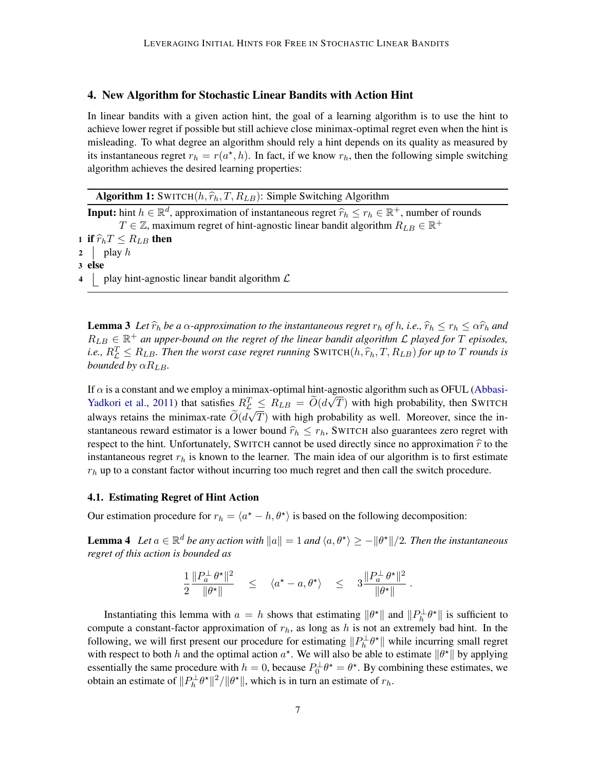## <span id="page-6-1"></span>4. New Algorithm for Stochastic Linear Bandits with Action Hint

In linear bandits with a given action hint, the goal of a learning algorithm is to use the hint to achieve lower regret if possible but still achieve close minimax-optimal regret even when the hint is misleading. To what degree an algorithm should rely a hint depends on its quality as measured by its instantaneous regret  $r_h = r(a^*, h)$ . In fact, if we know  $r_h$ , then the following simple switching algorithm achieves the desired learning properties:

|  |  |  |  | <b>Algorithm 1:</b> SWITCH( $h, \hat{r}_h, T, R_{LB}$ ): Simple Switching Algorithm                                                                                                                                           |  |  |
|--|--|--|--|-------------------------------------------------------------------------------------------------------------------------------------------------------------------------------------------------------------------------------|--|--|
|  |  |  |  | . The contract of the contract of the contract of the contract of the contract of the contract of the contract of the contract of the contract of the contract of the contract of the contract of the contract of the contrac |  |  |

**Input:** hint  $h \in \mathbb{R}^d$ , approximation of instantaneous regret  $\hat{r}_h \leq r_h \in \mathbb{R}^+$ , number of rounds  $T \in \mathbb{Z}$  maximum regret of hint agnostic linear bandit algorithm  $P_{\text{max}} \in \mathbb{R}^+$  $T \in \mathbb{Z}$ , maximum regret of hint-agnostic linear bandit algorithm  $R_{LB} \in \mathbb{R}^+$ 1 if  $\widehat{r}_h T \leq R_{LB}$  then 2 | play  $h$ 3 else

<span id="page-6-0"></span>4 | play hint-agnostic linear bandit algorithm  $\mathcal L$ 

**Lemma 3** Let  $\hat{r}_h$  be a  $\alpha$ -approximation to the instantaneous regret  $r_h$  of h, i.e.,  $\hat{r}_h \leq r_h \leq \alpha \hat{r}_h$  and  $R_{LB} \in \mathbb{R}^+$  an upper-bound on the regret of the linear bandit algorithm  $\mathcal L$  played for T episodes, *i.e.,*  $R_L^T \leq R_{LB}$ . Then the worst case regret running  $\text{SWITCH}(h, \hat{r}_h, T, R_{LB})$  *for up to* T *rounds is*<br>bounded by  $\alpha R_{\text{max}}$ *bounded by*  $\alpha R_{LB}$ *.* 

If  $\alpha$  is a constant and we employ a minimax-optimal hint-agnostic algorithm such as OFUL [\(Abbasi-](#page-13-1)[Yadkori et al.,](#page-13-1) [2011\)](#page-13-1) that satisfies  $R_L^T \leq R_{LB} = \widetilde{O}(d\sqrt{T})$  with high probability, then SWITCH always retains the minimax-rate  $O(d\sqrt{T})$  with high probability as well. Moreover, since the instantaneous reward estimator is a lower bound  $\hat{r}_h \leq r_h$ , SWITCH also guarantees zero regret with respect to the hint. Unfortunately, SWITCH cannot be used directly since no approximation  $\hat{r}$  to the instantaneous regret  $r<sub>h</sub>$  is known to the learner. The main idea of our algorithm is to first estimate  $r_h$  up to a constant factor without incurring too much regret and then call the switch procedure.

#### <span id="page-6-2"></span>4.1. Estimating Regret of Hint Action

<span id="page-6-3"></span>Our estimation procedure for  $r_h = \langle a^* - h, \theta^* \rangle$  is based on the following decomposition:

**Lemma 4** Let  $a \in \mathbb{R}^d$  be any action with  $||a|| = 1$  and  $\langle a, \theta^* \rangle \ge -||\theta^*||/2$ . Then the instantaneous *regret of this action is bounded as*

$$
\frac{1}{2}\frac{\|P_a^\perp \, \theta^\star\|^2}{\| \theta^\star\|} \quad \le \quad \langle a^\star - a, \theta^\star\rangle \quad \le \quad 3\frac{\|P_a^\perp \, \theta^\star\|^2}{\| \theta^\star\|} \; .
$$

Instantiating this lemma with  $a = h$  shows that estimating  $\|\theta^*\|$  and  $\|P_h^{\perp}\theta^*\|$  is sufficient to compute a constant-factor approximation of  $r<sub>h</sub>$ , as long as h is not an extremely bad hint. In the following, we will first present our procedure for estimating  $||P_h^{\perp}\theta^*||$  while incurring small regret with respect to both h and the optimal action  $a^*$ . We will also be able to estimate  $\|\theta^*\|$  by applying essentially the same procedure with  $h = 0$ , because  $P_0^{\perp} \theta^* = \theta^*$ . By combining these estimates, we obtain an estimate of  $||P_h^{\perp} \theta^*||^2 / ||\theta^*||$ , which is in turn an estimate of  $r_h$ .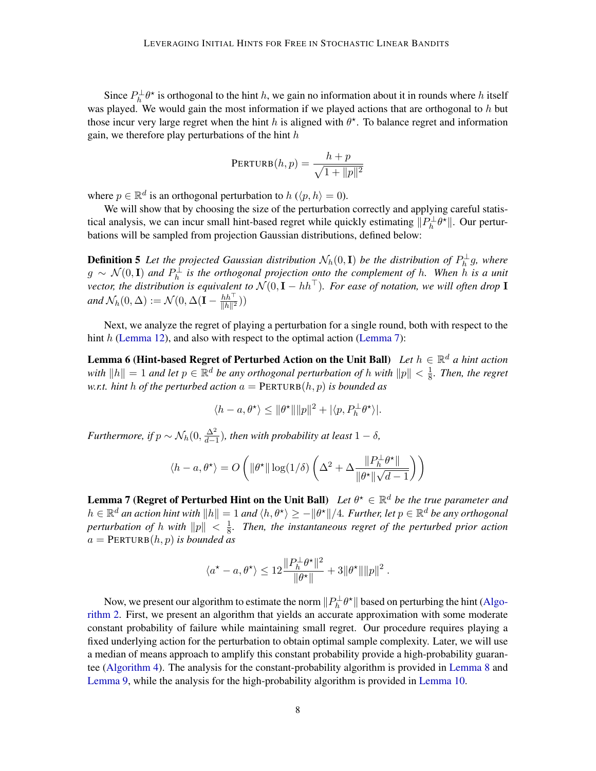Since  $P_h^{\perp}\theta^*$  is orthogonal to the hint h, we gain no information about it in rounds where h itself was played. We would gain the most information if we played actions that are orthogonal to  $h$  but those incur very large regret when the hint h is aligned with  $\theta^*$ . To balance regret and information gain, we therefore play perturbations of the hint  $h$ 

$$
\text{PERTURB}(h, p) = \frac{h + p}{\sqrt{1 + ||p||^2}}
$$

where  $p \in \mathbb{R}^d$  is an orthogonal perturbation to  $h \left( \langle p, h \rangle = 0 \right)$ .

We will show that by choosing the size of the perturbation correctly and applying careful statistical analysis, we can incur small hint-based regret while quickly estimating  $||P_h^{\perp}\theta^*||$ . Our perturbations will be sampled from projection Gaussian distributions, defined below:

**Definition 5** Let the projected Gaussian distribution  $\mathcal{N}_h(0, \mathbf{I})$  be the distribution of  $P_h^{\perp} g$ , where g ∼ N (0, I) *and* P ⊥ h *is the orthogonal projection onto the complement of* h*. When* h *is a unit vector, the distribution is equivalent to*  $N(0, \mathbf{I} - h h^{\top})$ *. For ease of notation, we will often drop* **I** *and*  $\mathcal{N}_h(0,\Delta) := \mathcal{N}(0,\Delta(\mathbf{I}-\frac{hh^\top}{||h||^2}))$  $\frac{hh}{\|h\|^2}$ ))

Next, we analyze the regret of playing a perturbation for a single round, both with respect to the hint  $h$  [\(Lemma 12\)](#page-11-1), and also with respect to the optimal action [\(Lemma 7\)](#page-7-0):

**Lemma 6 (Hint-based Regret of Perturbed Action on the Unit Ball)** *Let*  $h \in \mathbb{R}^d$  *a hint action with*  $||h|| = 1$  *and let*  $p \in \mathbb{R}^d$  *be any orthogonal perturbation of* h *with*  $||p|| < \frac{1}{8}$  $\frac{1}{8}$ . Then, the regret *w.r.t. hint* h *of the perturbed action*  $a = PERTURB(h, p)$  *is bounded as* 

<span id="page-7-2"></span>
$$
\langle h-a, \theta^\star \rangle \leq \|\theta^\star\| \|p\|^2 + |\langle p, P_h^{\perp} \theta^\star \rangle|.
$$

*Furthermore, if*  $p \sim \mathcal{N}_h(0, \frac{\Delta^2}{d-1})$  $\frac{\Delta^2}{d-1}$ ), then with probability at least  $1-\delta$ ,

$$
\langle h-a, \theta^\star \rangle = O\left(\|\theta^\star\| \log(1/\delta) \left(\Delta^2 + \Delta\frac{\|P_h^\perp \theta^\star\|}{\|\theta^\star\| \sqrt{d-1}} \right) \right)
$$

<span id="page-7-0"></span>**Lemma 7 (Regret of Perturbed Hint on the Unit Ball)** Let  $\theta^{\star} \in \mathbb{R}^d$  be the true parameter and  $h \in \mathbb{R}^d$  an action hint with  $||h|| = 1$  and  $\langle h, \theta^{\star} \rangle \ge -||\theta^{\star}||/4$ . Further, let  $p \in \mathbb{R}^d$  be any orthogonal *perturbation of h with*  $||p|| < \frac{1}{8}$  $\frac{1}{8}$ . Then, the instantaneous regret of the perturbed prior action  $a = PERTURB(h, p)$  *is bounded as* 

$$
\langle a^\star-a, \theta^\star \rangle \leq 12 \frac{\|P_h^\perp \theta^\star\|^2}{\|\theta^\star\|} + 3 \|\theta^\star\| \|p\|^2 \; .
$$

<span id="page-7-1"></span>Now, we present our algorithm to estimate the norm  $\|P_h^{\perp}\theta^{\star}\|$  based on perturbing the hint [\(Algo](#page-8-0)[rithm 2.](#page-8-0) First, we present an algorithm that yields an accurate approximation with some moderate constant probability of failure while maintaining small regret. Our procedure requires playing a fixed underlying action for the perturbation to obtain optimal sample complexity. Later, we will use a median of means approach to amplify this constant probability provide a high-probability guarantee [\(Algorithm 4\)](#page-28-0). The analysis for the constant-probability algorithm is provided in [Lemma 8](#page-7-1) and [Lemma 9,](#page-8-1) while the analysis for the high-probability algorithm is provided in [Lemma 10.](#page-8-2)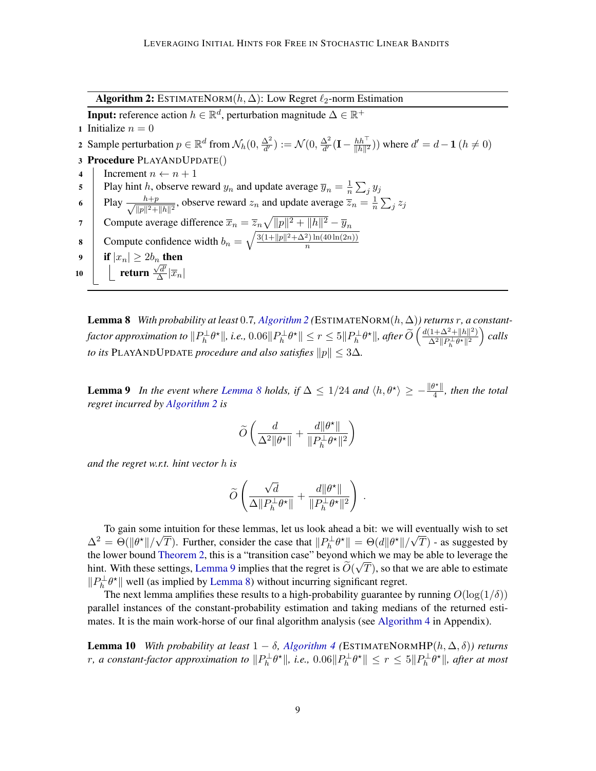Algorithm 2: ESTIMATENORM $(h, \Delta)$ : Low Regret  $\ell_2$ -norm Estimation

**Input:** reference action  $h \in \mathbb{R}^d$ , perturbation magnitude  $\Delta \in \mathbb{R}^+$ 

1 Initialize  $n = 0$ 

2 Sample perturbation  $p \in \mathbb{R}^d$  from  $\mathcal{N}_h(0, \frac{\Delta^2}{d})$  $\frac{\Delta^2}{d'} ) := \mathcal{N}(0, \frac{\Delta^2}{d'}$  $\frac{\Delta^2}{d'}(\mathbf{I}-\frac{hh^\top}{\|h\|^2}$  $\frac{hh^+}{\|h\|^2}$ )) where  $d'=d-1$   $(h \neq 0)$ 

- 3 Procedure PLAYANDUPDATE()
- 4 Increment  $n \leftarrow n + 1$

5 Play hint h, observe reward  $y_n$  and update average  $\overline{y}_n = \frac{1}{n}$  $\frac{1}{n}\sum_j y_j$ 

- 6 Play  $\frac{h+p}{\sqrt{1-h^2}}$  $\frac{h+p}{\|p\|^2 + \|h\|^2}$ , observe reward  $z_n$  and update average  $\overline{z}_n = \frac{1}{n}$  $\frac{1}{n}\sum_j z_j$
- 7 Compute average difference  $\overline{x}_n = \overline{z}_n \sqrt{\|p\|^2 + \|h\|^2} \overline{y}_n$ 8 Compute confidence width  $b_n = \sqrt{\frac{3(1+||p||^2 + \Delta^2) \ln(40 \ln(2n))}{n}}$
- 9 if  $|x_n| \geq 2b_n$  then

 $\frac{\sqrt{d'}}{\Delta}|\overline{x}_n|$ 

10 **return**  $\frac{\sqrt{d'}}{\Delta}$ 

<span id="page-8-0"></span>**Lemma 8** *With probability at least* 0.7, *[Algorithm 2](#page-8-0)* (ESTIMATENORM $(h, \Delta)$ ) returns r, a constant- $\textit{factor approximation to } \|P_h^{\perp}\theta^{\star}\|,$  i.e.,  $0.06\|P_h^{\perp}\theta^{\star}\| \leq r \leq 5\|P_h^{\perp}\theta^{\star}\|,$  after  $\widetilde{O}\left(\frac{d(1+\Delta^2+\|h\|^2)}{\Delta^2\|P_h^{\perp}\theta^{\star}\|^2}\right)$  $\frac{(1+\Delta^2+\|h\|^2)}{\Delta^2\|P_h^\perp\theta^\star\|^2}$  calls *to its* PLAYANDUPDATE *procedure and also satisfies*  $||p|| \leq 3\Delta$ 

 $\overline{n}$ 

<span id="page-8-1"></span>**Lemma 9** *In the event where [Lemma 8](#page-7-1) holds, if*  $\Delta \leq 1/24$  *and*  $\langle h, \theta^* \rangle \geq -\frac{\|\theta^*\|}{4}$  $\frac{f''||}{4}$ , then the total *regret incurred by [Algorithm 2](#page-8-0) is*

$$
\widetilde{O}\left(\frac{d}{\Delta^2\|\theta^\star\|} + \frac{d\|\theta^\star\|}{\|P_h^\perp\theta^\star\|^2}\right)
$$

*and the regret w.r.t. hint vector* h *is*

$$
\widetilde{O}\left(\frac{\sqrt{d}}{\Delta \|P_h^{\perp}\theta^{\star}\|}+\frac{d\|\theta^{\star}\|}{\|P_h^{\perp}\theta^{\star}\|^2}\right)\;.
$$

To gain some intuition for these lemmas, let us look ahead a bit: we will eventually wish to set  $\Delta^2 = \Theta(||\theta^*||/\sqrt{T})$ . Further, consider the case that  $||P_h^{\perp}\theta^*|| = \Theta(d||\theta^*||/\sqrt{T})$  - as suggested by the lower bound [Theorem 2,](#page-5-1) this is a "transition case" beyond which we may be able to leverage the hint. With these settings, [Lemma 9](#page-8-1) implies that the regret is  $O(\sqrt{T})$ , so that we are able to estimate  $||P_h^{\perp}\theta^{\star}||$  well (as implied by [Lemma 8\)](#page-7-1) without incurring significant regret.

The next lemma amplifies these results to a high-probability guarantee by running  $O(\log(1/\delta))$ parallel instances of the constant-probability estimation and taking medians of the returned estimates. It is the main work-horse of our final algorithm analysis (see [Algorithm 4](#page-28-0) in Appendix).

<span id="page-8-2"></span>**Lemma 10** *With probability at least*  $1 - \delta$ , *[Algorithm 4](#page-28-0)* (ESTIMATENORMHP $(h, \Delta, \delta)$ ) returns r, a constant-factor approximation to  $\|P_h^{\perp}\theta^{\star}\|$ , i.e.,  $0.06\|P_h^{\perp}\theta^{\star}\|\leq r\leq 5\|P_h^{\perp}\theta^{\star}\|$ , after at most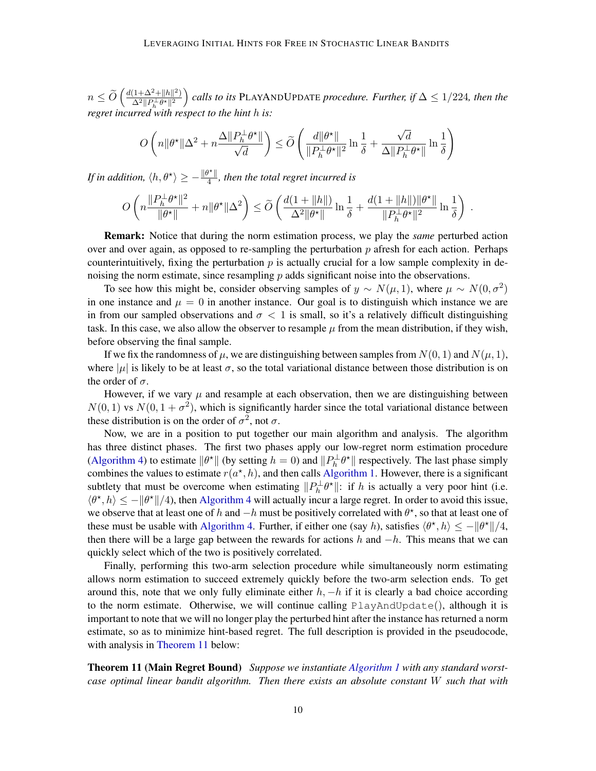$n \leq \widetilde{O}\left(\frac{d(1+\Delta^2+\|h\|^2)}{\Delta^2 \|P_h^\perp \theta^\star\|^2} \right)$  $\frac{(1+\Delta^2+\|h\|^2)}{\Delta^2\|P_h^{\perp}\theta^{\star}\|^2}$  calls to its PLAYANDUPDATE *procedure. Further, if* ∆ ≤ 1/224*, then the regret incurred with respect to the hint* h *is:*

$$
O\left(n\|\theta^{\star}\|\Delta^2+n\frac{\Delta\|P_h^{\perp}\theta^{\star}\|}{\sqrt{d}}\right)\leq \widetilde{O}\left(\frac{d\|\theta^{\star}\|}{\|P_h^{\perp}\theta^{\star}\|^2}\ln{\frac{1}{\delta}}+\frac{\sqrt{d}}{\Delta\|P_h^{\perp}\theta^{\star}\|}\ln{\frac{1}{\delta}}\right)
$$

*If in addition,*  $\langle h, \theta^{\star} \rangle \geq -\frac{\|\theta^{\star}\|}{4}$  $\frac{f''\parallel}{4}$ , then the total regret incurred is

$$
O\left(n\frac{\|P_h^{\perp}\theta^{\star}\|^2}{\|\theta^{\star}\|}+n\|\theta^{\star}\|\Delta^2\right)\leq \widetilde{O}\left(\frac{d(1+\|h\|)}{\Delta^2\|\theta^{\star}\|}\ln\frac{1}{\delta}+\frac{d(1+\|h\|)\|\theta^{\star}\|}{\|P_h^{\perp}\theta^{\star}\|^2}\ln\frac{1}{\delta}\right)\,.
$$

Remark: Notice that during the norm estimation process, we play the *same* perturbed action over and over again, as opposed to re-sampling the perturbation  $p$  afresh for each action. Perhaps counterintuitively, fixing the perturbation  $p$  is actually crucial for a low sample complexity in denoising the norm estimate, since resampling  $p$  adds significant noise into the observations.

To see how this might be, consider observing samples of  $y \sim N(\mu, 1)$ , where  $\mu \sim N(0, \sigma^2)$ in one instance and  $\mu = 0$  in another instance. Our goal is to distinguish which instance we are in from our sampled observations and  $\sigma < 1$  is small, so it's a relatively difficult distinguishing task. In this case, we also allow the observer to resample  $\mu$  from the mean distribution, if they wish, before observing the final sample.

If we fix the randomness of  $\mu$ , we are distinguishing between samples from  $N(0, 1)$  and  $N(\mu, 1)$ , where  $|\mu|$  is likely to be at least  $\sigma$ , so the total variational distance between those distribution is on the order of  $\sigma$ .

However, if we vary  $\mu$  and resample at each observation, then we are distinguishing between  $N(0, 1)$  vs  $N(0, 1 + \sigma^2)$ , which is significantly harder since the total variational distance between these distribution is on the order of  $\sigma^2$ , not  $\sigma$ .

Now, we are in a position to put together our main algorithm and analysis. The algorithm has three distinct phases. The first two phases apply our low-regret norm estimation procedure [\(Algorithm 4\)](#page-28-0) to estimate  $\|\theta^*\|$  (by setting  $h = 0$ ) and  $\|P_h^{\perp}\theta^*\|$  respectively. The last phase simply combines the values to estimate  $r(a^*, h)$ , and then calls [Algorithm 1.](#page-6-0) However, there is a significant subtlety that must be overcome when estimating  $||P_h^{\perp} \theta^*||$ : if h is actually a very poor hint (i.e.  $\langle \theta^*, h \rangle \le -\|\theta^*\|/4$ , then [Algorithm 4](#page-28-0) will actually incur a large regret. In order to avoid this issue, we observe that at least one of h and  $-h$  must be positively correlated with  $\theta^*$ , so that at least one of these must be usable with [Algorithm 4.](#page-28-0) Further, if either one (say h), satisfies  $\langle \theta^*, h \rangle \le -||\theta^*||/4$ , then there will be a large gap between the rewards for actions h and  $-h$ . This means that we can quickly select which of the two is positively correlated.

Finally, performing this two-arm selection procedure while simultaneously norm estimating allows norm estimation to succeed extremely quickly before the two-arm selection ends. To get around this, note that we only fully eliminate either  $h, -h$  if it is clearly a bad choice according to the norm estimate. Otherwise, we will continue calling PlayAndUpdate(), although it is important to note that we will no longer play the perturbed hint after the instance has returned a norm estimate, so as to minimize hint-based regret. The full description is provided in the pseudocode, with analysis in [Theorem 11](#page-9-0) below:

<span id="page-9-0"></span>Theorem 11 (Main Regret Bound) *Suppose we instantiate [Algorithm 1](#page-6-0) with any standard worstcase optimal linear bandit algorithm. Then there exists an absolute constant* W *such that with*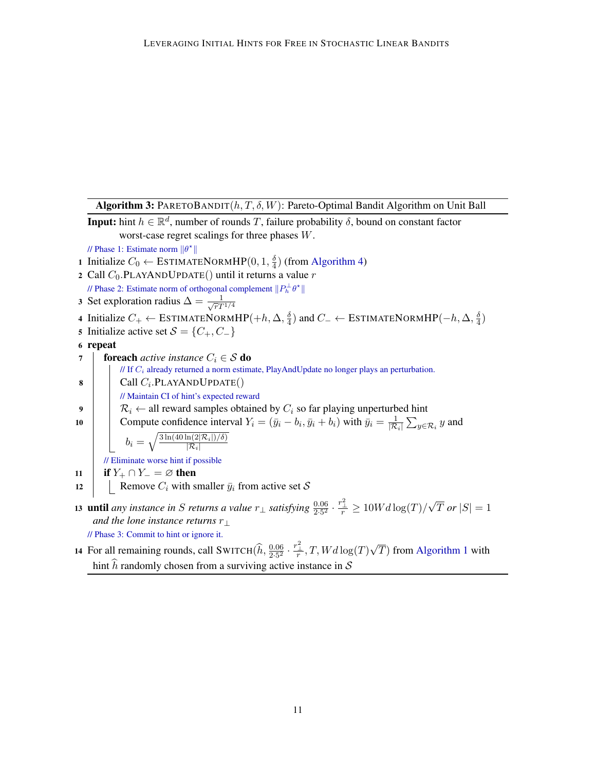Algorithm 3: PARETOBANDIT $(h, T, \delta, W)$ : Pareto-Optimal Bandit Algorithm on Unit Ball

**Input:** hint  $h \in \mathbb{R}^d$ , number of rounds T, failure probability  $\delta$ , bound on constant factor worst-case regret scalings for three phases W. // Phase 1: Estimate norm  $\|\theta^*\|$ 

- 1 Initialize  $C_0 \leftarrow \text{ESTIMATEDORMHP}(0, 1, \frac{\delta}{4})$  $\frac{\delta}{4}$ ) (from [Algorithm 4\)](#page-28-0)
- 2 Call  $C_0$ . PLAYANDUPDATE() until it returns a value r
- // Phase 2: Estimate norm of orthogonal complement  $||P_h^{\perp} \theta^*||$
- 3 Set exploration radius  $\Delta = \frac{1}{\sqrt{\pi T}}$  $\overline{r}T^{1/4}$
- 4 Initialize  $C_+ \leftarrow \text{ESTIMATEDORMHP}(+h, \Delta, \frac{\delta}{4})$  $\frac{\delta}{4}$ ) and  $C_−\leftarrow$  ESTIMATENORM $HP(−h, ∆, \frac{\delta}{4})$  $\frac{\delta}{4})$
- 5 Initialize active set  $S = \{C_+, C_-\}$
- 6 repeat

7 **foreach** *active instance*  $C_i \in S$  **do**  $\sqrt{I}$  If  $C_i$  already returned a norm estimate, PlayAndUpdate no longer plays an perturbation. 8 | Call  $C_i$ .PLAYANDUPDATE $()$ // Maintain CI of hint's expected reward 9  $\left| \quad \right| \quad \mathcal{R}_i \leftarrow$  all reward samples obtained by  $C_i$  so far playing unperturbed hint 10 Compute confidence interval  $Y_i = (\bar{y}_i - b_i, \bar{y}_i + b_i)$  with  $\bar{y}_i = \frac{1}{|\mathcal{R}|}$  $\frac{1}{|{\mathcal{R}}_i|}\sum_{y\in {\mathcal{R}}_i} y$  and  $b_i = \sqrt{\frac{3 \ln(40 \ln(2|\mathcal{R}_i|)/\delta)}{|\mathcal{R}_i|}}$  $|\mathcal{R}_i|$ // Eliminate worse hint if possible 11 if  $Y_+ \cap Y_- = \varnothing$  then 12 | Remove  $C_i$  with smaller  $\bar{y}_i$  from active set S 13 **until** any instance in S returns a value  $r_{\perp}$  satisfying  $\frac{0.06}{2.5^2} \cdot \frac{r_{\perp}^2}{r} \ge 10Wd\log(T)/$ √

- T or  $|S|=1$ *and the lone instance returns*  $r_{\perp}$ // Phase 3: Commit to hint or ignore it.
- <span id="page-10-0"></span>14 For all remaining rounds, call SWITCH $(\widehat{h}, \frac{0.06}{2.5^2} \cdot \frac{r_{\perp}^2}{r}, T, Wd \log(T))$ √  $T$ ) from [Algorithm 1](#page-6-0) with hint  $\hat{h}$  randomly chosen from a surviving active instance in S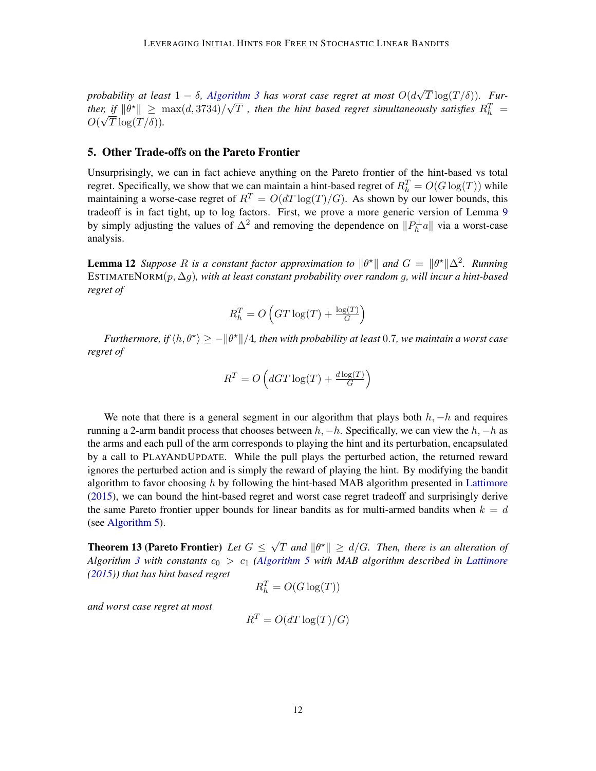*probability at least* 1 − δ*, [Algorithm 3](#page-10-0) has worst case regret at most* O(d √ First  $\frac{1}{\sqrt{2}}$  has worst case regret at most  $O(d\sqrt{T}\log(T/\delta))$ . Further, if  $\|\theta^{\star}\| \geq \max(d, 3734)/\sqrt{T}$  *, then the hint based regret simultaneously satisfies*  $R_h^T =$  $O(\sqrt{T \log(T/\delta)})$ .

## <span id="page-11-2"></span>5. Other Trade-offs on the Pareto Frontier

Unsurprisingly, we can in fact achieve anything on the Pareto frontier of the hint-based vs total regret. Specifically, we show that we can maintain a hint-based regret of  $R_h^T = O(G \log(T))$  while maintaining a worse-case regret of  $R^T = O(dT \log(T)/G)$ . As shown by our lower bounds, this tradeoff is in fact tight, up to log factors. First, we prove a more generic version of Lemma [9](#page-8-1) by simply adjusting the values of  $\Delta^2$  and removing the dependence on  $||P_h^{\perp}a||$  via a worst-case analysis.

<span id="page-11-1"></span>**Lemma 12** Suppose R is a constant factor approximation to  $\|\theta^*\|$  and  $G = \|\theta^*\|\Delta^2$ . Running ESTIMATENORM(p, ∆g)*, with at least constant probability over random* g*, will incur a hint-based regret of*

$$
R_h^T = O\left( GT \log(T) + \frac{\log(T)}{G} \right)
$$

*Furthermore, if*  $\langle h, \theta^* \rangle \ge -\|\theta^*\|/4$ , then with probability at least 0.7, we maintain a worst case *regret of*

$$
R^T = O\left(dGT\log(T) + \frac{d\log(T)}{G}\right)
$$

We note that there is a general segment in our algorithm that plays both  $h, -h$  and requires running a 2-arm bandit process that chooses between  $h, -h$ . Specifically, we can view the  $h, -h$  as the arms and each pull of the arm corresponds to playing the hint and its perturbation, encapsulated by a call to PLAYANDUPDATE. While the pull plays the perturbed action, the returned reward ignores the perturbed action and is simply the reward of playing the hint. By modifying the bandit algorithm to favor choosing  $h$  by following the hint-based MAB algorithm presented in [Lattimore](#page-14-3) [\(2015\)](#page-14-3), we can bound the hint-based regret and worst case regret tradeoff and surprisingly derive the same Pareto frontier upper bounds for linear bandits as for multi-armed bandits when  $k = d$ (see [Algorithm 5\)](#page-31-0).

<span id="page-11-0"></span>Theorem 13 (Pareto Frontier) *Let* G ≤ √  $\overline{T}$  and  $\|\theta^\star\|\,\geq\,$  d/G. Then, there is an alteration of *Algorithm [3](#page-10-0) with constants* c<sup>0</sup> > c<sup>1</sup> *[\(Algorithm 5](#page-31-0) with MAB algorithm described in [Lattimore](#page-14-3) [\(2015\)](#page-14-3)) that has hint based regret*

$$
R_h^T = O(G \log(T))
$$

*and worst case regret at most*

$$
R^T = O(dT \log(T)/G)
$$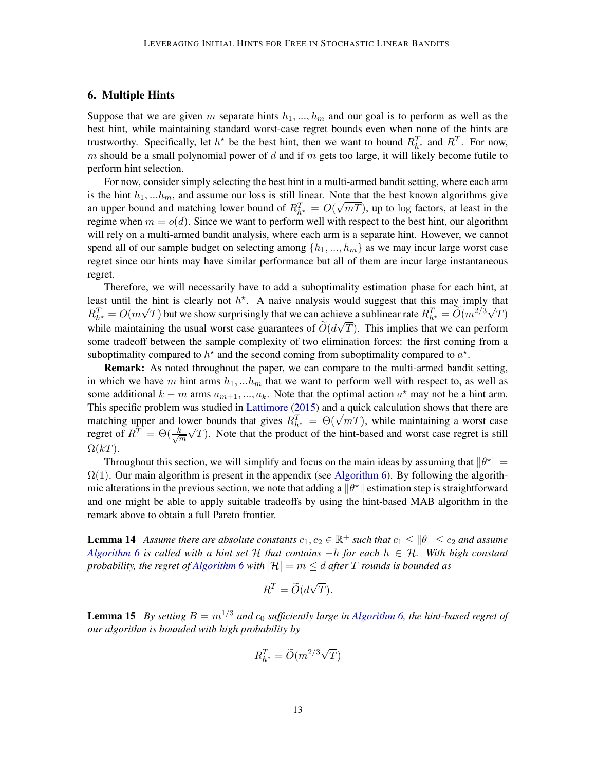## <span id="page-12-2"></span>6. Multiple Hints

Suppose that we are given m separate hints  $h_1, ..., h_m$  and our goal is to perform as well as the best hint, while maintaining standard worst-case regret bounds even when none of the hints are trustworthy. Specifically, let  $h^*$  be the best hint, then we want to bound  $R_{h^*}^T$  and  $R^T$ . For now, m should be a small polynomial power of  $d$  and if  $m$  gets too large, it will likely become futile to perform hint selection.

For now, consider simply selecting the best hint in a multi-armed bandit setting, where each arm is the hint  $h_1, ... h_m$ , and assume our loss is still linear. Note that the best known algorithms give an upper bound and matching lower bound of  $R_{h\star}^T = O(\sqrt{mT})$ , up to log factors, at least in the regime when  $m = o(d)$ . Since we want to perform well with respect to the best hint, our algorithm will rely on a multi-armed bandit analysis, where each arm is a separate hint. However, we cannot spend all of our sample budget on selecting among  $\{h_1, ..., h_m\}$  as we may incur large worst case regret since our hints may have similar performance but all of them are incur large instantaneous regret.

Therefore, we will necessarily have to add a suboptimality estimation phase for each hint, at least until the hint is clearly not  $h^*$ . A naive analysis would suggest that this may imply that  $R_{h^*}^T = O(m\sqrt{T})$  but we show surprisingly that we can achieve a sublinear rate  $R_{h^*}^T = \widetilde{O}(m^{2/3}\sqrt{T})$ while maintaining the usual worst case guarantees of  $O(d\sqrt{T})$ . This implies that we can perform some tradeoff between the sample complexity of two elimination forces: the first coming from a suboptimality compared to  $h^*$  and the second coming from suboptimality compared to  $a^*$ .

Remark: As noted throughout the paper, we can compare to the multi-armed bandit setting, in which we have m hint arms  $h_1, ... h_m$  that we want to perform well with respect to, as well as some additional  $k - m$  arms  $a_{m+1},..., a_k$ . Note that the optimal action  $a^*$  may not be a hint arm. This specific problem was studied in [Lattimore](#page-14-3) [\(2015\)](#page-14-3) and a quick calculation shows that there are This specific problem was studied in Lattimore (2015) and a quick calculation shows that there are<br>matching upper and lower bounds that gives  $R_{h^*}^T = \Theta(\sqrt{mT})$ , while maintaining a worst case regret of  $R^T = \Theta(\frac{k}{\sqrt{2}})$  $\frac{\varepsilon}{m} \sqrt{T}$ ). Note that the product of the hint-based and worst case regret is still  $\Omega(kT)$ .

Throughout this section, we will simplify and focus on the main ideas by assuming that  $\|\theta^*\| =$  $\Omega(1)$ . Our main algorithm is present in the appendix (see [Algorithm 6\)](#page-34-0). By following the algorithmic alterations in the previous section, we note that adding a  $\|\theta^*\|$  estimation step is straightforward and one might be able to apply suitable tradeoffs by using the hint-based MAB algorithm in the remark above to obtain a full Pareto frontier.

<span id="page-12-1"></span>**Lemma 14** Assume there are absolute constants  $c_1, c_2 \in \mathbb{R}^+$  such that  $c_1 \leq ||\theta|| \leq c_2$  and assume *[Algorithm 6](#page-34-0) is called with a hint set* H *that contains* −h *for each* h ∈ H*. With high constant probability, the regret of [Algorithm 6](#page-34-0) with*  $|\mathcal{H}| = m \leq d$  *after* T *rounds is bounded as* 

$$
R^T = \widetilde{O}(d\sqrt{T}).
$$

<span id="page-12-0"></span>**Lemma 15** *By setting*  $B = m^{1/3}$  *and*  $c_0$  *sufficiently large in Algorithm* 6, the hint-based regret of *our algorithm is bounded with high probability by*

$$
R_{h^*}^T = \widetilde{O}(m^{2/3}\sqrt{T})
$$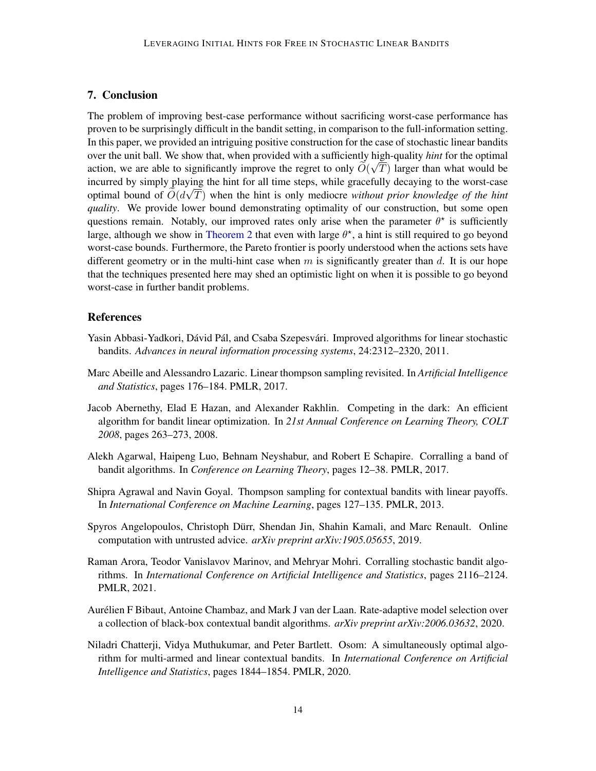## <span id="page-13-9"></span>7. Conclusion

The problem of improving best-case performance without sacrificing worst-case performance has proven to be surprisingly difficult in the bandit setting, in comparison to the full-information setting. In this paper, we provided an intriguing positive construction for the case of stochastic linear bandits over the unit ball. We show that, when provided with a sufficiently high-quality *hint* for the optimal action, we are able to significantly improve the regret to only  $O(\sqrt{T})$  larger than what would be incurred by simply playing the hint for all time steps, while gracefully decaying to the worst-case √ optimal bound of  $O(d\sqrt{T})$  when the hint is only mediocre *without prior knowledge of the hint quality*. We provide lower bound demonstrating optimality of our construction, but some open questions remain. Notably, our improved rates only arise when the parameter  $\theta^*$  is sufficiently large, although we show in [Theorem 2](#page-5-1) that even with large  $\theta^*$ , a hint is still required to go beyond worst-case bounds. Furthermore, the Pareto frontier is poorly understood when the actions sets have different geometry or in the multi-hint case when  $m$  is significantly greater than  $d$ . It is our hope that the techniques presented here may shed an optimistic light on when it is possible to go beyond worst-case in further bandit problems.

## References

- <span id="page-13-1"></span>Yasin Abbasi-Yadkori, Dávid Pál, and Csaba Szepesvári. Improved algorithms for linear stochastic bandits. *Advances in neural information processing systems*, 24:2312–2320, 2011.
- <span id="page-13-3"></span>Marc Abeille and Alessandro Lazaric. Linear thompson sampling revisited. In *Artificial Intelligence and Statistics*, pages 176–184. PMLR, 2017.
- <span id="page-13-0"></span>Jacob Abernethy, Elad E Hazan, and Alexander Rakhlin. Competing in the dark: An efficient algorithm for bandit linear optimization. In *21st Annual Conference on Learning Theory, COLT 2008*, pages 263–273, 2008.
- <span id="page-13-5"></span>Alekh Agarwal, Haipeng Luo, Behnam Neyshabur, and Robert E Schapire. Corralling a band of bandit algorithms. In *Conference on Learning Theory*, pages 12–38. PMLR, 2017.
- <span id="page-13-2"></span>Shipra Agrawal and Navin Goyal. Thompson sampling for contextual bandits with linear payoffs. In *International Conference on Machine Learning*, pages 127–135. PMLR, 2013.
- <span id="page-13-8"></span>Spyros Angelopoulos, Christoph Durr, Shendan Jin, Shahin Kamali, and Marc Renault. Online ¨ computation with untrusted advice. *arXiv preprint arXiv:1905.05655*, 2019.
- <span id="page-13-4"></span>Raman Arora, Teodor Vanislavov Marinov, and Mehryar Mohri. Corralling stochastic bandit algorithms. In *International Conference on Artificial Intelligence and Statistics*, pages 2116–2124. PMLR, 2021.
- <span id="page-13-7"></span>Aurelien F Bibaut, Antoine Chambaz, and Mark J van der Laan. Rate-adaptive model selection over ´ a collection of black-box contextual bandit algorithms. *arXiv preprint arXiv:2006.03632*, 2020.
- <span id="page-13-6"></span>Niladri Chatterji, Vidya Muthukumar, and Peter Bartlett. Osom: A simultaneously optimal algorithm for multi-armed and linear contextual bandits. In *International Conference on Artificial Intelligence and Statistics*, pages 1844–1854. PMLR, 2020.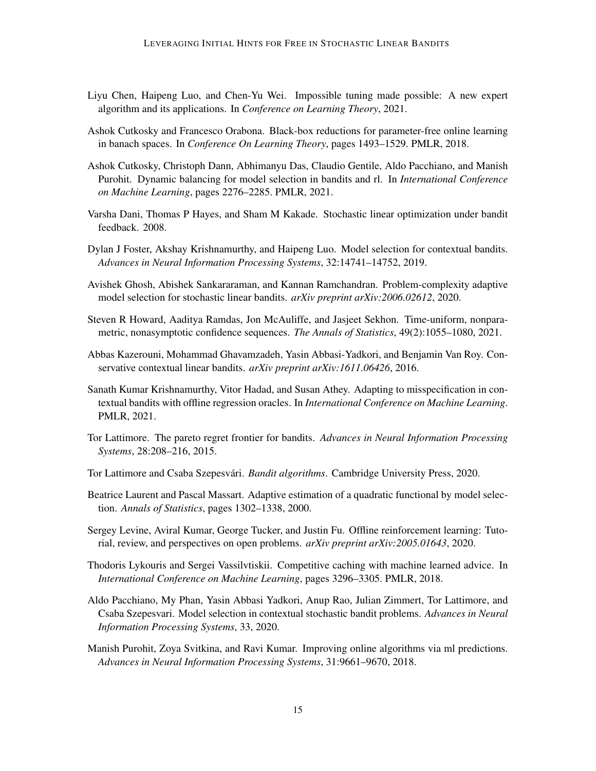- <span id="page-14-6"></span>Liyu Chen, Haipeng Luo, and Chen-Yu Wei. Impossible tuning made possible: A new expert algorithm and its applications. In *Conference on Learning Theory*, 2021.
- <span id="page-14-5"></span>Ashok Cutkosky and Francesco Orabona. Black-box reductions for parameter-free online learning in banach spaces. In *Conference On Learning Theory*, pages 1493–1529. PMLR, 2018.
- <span id="page-14-11"></span>Ashok Cutkosky, Christoph Dann, Abhimanyu Das, Claudio Gentile, Aldo Pacchiano, and Manish Purohit. Dynamic balancing for model selection in bandits and rl. In *International Conference on Machine Learning*, pages 2276–2285. PMLR, 2021.
- <span id="page-14-2"></span>Varsha Dani, Thomas P Hayes, and Sham M Kakade. Stochastic linear optimization under bandit feedback. 2008.
- <span id="page-14-7"></span>Dylan J Foster, Akshay Krishnamurthy, and Haipeng Luo. Model selection for contextual bandits. *Advances in Neural Information Processing Systems*, 32:14741–14752, 2019.
- <span id="page-14-8"></span>Avishek Ghosh, Abishek Sankararaman, and Kannan Ramchandran. Problem-complexity adaptive model selection for stochastic linear bandits. *arXiv preprint arXiv:2006.02612*, 2020.
- <span id="page-14-15"></span>Steven R Howard, Aaditya Ramdas, Jon McAuliffe, and Jasjeet Sekhon. Time-uniform, nonparametric, nonasymptotic confidence sequences. *The Annals of Statistics*, 49(2):1055–1080, 2021.
- <span id="page-14-4"></span>Abbas Kazerouni, Mohammad Ghavamzadeh, Yasin Abbasi-Yadkori, and Benjamin Van Roy. Conservative contextual linear bandits. *arXiv preprint arXiv:1611.06426*, 2016.
- <span id="page-14-10"></span>Sanath Kumar Krishnamurthy, Vitor Hadad, and Susan Athey. Adapting to misspecification in contextual bandits with offline regression oracles. In *International Conference on Machine Learning*. PMLR, 2021.
- <span id="page-14-3"></span>Tor Lattimore. The pareto regret frontier for bandits. *Advances in Neural Information Processing Systems*, 28:208–216, 2015.
- <span id="page-14-1"></span>Tor Lattimore and Csaba Szepesvári. *Bandit algorithms*. Cambridge University Press, 2020.
- <span id="page-14-14"></span>Beatrice Laurent and Pascal Massart. Adaptive estimation of a quadratic functional by model selection. *Annals of Statistics*, pages 1302–1338, 2000.
- <span id="page-14-0"></span>Sergey Levine, Aviral Kumar, George Tucker, and Justin Fu. Offline reinforcement learning: Tutorial, review, and perspectives on open problems. *arXiv preprint arXiv:2005.01643*, 2020.
- <span id="page-14-13"></span>Thodoris Lykouris and Sergei Vassilvtiskii. Competitive caching with machine learned advice. In *International Conference on Machine Learning*, pages 3296–3305. PMLR, 2018.
- <span id="page-14-9"></span>Aldo Pacchiano, My Phan, Yasin Abbasi Yadkori, Anup Rao, Julian Zimmert, Tor Lattimore, and Csaba Szepesvari. Model selection in contextual stochastic bandit problems. *Advances in Neural Information Processing Systems*, 33, 2020.
- <span id="page-14-12"></span>Manish Purohit, Zoya Svitkina, and Ravi Kumar. Improving online algorithms via ml predictions. *Advances in Neural Information Processing Systems*, 31:9661–9670, 2018.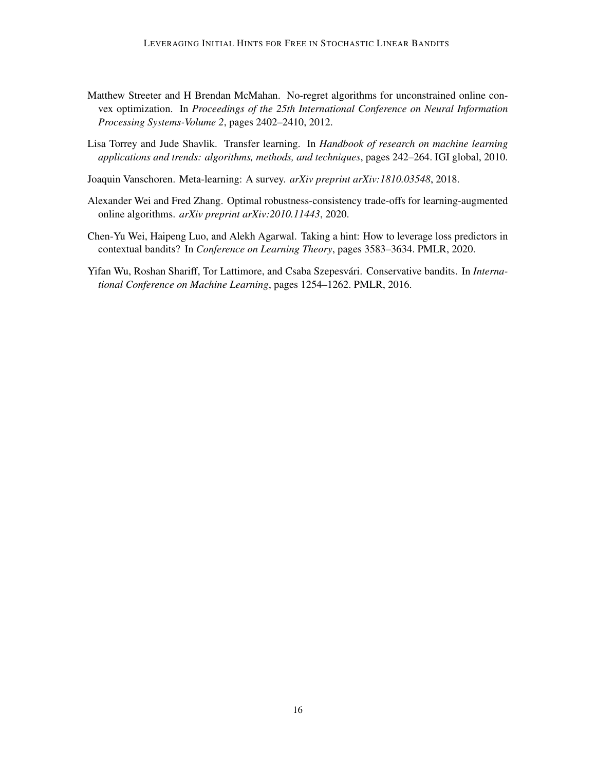- <span id="page-15-3"></span>Matthew Streeter and H Brendan McMahan. No-regret algorithms for unconstrained online convex optimization. In *Proceedings of the 25th International Conference on Neural Information Processing Systems-Volume 2*, pages 2402–2410, 2012.
- <span id="page-15-0"></span>Lisa Torrey and Jude Shavlik. Transfer learning. In *Handbook of research on machine learning applications and trends: algorithms, methods, and techniques*, pages 242–264. IGI global, 2010.
- <span id="page-15-1"></span>Joaquin Vanschoren. Meta-learning: A survey. *arXiv preprint arXiv:1810.03548*, 2018.
- <span id="page-15-4"></span>Alexander Wei and Fred Zhang. Optimal robustness-consistency trade-offs for learning-augmented online algorithms. *arXiv preprint arXiv:2010.11443*, 2020.
- <span id="page-15-5"></span>Chen-Yu Wei, Haipeng Luo, and Alekh Agarwal. Taking a hint: How to leverage loss predictors in contextual bandits? In *Conference on Learning Theory*, pages 3583–3634. PMLR, 2020.
- <span id="page-15-2"></span>Yifan Wu, Roshan Shariff, Tor Lattimore, and Csaba Szepesvári. Conservative bandits. In *International Conference on Machine Learning*, pages 1254–1262. PMLR, 2016.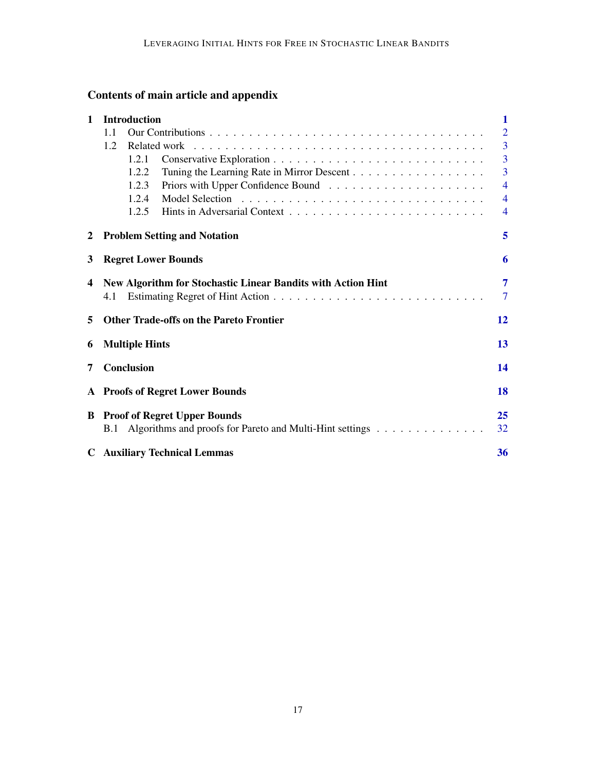# Contents of main article and appendix

| $\mathbf{1}$ | <b>Introduction</b>                                                 |       |                                                          |                |  |  |  |  |  |  |  |  |
|--------------|---------------------------------------------------------------------|-------|----------------------------------------------------------|----------------|--|--|--|--|--|--|--|--|
|              | 1.1                                                                 |       |                                                          |                |  |  |  |  |  |  |  |  |
|              | 1.2                                                                 |       |                                                          | $\overline{3}$ |  |  |  |  |  |  |  |  |
|              |                                                                     | 1.2.1 |                                                          | $\overline{3}$ |  |  |  |  |  |  |  |  |
|              |                                                                     | 1.2.2 |                                                          | $\overline{3}$ |  |  |  |  |  |  |  |  |
|              |                                                                     | 1.2.3 |                                                          | $\overline{4}$ |  |  |  |  |  |  |  |  |
|              |                                                                     | 1.2.4 |                                                          | $\overline{4}$ |  |  |  |  |  |  |  |  |
|              |                                                                     | 1.2.5 |                                                          | $\overline{4}$ |  |  |  |  |  |  |  |  |
| $\mathbf{2}$ | <b>Problem Setting and Notation</b>                                 |       |                                                          |                |  |  |  |  |  |  |  |  |
| 3            | <b>Regret Lower Bounds</b>                                          |       |                                                          |                |  |  |  |  |  |  |  |  |
| 4            | New Algorithm for Stochastic Linear Bandits with Action Hint<br>4.1 |       |                                                          |                |  |  |  |  |  |  |  |  |
| 5            |                                                                     |       | <b>Other Trade-offs on the Pareto Frontier</b>           | 12             |  |  |  |  |  |  |  |  |
| 6            | <b>Multiple Hints</b>                                               |       |                                                          |                |  |  |  |  |  |  |  |  |
| 7            | Conclusion                                                          |       |                                                          |                |  |  |  |  |  |  |  |  |
|              | A Proofs of Regret Lower Bounds                                     |       |                                                          |                |  |  |  |  |  |  |  |  |
|              | <b>B</b> Proof of Regret Upper Bounds                               |       |                                                          |                |  |  |  |  |  |  |  |  |
|              | <b>B.1</b>                                                          |       | Algorithms and proofs for Pareto and Multi-Hint settings | 32             |  |  |  |  |  |  |  |  |
|              |                                                                     |       | <b>C</b> Auxiliary Technical Lemmas                      | 36             |  |  |  |  |  |  |  |  |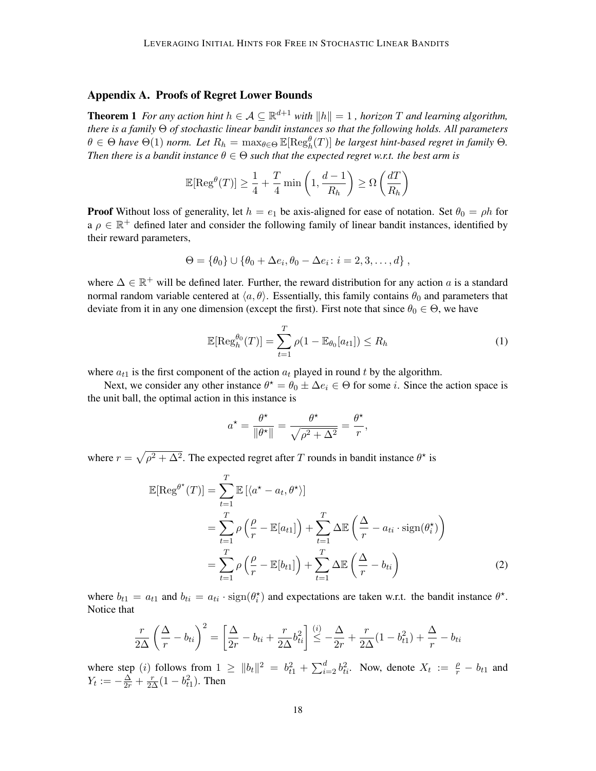## <span id="page-17-0"></span>Appendix A. Proofs of Regret Lower Bounds

**Theorem 1** For any action hint  $h \in A \subseteq \mathbb{R}^{d+1}$  with  $||h|| = 1$ , horizon T and learning algorithm, *there is a family* Θ *of stochastic linear bandit instances so that the following holds. All parameters*  $\theta \in \Theta$  have  $\Theta(1)$  norm. Let  $R_h = \max_{\theta \in \Theta} \mathbb{E}[\text{Reg}_h^{\theta}(T)]$  be largest hint-based regret in family  $\Theta$ . *Then there is a bandit instance*  $\theta \in \Theta$  *such that the expected regret w.r.t. the best arm is* 

$$
\mathbb{E}[\text{Reg}^{\theta}(T)] \ge \frac{1}{4} + \frac{T}{4} \min\left(1, \frac{d-1}{R_h}\right) \ge \Omega\left(\frac{dT}{R_h}\right)
$$

**Proof** Without loss of generality, let  $h = e_1$  be axis-aligned for ease of notation. Set  $\theta_0 = \rho h$  for a  $\rho \in \mathbb{R}^+$  defined later and consider the following family of linear bandit instances, identified by their reward parameters,

$$
\Theta = \{\theta_0\} \cup \{\theta_0 + \Delta e_i, \theta_0 - \Delta e_i : i = 2, 3, ..., d\},\,
$$

where  $\Delta \in \mathbb{R}^+$  will be defined later. Further, the reward distribution for any action a is a standard normal random variable centered at  $\langle a, \theta \rangle$ . Essentially, this family contains  $\theta_0$  and parameters that deviate from it in any one dimension (except the first). First note that since  $\theta_0 \in \Theta$ , we have

$$
\mathbb{E}[\operatorname{Reg}_h^{\theta_0}(T)] = \sum_{t=1}^T \rho(1 - \mathbb{E}_{\theta_0}[a_{t1}]) \le R_h \tag{1}
$$

where  $a_{t1}$  is the first component of the action  $a_t$  played in round t by the algorithm.

Next, we consider any other instance  $\theta^* = \theta_0 \pm \Delta e_i \in \Theta$  for some *i*. Since the action space is the unit ball, the optimal action in this instance is

<span id="page-17-1"></span>
$$
a^* = \frac{\theta^*}{\|\theta^*\|} = \frac{\theta^*}{\sqrt{\rho^2 + \Delta^2}} = \frac{\theta^*}{r},
$$

where  $r = \sqrt{\rho^2 + \Delta^2}$ . The expected regret after T rounds in bandit instance  $\theta^*$  is

$$
\mathbb{E}[\text{Reg}^{\theta^*}(T)] = \sum_{t=1}^T \mathbb{E}[\langle a^* - a_t, \theta^* \rangle] \n= \sum_{t=1}^T \rho \left( \frac{\rho}{r} - \mathbb{E}[a_{t1}] \right) + \sum_{t=1}^T \Delta \mathbb{E} \left( \frac{\Delta}{r} - a_{ti} \cdot \text{sign}(\theta_i^*) \right) \n= \sum_{t=1}^T \rho \left( \frac{\rho}{r} - \mathbb{E}[b_{t1}] \right) + \sum_{t=1}^T \Delta \mathbb{E} \left( \frac{\Delta}{r} - b_{ti} \right)
$$
\n(2)

where  $b_{t1} = a_{t1}$  and  $b_{ti} = a_{ti} \cdot \text{sign}(\theta_i^*)$  and expectations are taken w.r.t. the bandit instance  $\theta^*$ . Notice that

$$
\frac{r}{2\Delta} \left(\frac{\Delta}{r} - b_{ti}\right)^2 = \left[\frac{\Delta}{2r} - b_{ti} + \frac{r}{2\Delta}b_{ti}^2\right] \stackrel{(i)}{\leq} -\frac{\Delta}{2r} + \frac{r}{2\Delta}(1 - b_{t1}^2) + \frac{\Delta}{r} - b_{ti}
$$

where step (*i*) follows from  $1 \ge ||b_t||^2 = b_{t1}^2 + \sum_{i=2}^d b_{ti}^2$ . Now, denote  $X_t := \frac{\rho}{r} - b_{t1}$  and  $Y_t := -\frac{\Delta}{2r} + \frac{r}{2\Delta}(1 - b_{t1}^2)$ . Then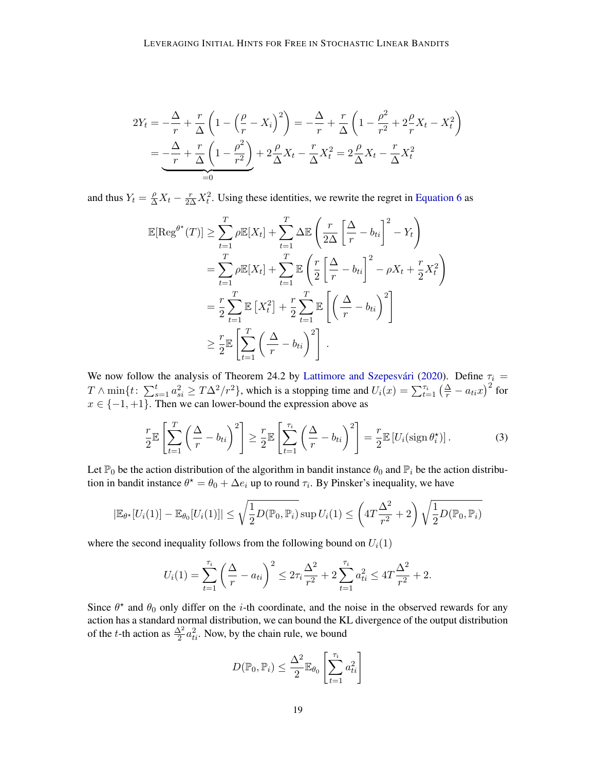$$
2Y_t = -\frac{\Delta}{r} + \frac{r}{\Delta} \left( 1 - \left( \frac{\rho}{r} - X_i \right)^2 \right) = -\frac{\Delta}{r} + \frac{r}{\Delta} \left( 1 - \frac{\rho^2}{r^2} + 2\frac{\rho}{r} X_t - X_t^2 \right)
$$
  
= 
$$
-\frac{\Delta}{r} + \frac{r}{\Delta} \left( 1 - \frac{\rho^2}{r^2} \right) + 2\frac{\rho}{\Delta} X_t - \frac{r}{\Delta} X_t^2 = 2\frac{\rho}{\Delta} X_t - \frac{r}{\Delta} X_t^2
$$

and thus  $Y_t = \frac{\rho}{\Delta} X_t - \frac{r}{2\Delta} X_t^2$ . Using these identities, we rewrite the regret in [Equation 6](#page-21-0) as

$$
\mathbb{E}[\text{Reg}^{\theta^*}(T)] \geq \sum_{t=1}^T \rho \mathbb{E}[X_t] + \sum_{t=1}^T \Delta \mathbb{E}\left(\frac{r}{2\Delta} \left[\frac{\Delta}{r} - b_{ti}\right]^2 - Y_t\right)
$$
  
\n
$$
= \sum_{t=1}^T \rho \mathbb{E}[X_t] + \sum_{t=1}^T \mathbb{E}\left(\frac{r}{2} \left[\frac{\Delta}{r} - b_{ti}\right]^2 - \rho X_t + \frac{r}{2} X_t^2\right)
$$
  
\n
$$
= \frac{r}{2} \sum_{t=1}^T \mathbb{E}[X_t^2] + \frac{r}{2} \sum_{t=1}^T \mathbb{E}\left[\left(\frac{\Delta}{r} - b_{ti}\right)^2\right]
$$
  
\n
$$
\geq \frac{r}{2} \mathbb{E}\left[\sum_{t=1}^T \left(\frac{\Delta}{r} - b_{ti}\right)^2\right].
$$

We now follow the analysis of Theorem 24.2 by Lattimore and Szepesvári [\(2020\)](#page-14-1). Define  $\tau_i$  =  $T \wedge \min\{t: \sum_{s=1}^t a_{si}^2 \ge T\Delta^2/r^2\}$ , which is a stopping time and  $U_i(x) = \sum_{t=1}^{\tau_i} \left(\frac{\Delta}{r} - a_{ti}x\right)^2$  for  $x \in \{-1, +1\}$ . Then we can lower-bound the expression above as

<span id="page-18-0"></span>
$$
\frac{r}{2} \mathbb{E}\left[\sum_{t=1}^T \left(\frac{\Delta}{r} - b_{ti}\right)^2\right] \ge \frac{r}{2} \mathbb{E}\left[\sum_{t=1}^{\tau_i} \left(\frac{\Delta}{r} - b_{ti}\right)^2\right] = \frac{r}{2} \mathbb{E}\left[U_i(\text{sign}\,\theta_i^{\star})\right].\tag{3}
$$

Let  $\mathbb{P}_0$  be the action distribution of the algorithm in bandit instance  $\theta_0$  and  $\mathbb{P}_i$  be the action distribution in bandit instance  $\theta^* = \theta_0 + \Delta e_i$  up to round  $\tau_i$ . By Pinsker's inequality, we have

$$
|\mathbb{E}_{\theta^{\star}}[U_i(1)] - \mathbb{E}_{\theta_0}[U_i(1)]| \leq \sqrt{\frac{1}{2}D(\mathbb{P}_0, \mathbb{P}_i)} \sup U_i(1) \leq \left(4T\frac{\Delta^2}{r^2} + 2\right)\sqrt{\frac{1}{2}D(\mathbb{P}_0, \mathbb{P}_i)}
$$

where the second inequality follows from the following bound on  $U_i(1)$ 

$$
U_i(1) = \sum_{t=1}^{\tau_i} \left(\frac{\Delta}{r} - a_{ti}\right)^2 \le 2\tau_i \frac{\Delta^2}{r^2} + 2\sum_{t=1}^{\tau_i} a_{ti}^2 \le 4T \frac{\Delta^2}{r^2} + 2.
$$

Since  $\theta^*$  and  $\theta_0$  only differ on the *i*-th coordinate, and the noise in the observed rewards for any action has a standard normal distribution, we can bound the KL divergence of the output distribution of the *t*-th action as  $\frac{\Delta^2}{2} a_{ti}^2$ . Now, by the chain rule, we bound

$$
D(\mathbb{P}_0, \mathbb{P}_i) \le \frac{\Delta^2}{2} \mathbb{E}_{\theta_0} \left[ \sum_{t=1}^{\tau_i} a_{ti}^2 \right]
$$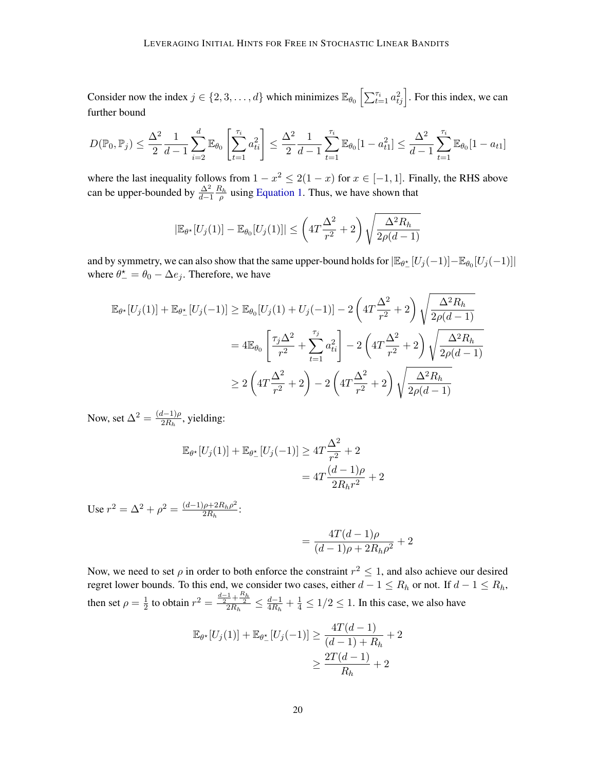Consider now the index  $j \in \{2, 3, ..., d\}$  which minimizes  $\mathbb{E}_{\theta_0} \left[ \sum_{t=1}^{\tau_i} a_{tj}^2 \right]$ . For this index, we can further bound

$$
D(\mathbb{P}_0, \mathbb{P}_j) \le \frac{\Delta^2}{2} \frac{1}{d-1} \sum_{i=2}^d \mathbb{E}_{\theta_0} \left[ \sum_{t=1}^{\tau_i} a_{ti}^2 \right] \le \frac{\Delta^2}{2} \frac{1}{d-1} \sum_{t=1}^{\tau_i} \mathbb{E}_{\theta_0} [1 - a_{t1}^2] \le \frac{\Delta^2}{d-1} \sum_{t=1}^{\tau_i} \mathbb{E}_{\theta_0} [1 - a_{t1}]
$$

where the last inequality follows from  $1 - x^2 \le 2(1 - x)$  for  $x \in [-1, 1]$ . Finally, the RHS above can be upper-bounded by  $\frac{\Delta^2}{d-1} \frac{R_h}{\rho}$  using [Equation 1.](#page-17-1) Thus, we have shown that

$$
|\mathbb{E}_{\theta^*}[U_j(1)] - \mathbb{E}_{\theta_0}[U_j(1)]| \leq \left(4T\frac{\Delta^2}{r^2} + 2\right)\sqrt{\frac{\Delta^2 R_h}{2\rho(d-1)}}
$$

and by symmetry, we can also show that the same upper-bound holds for  $|\mathbb{E}_{\theta_{-}^{*}}[U_j(-1)] - \mathbb{E}_{\theta_0}[U_j(-1)]|$ where  $\theta_{-}^{\star} = \theta_0 - \Delta e_j$ . Therefore, we have

$$
\mathbb{E}_{\theta^{\star}}[U_{j}(1)] + \mathbb{E}_{\theta_{-}^{\star}}[U_{j}(-1)] \geq \mathbb{E}_{\theta_{0}}[U_{j}(1) + U_{j}(-1)] - 2\left(4T\frac{\Delta^{2}}{r^{2}} + 2\right)\sqrt{\frac{\Delta^{2}R_{h}}{2\rho(d-1)}}
$$
  
\n
$$
= 4\mathbb{E}_{\theta_{0}}\left[\frac{\tau_{j}\Delta^{2}}{r^{2}} + \sum_{t=1}^{\tau_{j}} a_{ti}^{2}\right] - 2\left(4T\frac{\Delta^{2}}{r^{2}} + 2\right)\sqrt{\frac{\Delta^{2}R_{h}}{2\rho(d-1)}}
$$
  
\n
$$
\geq 2\left(4T\frac{\Delta^{2}}{r^{2}} + 2\right) - 2\left(4T\frac{\Delta^{2}}{r^{2}} + 2\right)\sqrt{\frac{\Delta^{2}R_{h}}{2\rho(d-1)}}
$$

Now, set  $\Delta^2 = \frac{(d-1)\rho}{2R}$  $\frac{i-1}{p}$ , yielding:

$$
\mathbb{E}_{\theta^*}[U_j(1)] + \mathbb{E}_{\theta^*_-}[U_j(-1)] \ge 4T \frac{\Delta^2}{r^2} + 2
$$
  
= 
$$
4T \frac{(d-1)\rho}{2R_h r^2} + 2
$$

Use  $r^2 = \Delta^2 + \rho^2 = \frac{(d-1)\rho + 2R_h\rho^2}{2R_h}$  $\frac{\rho + 2R_h\rho}{2R_h}$ :

$$
=\frac{4T(d-1)\rho}{(d-1)\rho+2R_h\rho^2}+2
$$

Now, we need to set  $\rho$  in order to both enforce the constraint  $r^2 \leq 1$ , and also achieve our desired regret lower bounds. To this end, we consider two cases, either  $d - 1 \le R_h$  or not. If  $d - 1 \le R_h$ , then set  $\rho = \frac{1}{2}$  $\frac{1}{2}$  to obtain  $r^2 = \frac{\frac{d-1}{2} + \frac{R_h}{2}}{2R_h} \leq \frac{d-1}{4R_h}$  $\frac{d-1}{4R_h} + \frac{1}{4} \le 1/2 \le 1$ . In this case, we also have

$$
\mathbb{E}_{\theta^*}[U_j(1)] + \mathbb{E}_{\theta^*_-}[U_j(-1)] \ge \frac{4T(d-1)}{(d-1) + R_h} + 2
$$
  

$$
\ge \frac{2T(d-1)}{R_h} + 2
$$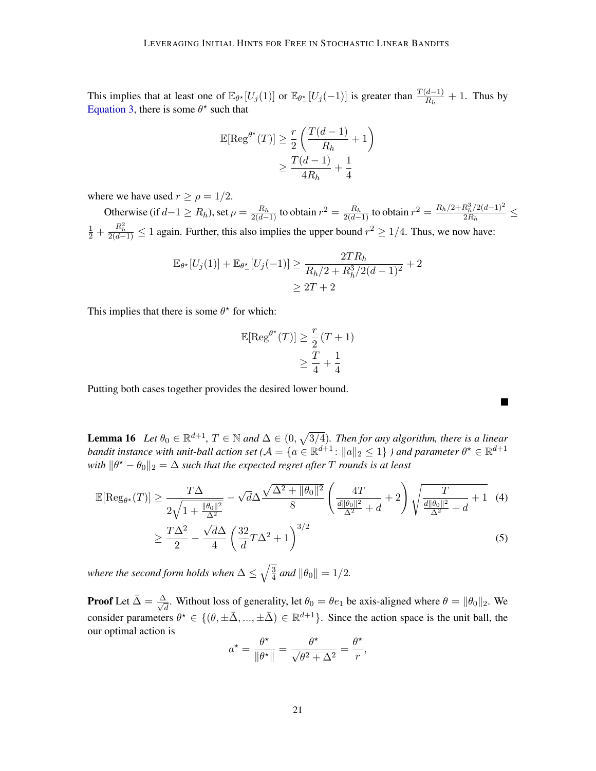This implies that at least one of  $\mathbb{E}_{\theta^*}[U_j(1)]$  or  $\mathbb{E}_{\theta^*}[U_j(-1)]$  is greater than  $\frac{T(d-1)}{R_h}+1$ . Thus by [Equation 3,](#page-18-0) there is some  $\theta^*$  such that

$$
\mathbb{E}[\text{Reg}^{\theta^{\star}}(T)] \ge \frac{r}{2} \left( \frac{T(d-1)}{R_h} + 1 \right)
$$

$$
\ge \frac{T(d-1)}{4R_h} + \frac{1}{4}
$$

where we have used  $r \ge \rho = 1/2$ .

Otherwise (if  $d-1 \ge R_h$ ), set  $\rho = \frac{R_h}{2(d-1)}$  to obtain  $r^2 = \frac{R_h}{2(d-1)}$  to obtain  $r^2 = \frac{R_h/2 + R_h^3/2(d-1)^2}{2R_h}$  $\frac{a_h/2(a-1)}{2R_h} \leq$  $\frac{1}{2} + \frac{R_h^2}{2(d-1)} \le 1$  again. Further, this also implies the upper bound  $r^2 \ge 1/4$ . Thus, we now have:

$$
\mathbb{E}_{\theta^*}[U_j(1)] + \mathbb{E}_{\theta^*}[U_j(-1)] \ge \frac{2TR_h}{R_h/2 + R_h^3/2(d-1)^2} + 2
$$
  
 
$$
\ge 2T + 2
$$

This implies that there is some  $\theta^*$  for which:

$$
\mathbb{E}[\text{Reg}^{\theta^{\star}}(T)] \geq \frac{r}{2}(T+1)
$$

$$
\geq \frac{T}{4} + \frac{1}{4}
$$

 $\overline{\phantom{a}}$ 

Putting both cases together provides the desired lower bound.

<span id="page-20-0"></span>**Lemma 16** Let  $\theta_0 \in \mathbb{R}^{d+1}$ ,  $T \in \mathbb{N}$  and  $\Delta \in (0, \sqrt{3/4})$ . Then for any algorithm, there is a linear *bandit instance with unit-ball action set* ( $A = \{a \in \mathbb{R}^{d+1} \colon \|a\|_2 \le 1\}$  ) and parameter  $\theta^{\star} \in \mathbb{R}^{d+1}$ with  $\|\theta^* - \theta_0\|_2 = \Delta$  *such that the expected regret after*  $T$  *rounds is at least* 

$$
\mathbb{E}[\operatorname{Reg}_{\theta^*}(T)] \ge \frac{T\Delta}{2\sqrt{1 + \frac{\|\theta_0\|^2}{\Delta^2}}} - \sqrt{d}\Delta \frac{\sqrt{\Delta^2 + \|\theta_0\|^2}}{8} \left(\frac{4T}{\frac{d\|\theta_0\|^2}{\Delta^2} + d} + 2\right) \sqrt{\frac{T}{\frac{d\|\theta_0\|^2}{\Delta^2} + d}} + 1 \quad (4)
$$

$$
\ge \frac{T\Delta^2}{2} - \frac{\sqrt{d}\Delta}{4} \left(\frac{32}{d}T\Delta^2 + 1\right)^{3/2} \tag{5}
$$

where the second form holds when  $\Delta \leq \sqrt{\frac{3}{4}}$  $\frac{3}{4}$  and  $\|\theta_0\| = 1/2$ .

**Proof** Let  $\bar{\Delta} = \frac{\Delta}{\sqrt{2}}$  $\frac{d}{d}$ . Without loss of generality, let  $\theta_0 = \theta e_1$  be axis-aligned where  $\theta = ||\theta_0||_2$ . We consider parameters  $\theta^* \in \{(\theta, \pm \bar{\Delta}, ..., \pm \bar{\Delta}) \in \mathbb{R}^{d+1}\}\$ . Since the action space is the unit ball, the our optimal action is

$$
a^* = \frac{\theta^*}{\|\theta^*\|} = \frac{\theta^*}{\sqrt{\theta^2 + \Delta^2}} = \frac{\theta^*}{r},
$$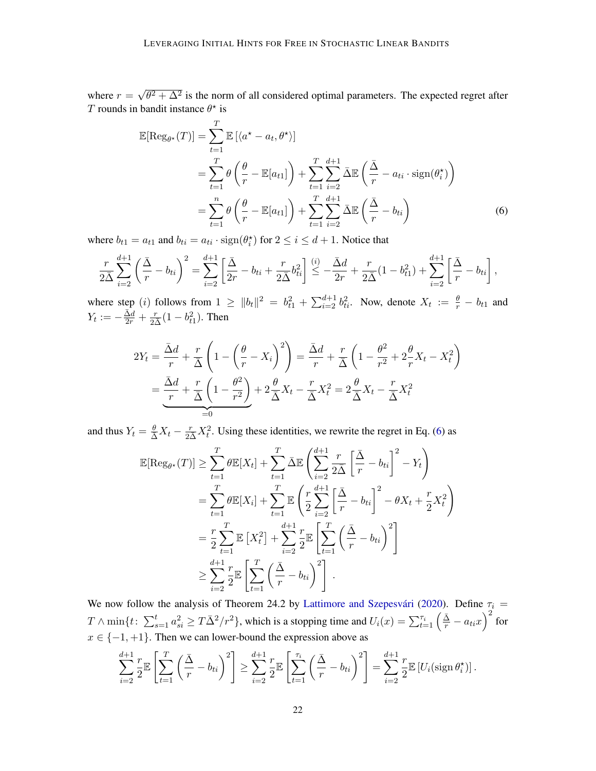where  $r =$ √  $\overline{\theta^2 + \Delta^2}$  is the norm of all considered optimal parameters. The expected regret after T rounds in bandit instance  $\theta^*$  is

<span id="page-21-0"></span>
$$
\mathbb{E}[\text{Reg}_{\theta^*}(T)] = \sum_{t=1}^T \mathbb{E} \left[ \langle a^* - a_t, \theta^* \rangle \right]
$$
  
= 
$$
\sum_{t=1}^T \theta \left( \frac{\theta}{r} - \mathbb{E}[a_{t1}] \right) + \sum_{t=1}^T \sum_{i=2}^{d+1} \bar{\Delta} \mathbb{E} \left( \frac{\bar{\Delta}}{r} - a_{ti} \cdot \text{sign}(\theta_i^*) \right)
$$
  
= 
$$
\sum_{t=1}^n \theta \left( \frac{\theta}{r} - \mathbb{E}[a_{t1}] \right) + \sum_{t=1}^T \sum_{i=2}^{d+1} \bar{\Delta} \mathbb{E} \left( \frac{\bar{\Delta}}{r} - b_{ti} \right)
$$
(6)

where  $b_{t1} = a_{t1}$  and  $b_{ti} = a_{ti} \cdot \text{sign}(\theta_i^*)$  for  $2 \le i \le d+1$ . Notice that

$$
\frac{r}{2\bar{\Delta}}\sum_{i=2}^{d+1}\left(\frac{\bar{\Delta}}{r}-b_{ti}\right)^2 = \sum_{i=2}^{d+1}\left[\frac{\bar{\Delta}}{2r}-b_{ti}+\frac{r}{2\bar{\Delta}}b_{ti}^2\right] \stackrel{(i)}{\leq} -\frac{\bar{\Delta}d}{2r}+\frac{r}{2\bar{\Delta}}(1-b_{t1}^2)+\sum_{i=2}^{d+1}\left[\frac{\bar{\Delta}}{r}-b_{ti}\right],
$$

where step (*i*) follows from  $1 \ge ||b_t||^2 = b_{t1}^2 + \sum_{i=2}^{d+1} b_{ti}^2$ . Now, denote  $X_t := \frac{\theta}{r} - b_{t1}$  and  $Y_t := -\frac{\bar{\Delta}d}{2r} + \frac{r}{2\bar{\Delta}}(1 - b_{t1}^2)$ . Then

$$
2Y_t = \frac{\bar{\Delta}d}{r} + \frac{r}{\bar{\Delta}} \left( 1 - \left( \frac{\theta}{r} - X_i \right)^2 \right) = \frac{\bar{\Delta}d}{r} + \frac{r}{\bar{\Delta}} \left( 1 - \frac{\theta^2}{r^2} + 2\frac{\theta}{r} X_t - X_t^2 \right)
$$

$$
= \underbrace{\frac{\bar{\Delta}d}{r} + \frac{r}{\bar{\Delta}} \left( 1 - \frac{\theta^2}{r^2} \right)}_{=0} + 2\frac{\theta}{\bar{\Delta}} X_t - \frac{r}{\bar{\Delta}} X_t^2 = 2\frac{\theta}{\bar{\Delta}} X_t - \frac{r}{\bar{\Delta}} X_t^2
$$

and thus  $Y_t = \frac{\theta}{\Delta} X_t - \frac{r}{2\Delta} X_t^2$ . Using these identities, we rewrite the regret in Eq. [\(6\)](#page-21-0) as

$$
\mathbb{E}[\text{Reg}_{\theta^*}(T)] \geq \sum_{t=1}^T \theta \mathbb{E}[X_t] + \sum_{t=1}^T \bar{\Delta} \mathbb{E} \left( \sum_{i=2}^{d+1} \frac{r}{2\bar{\Delta}} \left[ \frac{\bar{\Delta}}{r} - b_{ti} \right]^2 - Y_t \right)
$$
  
\n
$$
= \sum_{t=1}^T \theta \mathbb{E}[X_i] + \sum_{t=1}^T \mathbb{E} \left( \frac{r}{2} \sum_{i=2}^{d+1} \left[ \frac{\bar{\Delta}}{r} - b_{ti} \right]^2 - \theta X_t + \frac{r}{2} X_t^2 \right)
$$
  
\n
$$
= \frac{r}{2} \sum_{t=1}^T \mathbb{E} [X_t^2] + \sum_{i=2}^{d+1} \frac{r}{2} \mathbb{E} \left[ \sum_{t=1}^T \left( \frac{\bar{\Delta}}{r} - b_{ti} \right)^2 \right]
$$
  
\n
$$
\geq \sum_{i=2}^{d+1} \frac{r}{2} \mathbb{E} \left[ \sum_{t=1}^T \left( \frac{\bar{\Delta}}{r} - b_{ti} \right)^2 \right].
$$

We now follow the analysis of Theorem 24.2 by Lattimore and Szepesvári [\(2020\)](#page-14-1). Define  $\tau_i$  =  $T\wedge\min\{t\colon\sum_{s=1}^ta_{si}^2\geq T\bar\Delta^2/r^2\}$ , which is a stopping time and  $U_i(x)=\sum_{t=1}^{\tau_i}\left(\frac{\bar\Delta}{r}-a_{ti}x\right)^2$  for  $x \in \{-1, +1\}$ . Then we can lower-bound the expression above as

$$
\sum_{i=2}^{d+1} \frac{r}{2} \mathbb{E}\left[\sum_{t=1}^T \left(\frac{\bar{\Delta}}{r} - b_{ti}\right)^2\right] \ge \sum_{i=2}^{d+1} \frac{r}{2} \mathbb{E}\left[\sum_{t=1}^{\tau_i} \left(\frac{\bar{\Delta}}{r} - b_{ti}\right)^2\right] = \sum_{i=2}^{d+1} \frac{r}{2} \mathbb{E}\left[U_i(\text{sign }\theta_i^*)\right].
$$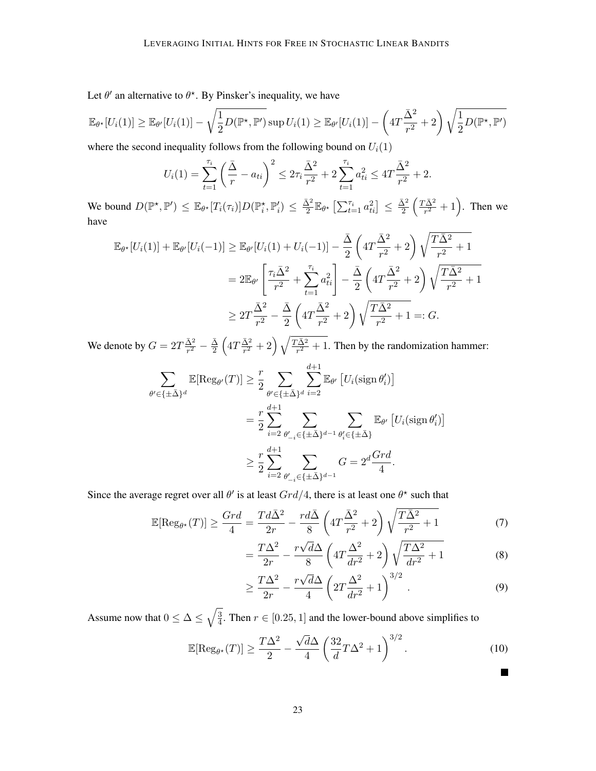Let  $\theta'$  an alternative to  $\theta^*$ . By Pinsker's inequality, we have

$$
\mathbb{E}_{\theta^{\star}}[U_i(1)] \geq \mathbb{E}_{\theta'}[U_i(1)] - \sqrt{\frac{1}{2}D(\mathbb{P}^{\star}, \mathbb{P}')} \sup U_i(1) \geq \mathbb{E}_{\theta'}[U_i(1)] - \left(4T\frac{\bar{\Delta}^2}{r^2} + 2\right)\sqrt{\frac{1}{2}D(\mathbb{P}^{\star}, \mathbb{P}')}.
$$

where the second inequality follows from the following bound on  $U_i(1)$ 

$$
U_i(1) = \sum_{t=1}^{\tau_i} \left(\frac{\bar{\Delta}}{r} - a_{ti}\right)^2 \leq 2\tau_i \frac{\bar{\Delta}^2}{r^2} + 2\sum_{t=1}^{\tau_i} a_{ti}^2 \leq 4T \frac{\bar{\Delta}^2}{r^2} + 2.
$$

We bound  $D(\mathbb{P}^\star, \mathbb{P}') \leq \mathbb{E}_{\theta^\star}[T_i(\tau_i)] D(\mathbb{P}_i^\star, \mathbb{P}_i') \leq \frac{\bar{\Delta}^2}{2}$  $\frac{\bar{\Delta}^2}{2} \mathbb{E}_{\theta^{\star}}\left[\sum_{t=1}^{\tau_i} a_{ti}^2\right] \leq \frac{\bar{\Delta}^2}{2}$  $\frac{\bar{\Delta}^2}{2} \left( \frac{T \bar{\Delta}^2}{r^2} \right)$  $\frac{\overline{\Delta}^2}{r^2} + 1$ . Then we have

$$
\mathbb{E}_{\theta^*}[U_i(1)] + \mathbb{E}_{\theta'}[U_i(-1)] \ge \mathbb{E}_{\theta'}[U_i(1) + U_i(-1)] - \frac{\bar{\Delta}}{2} \left(4T\frac{\bar{\Delta}^2}{r^2} + 2\right) \sqrt{\frac{T\bar{\Delta}^2}{r^2} + 1}
$$
  
\n
$$
= 2\mathbb{E}_{\theta'} \left[\frac{\tau_i \bar{\Delta}^2}{r^2} + \sum_{t=1}^{\tau_i} a_{ti}^2\right] - \frac{\bar{\Delta}}{2} \left(4T\frac{\bar{\Delta}^2}{r^2} + 2\right) \sqrt{\frac{T\bar{\Delta}^2}{r^2} + 1}
$$
  
\n
$$
\ge 2T\frac{\bar{\Delta}^2}{r^2} - \frac{\bar{\Delta}}{2} \left(4T\frac{\bar{\Delta}^2}{r^2} + 2\right) \sqrt{\frac{T\bar{\Delta}^2}{r^2} + 1} =: G.
$$

We denote by  $G = 2T \frac{\bar{\Delta}^2}{r^2}$  $\frac{\bar{\Delta}^2}{r^2} - \frac{\bar{\Delta}}{2}$  $\frac{\bar \Delta}{2}\left(4T\frac{\bar \Delta^2}{r^2}\right)$  $\frac{\bar{\Delta}^2}{r^2}+2\Big)\,\sqrt{\frac{T\bar{\Delta}^2}{r^2}}$  $\frac{\Delta^2}{r^2}$  + 1. Then by the randomization hammer:

$$
\sum_{\theta' \in \{\pm \bar{\Delta}\}^d} \mathbb{E}[\text{Reg}_{\theta'}(T)] \geq \frac{r}{2} \sum_{\theta' \in \{\pm \bar{\Delta}\}^d} \sum_{i=2}^{d+1} \mathbb{E}_{\theta'} \left[ U_i(\text{sign}\,\theta'_i) \right]
$$
  

$$
= \frac{r}{2} \sum_{i=2}^{d+1} \sum_{\theta'_{-i} \in \{\pm \bar{\Delta}\}^{d-1}} \sum_{\theta'_i \in \{\pm \bar{\Delta}\}^d} \mathbb{E}_{\theta'} \left[ U_i(\text{sign}\,\theta'_i) \right]
$$
  

$$
\geq \frac{r}{2} \sum_{i=2}^{d+1} \sum_{\theta'_{-i} \in \{\pm \bar{\Delta}\}^{d-1}} G = 2^d \frac{Grd}{4}.
$$

Since the average regret over all  $\theta'$  is at least  $Grd/4$ , there is at least one  $\theta^*$  such that

$$
\mathbb{E}[\text{Reg}_{\theta^*}(T)] \ge \frac{Grd}{4} = \frac{Td\bar{\Delta}^2}{2r} - \frac{rd\bar{\Delta}}{8} \left( 4T \frac{\bar{\Delta}^2}{r^2} + 2 \right) \sqrt{\frac{T\bar{\Delta}^2}{r^2} + 1} \tag{7}
$$

$$
=\frac{T\Delta^2}{2r} - \frac{r\sqrt{d}\Delta}{8} \left(4T\frac{\Delta^2}{dr^2} + 2\right) \sqrt{\frac{T\Delta^2}{dr^2} + 1}
$$
(8)

$$
\geq \frac{T\Delta^2}{2r} - \frac{r\sqrt{d}\Delta}{4} \left( 2T \frac{\Delta^2}{dr^2} + 1 \right)^{3/2} . \tag{9}
$$

Assume now that  $0 \leq \Delta \leq \sqrt{\frac{3}{4}}$  $\frac{3}{4}$ . Then  $r \in [0.25, 1]$  and the lower-bound above simplifies to √

$$
\mathbb{E}[\text{Reg}_{\theta^*}(T)] \ge \frac{T\Delta^2}{2} - \frac{\sqrt{d}\Delta}{4} \left(\frac{32}{d}T\Delta^2 + 1\right)^{3/2}.\tag{10}
$$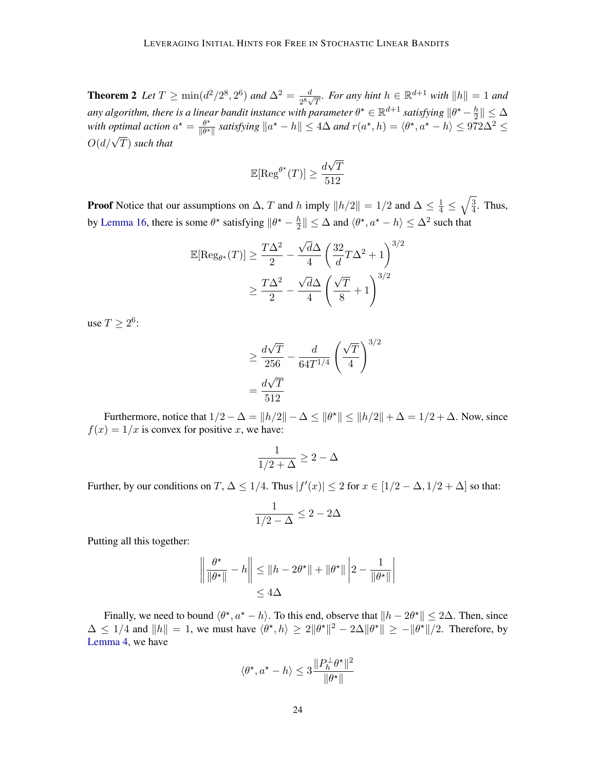**Theorem 2** Let  $T \ge \min(d^2/2^8, 2^6)$  and  $\Delta^2 = \frac{d}{2^8}$ .  $\frac{d}{2^8\sqrt{T}}$ *. For any hint*  $h \in \mathbb{R}^{d+1}$  *with*  $||h|| = 1$  *and* any algorithm, there is a linear bandit instance with parameter  $\theta^{\star} \in \mathbb{R}^{d+1}$  satisfying  $\|\theta^{\star} - \frac{h}{2}\|$  $\frac{h}{2}$   $\parallel \ \leq \Delta$ with optimal action  $a^* = \frac{\theta^*}{\|a^*\|}$  $\frac{\theta^{\star}}{\|\theta^{\star}\|}$  satisfying  $\|a^{\star} - h\| \leq 4\Delta$  and  $r(a^{\star}, h) = \langle \theta^{\star}, a^{\star} - h \rangle \leq 972\Delta^2 \leq$  $O(d/\sqrt{T})$  such that

$$
\mathbb{E}[\text{Reg}^{\theta^{\star}}(T)] \ge \frac{d\sqrt{T}}{512}
$$

**Proof** Notice that our assumptions on  $\Delta$ , T and h imply  $||h/2|| = 1/2$  and  $\Delta \le \frac{1}{4} \le \sqrt{\frac{3}{4}}$  $\frac{3}{4}$ . Thus, by [Lemma 16,](#page-20-0) there is some  $\theta^*$  satisfying  $\|\theta^* - \frac{h}{2}\|$  $\frac{h}{2} \| \leq \Delta$  and  $\langle \theta^{\star}, a^{\star} - h \rangle \leq \Delta^2$  such that

$$
\mathbb{E}[\text{Reg}_{\theta^*}(T)] \ge \frac{T\Delta^2}{2} - \frac{\sqrt{d}\Delta}{4} \left(\frac{32}{d}T\Delta^2 + 1\right)^{3/2}
$$

$$
\ge \frac{T\Delta^2}{2} - \frac{\sqrt{d}\Delta}{4} \left(\frac{\sqrt{T}}{8} + 1\right)^{3/2}
$$

use  $T \geq 2^6$ :

$$
\geq \frac{d\sqrt{T}}{256} - \frac{d}{64T^{1/4}} \left(\frac{\sqrt{T}}{4}\right)^{3/2}
$$

$$
= \frac{d\sqrt{T}}{512}
$$

Furthermore, notice that  $1/2 - \Delta = ||h/2|| - \Delta \le ||\theta^*|| \le ||h/2|| + \Delta = 1/2 + \Delta$ . Now, since  $f(x) = 1/x$  is convex for positive x, we have:

$$
\frac{1}{1/2+\Delta} \geq 2-\Delta
$$

Further, by our conditions on  $T$ ,  $\Delta \leq 1/4$ . Thus  $|f'(x)| \leq 2$  for  $x \in [1/2 - \Delta, 1/2 + \Delta]$  so that:

$$
\frac{1}{1/2-\Delta}\leq 2-2\Delta
$$

Putting all this together:

$$
\left\|\frac{\theta^{\star}}{\|\theta^{\star}\|} - h\right\| \leq \|h - 2\theta^{\star}\| + \|\theta^{\star}\| \left|2 - \frac{1}{\|\theta^{\star}\|}\right|
$$
  

$$
\leq 4\Delta
$$

Finally, we need to bound  $\langle \theta^*, a^* - h \rangle$ . To this end, observe that  $||h - 2\theta^*|| \le 2\Delta$ . Then, since  $\Delta \leq 1/4$  and  $||h|| = 1$ , we must have  $\langle \theta^*, h \rangle \geq 2||\theta^*||^2 - 2\Delta ||\theta^*|| \geq -||\theta^*||/2$ . Therefore, by [Lemma 4,](#page-6-3) we have

$$
\langle \theta^\star, a^\star - h \rangle \le 3 \frac{\|P_h^{\perp} \theta^\star\|^2}{\|\theta^\star\|}
$$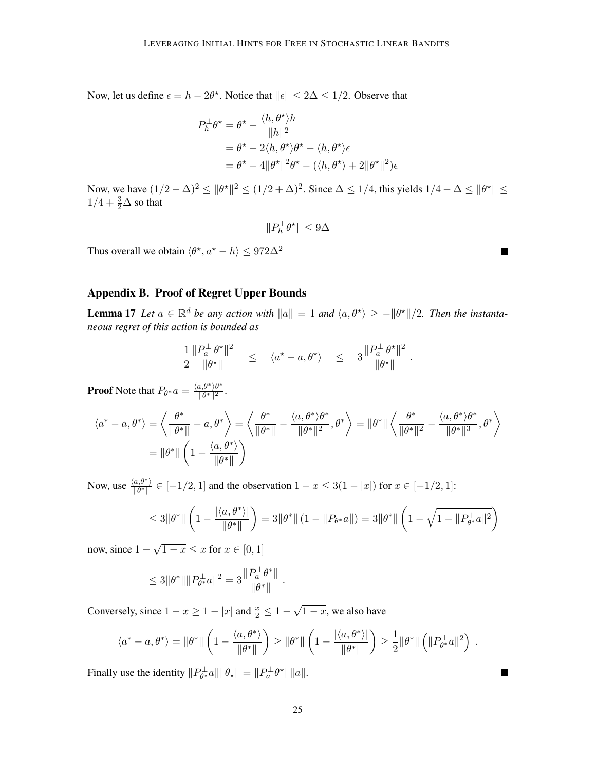Now, let us define  $\epsilon = h - 2\theta^*$ . Notice that  $\|\epsilon\| \leq 2\Delta \leq 1/2$ . Observe that

$$
P_h^{\perp} \theta^* = \theta^* - \frac{\langle h, \theta^* \rangle h}{\|h\|^2}
$$
  
=  $\theta^* - 2\langle h, \theta^* \rangle \theta^* - \langle h, \theta^* \rangle \epsilon$   
=  $\theta^* - 4\|\theta^*\|^2 \theta^* - (\langle h, \theta^* \rangle + 2\|\theta^*\|^2)\epsilon$ 

Now, we have  $(1/2 - \Delta)^2 \le ||\theta^*||^2 \le (1/2 + \Delta)^2$ . Since  $\Delta \le 1/4$ , this yields  $1/4 - \Delta \le ||\theta^*|| \le$  $1/4 + \frac{3}{2}\Delta$  so that

$$
\|P_h^\perp \theta^\star\| \leq 9\Delta
$$

Thus overall we obtain  $\langle \theta^*, a^* - h \rangle \le 972\Delta^2$ 

## <span id="page-24-0"></span>Appendix B. Proof of Regret Upper Bounds

**Lemma 17** Let  $a \in \mathbb{R}^d$  be any action with  $||a|| = 1$  and  $\langle a, \theta^* \rangle \ge -||\theta^*||/2$ . Then the instanta*neous regret of this action is bounded as*

$$
\frac{1}{2} \frac{\|P_a^{\perp} \theta^{\star}\|^2}{\|\theta^{\star}\|} \leq \langle a^{\star} - a, \theta^{\star} \rangle \leq 3 \frac{\|P_a^{\perp} \theta^{\star}\|^2}{\|\theta^{\star}\|}
$$

**Proof** Note that  $P_{\theta^*}a = \frac{\langle a, \theta^* \rangle \theta^*}{\|\theta^*\|^2}$  $\frac{\partial u}{\partial t} \frac{\partial u}{\partial t} \frac{\partial u}{\partial t}$ .

$$
\langle a^* - a, \theta^* \rangle = \left\langle \frac{\theta^*}{\|\theta^*\|} - a, \theta^* \right\rangle = \left\langle \frac{\theta^*}{\|\theta^*\|} - \frac{\langle a, \theta^* \rangle \theta^*}{\|\theta^*\|} \right\rangle = \|\theta^*\| \left\langle \frac{\theta^*}{\|\theta^*\|^2} - \frac{\langle a, \theta^* \rangle \theta^*}{\|\theta^*\|^2} \right\rangle
$$
  
=  $\|\theta^*\| \left(1 - \frac{\langle a, \theta^* \rangle}{\|\theta^*\|}\right)$ 

Now, use  $\frac{\langle a, \theta^* \rangle}{\|\theta^*\|} \in [-1/2, 1]$  and the observation  $1 - x \leq 3(1 - |x|)$  for  $x \in [-1/2, 1]$ :

$$
\leq 3\|\theta^*\| \left(1 - \frac{|\langle a, \theta^*\rangle|}{\|\theta^*\|}\right) = 3\|\theta^*\| \left(1 - \|P_{\theta^*}a\|\right) = 3\|\theta^*\| \left(1 - \sqrt{1 - \|P_{\theta^*}^{\perp}a\|^2}\right)
$$

now, since 1 −  $1-x \leq x$  for  $x \in [0,1]$ 

$$
\leq 3 \|\theta^*\| \|P_{\theta^*}^{\perp}a\|^2 = 3 \frac{\|P_a^{\perp} \theta^*\|}{\|\theta^*\|}.
$$

Conversely, since  $1 - x \ge 1 - |x|$  and  $\frac{x}{2} \le 1 -$ √  $\overline{1-x}$ , we also have

$$
\langle a^* - a, \theta^* \rangle = \|\theta^*\| \left( 1 - \frac{\langle a, \theta^* \rangle}{\|\theta^*\|} \right) \ge \|\theta^*\| \left( 1 - \frac{|\langle a, \theta^* \rangle|}{\|\theta^*\|} \right) \ge \frac{1}{2} \|\theta^*\| \left( \|P_{\theta^*}^{\perp}a\|^2 \right) .
$$

Finally use the identity  $||P_{\theta^{\star}}^{\perp}a|| ||\theta_{\star}|| = ||P_a^{\perp}\theta^{\star}|| ||a||.$ 

Ξ

۰

.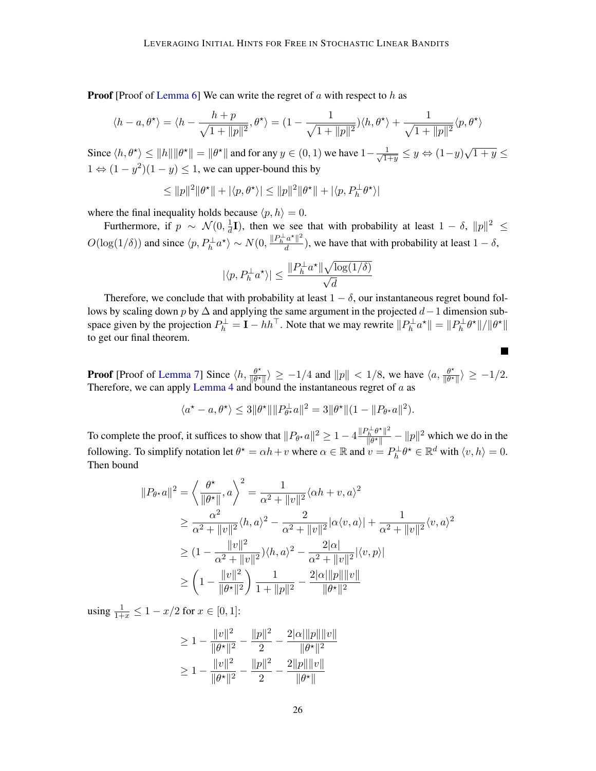**Proof** [Proof of [Lemma 6\]](#page-7-2) We can write the regret of  $a$  with respect to  $h$  as

$$
\langle h-a, \theta^{\star} \rangle = \langle h - \frac{h+p}{\sqrt{1+\|p\|^2}}, \theta^{\star} \rangle = \left(1 - \frac{1}{\sqrt{1+\|p\|^2}}\right) \langle h, \theta^{\star} \rangle + \frac{1}{\sqrt{1+\|p\|^2}} \langle p, \theta^{\star} \rangle
$$

Since  $\langle h, \theta^* \rangle \le ||h|| ||\theta^*|| = ||\theta^*||$  and for any  $y \in (0, 1)$  we have  $1 - \frac{1}{\sqrt{15}}$  $\frac{1}{1+y} \leq y \Leftrightarrow (1-y)\sqrt{1+y} \leq$  $1 \Leftrightarrow (1 - y^2)(1 - y) \leq 1$ , we can upper-bound this by

$$
\leq ||p||^2 ||\theta^{\star}|| + |\langle p, \theta^{\star} \rangle| \leq ||p||^2 ||\theta^{\star}|| + |\langle p, P_h^{\perp} \theta^{\star} \rangle|
$$

where the final inequality holds because  $\langle p, h \rangle = 0$ .

Furthermore, if  $p \sim \mathcal{N}(0, \frac{1}{d})$  $\frac{1}{d}I$ ), then we see that with probability at least  $1 - \delta$ ,  $||p||^2 \le$  $O(\log(1/\delta))$  and since  $\langle p, P_h^{\perp} a^* \rangle \sim N(0, \frac{\|P_h^{\perp} a^* \|^2}{d})$  $\frac{d}{d}$ ), we have that with probability at least  $1 - \delta$ ,

$$
|\langle p, P_h^{\perp}a^{\star}\rangle|\leq \frac{\|P_h^{\perp}a^{\star}\|\sqrt{\log(1/\delta)}}{\sqrt{d}}
$$

Therefore, we conclude that with probability at least  $1 - \delta$ , our instantaneous regret bound follows by scaling down p by  $\Delta$  and applying the same argument in the projected  $d-1$  dimension subspace given by the projection  $P_h^{\perp} = \mathbf{I} - hh^{\top}$ . Note that we may rewrite  $||P_h^{\perp}a^{\star}|| = ||P_h^{\perp}\theta^{\star}||/||\theta^{\star}||$ to get our final theorem.

**Proof** [Proof of [Lemma 7\]](#page-7-0) Since  $\langle h, \frac{\theta^*}{\| \theta^*} \rangle$  $\frac{\theta^*}{\|\theta^*\|}$  > -1/4 and  $\|p\| < 1/8$ , we have  $\langle a, \frac{\theta^*}{\|\theta^*\|} \rangle$  $\frac{\theta^{\star}}{\|\theta^{\star}\|} \rangle \geq -1/2.$ Therefore, we can apply [Lemma 4](#page-6-3) and bound the instantaneous regret of  $a$  as

 $\overline{\phantom{a}}$ 

$$
\langle a^* - a, \theta^* \rangle \leq 3 \|\theta^*\| \|P_{\theta^*}^{\perp}a\|^2 = 3 \|\theta^*\| (1 - \|P_{\theta^*}a\|^2).
$$

To complete the proof, it suffices to show that  $||P_{\theta^*}a||^2 \geq 1 - 4 \frac{||P_h^{\perp}\theta^*||^2}{||\theta^*||}$  $\frac{\partial^2 h}{\partial |b^*||^2} - ||p||^2$  which we do in the following. To simplify notation let  $\theta^* = \alpha h + v$  where  $\alpha \in \mathbb{R}$  and  $v = P_h^{\perp} \theta^* \in \mathbb{R}^d$  with  $\langle v, h \rangle = 0$ . Then bound

$$
||P_{\theta^{\star}}a||^{2} = \left\langle \frac{\theta^{\star}}{||\theta^{\star}||}, a \right\rangle^{2} = \frac{1}{\alpha^{2} + ||v||^{2}} \langle \alpha h + v, a \rangle^{2}
$$
  
\n
$$
\geq \frac{\alpha^{2}}{\alpha^{2} + ||v||^{2}} \langle h, a \rangle^{2} - \frac{2}{\alpha^{2} + ||v||^{2}} |\alpha \langle v, a \rangle| + \frac{1}{\alpha^{2} + ||v||^{2}} \langle v, a \rangle^{2}
$$
  
\n
$$
\geq (1 - \frac{||v||^{2}}{\alpha^{2} + ||v||^{2}}) \langle h, a \rangle^{2} - \frac{2|\alpha|}{\alpha^{2} + ||v||^{2}} |\langle v, p \rangle|
$$
  
\n
$$
\geq \left(1 - \frac{||v||^{2}}{||\theta^{\star}||^{2}}\right) \frac{1}{1 + ||p||^{2}} - \frac{2|\alpha|| ||p|| ||v||}{||\theta^{\star}||^{2}}
$$

using  $\frac{1}{1+x} \leq 1 - x/2$  for  $x \in [0,1]$ :

$$
\geq 1 - \frac{\|v\|^2}{\|\theta^{\star}\|^2} - \frac{\|p\|^2}{2} - \frac{2|\alpha|\|p\|\|v\|}{\|\theta^{\star}\|^2}
$$

$$
\geq 1 - \frac{\|v\|^2}{\|\theta^{\star}\|^2} - \frac{\|p\|^2}{2} - \frac{2\|p\|\|v\|}{\|\theta^{\star}\|}
$$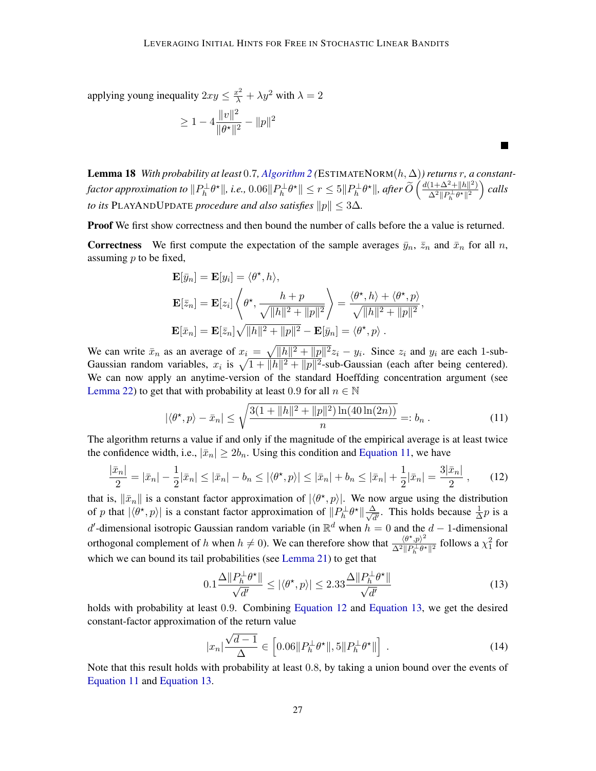applying young inequality  $2xy \leq \frac{x^2}{\lambda} + \lambda y^2$  with  $\lambda = 2$ 

$$
\geq 1 - 4 \frac{\|v\|^2}{\|\theta^\star\|^2} - \|p\|^2
$$

**Lemma 18** *With probability at least* 0.7, *[Algorithm 2](#page-8-0)* (ESTIMATENORM $(h, \Delta)$ ) returns r, a constant- $\textit{factor approximation to } \|P_h^{\perp}\theta^{\star}\|, \textit{i.e.,}~0.06\|P_h^{\perp}\theta^{\star}\| \leq r \leq 5\|P_h^{\perp}\theta^{\star}\|, \textit{after}~\widetilde{O}\left(\frac{d(1+\Delta^2+\|h\|^2)}{\Delta^2\|P_h^{\perp}\theta^{\star}\|^2}\right)$  $\frac{(1+\Delta^2+\|h\|^2)}{\Delta^2\|P_h^\perp\theta^\star\|^2}$  calls *to its* PLAYANDUPDATE *procedure and also satisfies*  $||p|| < 3\Delta$ *.* 

Proof We first show correctness and then bound the number of calls before the a value is returned.

**Correctness** We first compute the expectation of the sample averages  $\bar{y}_n$ ,  $\bar{z}_n$  and  $\bar{x}_n$  for all n, assuming  $p$  to be fixed,

$$
\mathbf{E}[\bar{y}_n] = \mathbf{E}[y_i] = \langle \theta^{\star}, h \rangle,
$$
  
\n
$$
\mathbf{E}[\bar{z}_n] = \mathbf{E}[z_i] \left\langle \theta^{\star}, \frac{h+p}{\sqrt{\|h\|^2 + \|p\|^2}} \right\rangle = \frac{\langle \theta^{\star}, h \rangle + \langle \theta^{\star}, p \rangle}{\sqrt{\|h\|^2 + \|p\|^2}},
$$
  
\n
$$
\mathbf{E}[\bar{x}_n] = \mathbf{E}[\bar{z}_n] \sqrt{\|h\|^2 + \|p\|^2} - \mathbf{E}[\bar{y}_n] = \langle \theta^{\star}, p \rangle.
$$

We can write  $\bar{x}_n$  as an average of  $x_i = \sqrt{||h||^2 + ||p||^2} z_i - y_i$ . Since  $z_i$  and  $y_i$  are each 1-sub-Gaussian random variables,  $x_i$  is  $\sqrt{1 + ||h||^2 + ||p||^2}$ -sub-Gaussian (each after being centered). We can now apply an anytime-version of the standard Hoeffding concentration argument (see [Lemma 22\)](#page-36-1) to get that with probability at least 0.9 for all  $n \in \mathbb{N}$ 

<span id="page-26-0"></span>
$$
|\langle \theta^*, p \rangle - \bar{x}_n| \le \sqrt{\frac{3(1 + ||h||^2 + ||p||^2) \ln(40 \ln(2n))}{n}} =: b_n.
$$
 (11)

The algorithm returns a value if and only if the magnitude of the empirical average is at least twice the confidence width, i.e.,  $|\bar{x}_n| \geq 2b_n$ . Using this condition and [Equation 11,](#page-26-0) we have

$$
\frac{|\bar{x}_n|}{2} = |\bar{x}_n| - \frac{1}{2} |\bar{x}_n| \le |\bar{x}_n| - b_n \le |\langle \theta^*, p \rangle| \le |\bar{x}_n| + b_n \le |\bar{x}_n| + \frac{1}{2} |\bar{x}_n| = \frac{3|\bar{x}_n|}{2},\qquad(12)
$$

that is,  $\|\bar{x}_n\|$  is a constant factor approximation of  $|\langle \theta^*, p \rangle|$ . We now argue using the distribution of p that  $|\langle \theta^*, p \rangle|$  is a constant factor approximation of  $||P_h^{\perp} \theta^*|| \frac{\Delta}{\sqrt{d}}$  $\frac{\Delta}{d'}$ . This holds because  $\frac{1}{\Delta}p$  is a d'-dimensional isotropic Gaussian random variable (in  $\mathbb{R}^d$  when  $h = 0$  and the  $d - 1$ -dimensional orthogonal complement of h when  $h \neq 0$ ). We can therefore show that  $\frac{\langle \theta^*, p \rangle^2}{\Lambda^2 ||p||_{\theta^*}}$  $\frac{\langle \theta^*, p \rangle^2}{\Delta^2 \| P_h^{\perp} \theta^* \|^2}$  follows a  $\chi_1^2$  for which we can bound its tail probabilities (see [Lemma 21\)](#page-35-1) to get that

<span id="page-26-2"></span><span id="page-26-1"></span>
$$
0.1 \frac{\Delta ||P_h^{\perp} \theta^{\star}||}{\sqrt{d'}} \le |\langle \theta^{\star}, p \rangle| \le 2.33 \frac{\Delta ||P_h^{\perp} \theta^{\star}||}{\sqrt{d'}} \tag{13}
$$

holds with probability at least 0.9. Combining [Equation 12](#page-26-1) and [Equation 13,](#page-26-2) we get the desired constant-factor approximation of the return value

$$
|x_n| \frac{\sqrt{d-1}}{\Delta} \in \left[ 0.06 \| P_h^{\perp} \theta^{\star} \|, 5 \| P_h^{\perp} \theta^{\star} \| \right] \,. \tag{14}
$$

Note that this result holds with probability at least 0.8, by taking a union bound over the events of [Equation 11](#page-26-0) and [Equation 13.](#page-26-2)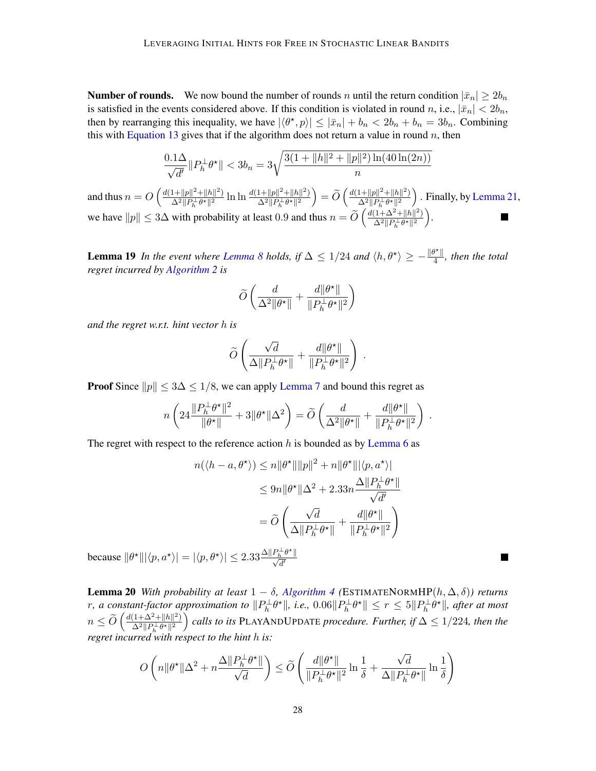**Number of rounds.** We now bound the number of rounds n until the return condition  $|\bar{x}_n| \geq 2b_n$ is satisfied in the events considered above. If this condition is violated in round n, i.e.,  $|\bar{x}_n| < 2b_n$ , then by rearranging this inequality, we have  $|\langle \theta^*, p \rangle| \leq |\bar{x}_n| + b_n < 2b_n + b_n = 3b_n$ . Combining this with [Equation 13](#page-26-2) gives that if the algorithm does not return a value in round  $n$ , then

$$
\frac{0.1\Delta}{\sqrt{d'}}\|P_h^{\perp}\theta^{\star}\| < 3b_n = 3\sqrt{\frac{3(1 + \|h\|^2 + \|p\|^2)\ln(40\ln(2n))}{n}}
$$

and thus  $n = O\left(\frac{d(1+||p||^2+||h||^2)}{\Delta^2||p\perp a\star||^2}\right)$  $\frac{1+\|p\|^2+\|h\|^2)}{\Delta^2\|P_h^\perp\theta^\star\|^2}\ln\ln\frac{d(1+\|p\|^2+\|h\|^2)}{\Delta^2\|P_h^\perp\theta^\star\|^2}$  $\frac{1+\|p\|^2+\|h\|^2)}{\Delta^2\|P_h^\perp\theta^\star\|^2}\bigg)=\widetilde{O}\left(\frac{d(1+\|p\|^2+\|h\|^2)}{\Delta^2\|P_h^\perp\theta^\star\|^2}\right)$  $\frac{1+\|p\|^2+\|h\|^2)}{\Delta^2\|P_h^{-1}\theta^\star\|^2}$  . Finally, by [Lemma 21,](#page-35-1) we have  $||p|| \le 3\Delta$  with probability at least 0.9 and thus  $n = \widetilde{O}\left(\frac{d(1+\Delta^2+||h||^2)}{\Delta^2 ||p_h^{\perp} \theta^*||^2}\right)$  $\frac{(1+\Delta^2+\|h\|^2)}{\Delta^2\|P_h^\perp\theta^\star\|^2}\bigg).$ 

**Lemma 19** *In the event where [Lemma 8](#page-7-1) holds, if*  $\Delta \leq 1/24$  *and*  $\langle h, \theta^* \rangle \geq -\frac{\|\theta^*\|}{4}$  $\frac{y_{\text{m}}}{4}$ , then the total *regret incurred by [Algorithm 2](#page-8-0) is*

$$
\widetilde{O}\left(\frac{d}{\Delta^2\|\theta^\star\|} + \frac{d\|\theta^\star\|}{\|P_h^\perp\theta^\star\|^2}\right)
$$

*and the regret w.r.t. hint vector* h *is*

$$
\widetilde{O}\left(\frac{\sqrt{d}}{\Delta \|P_h^\perp \theta^\star\|} + \frac{d\|\theta^\star\|}{\|P_h^\perp \theta^\star\|^2}\right)\:.
$$

**Proof** Since  $||p|| \leq 3\Delta \leq 1/8$ , we can apply [Lemma 7](#page-7-0) and bound this regret as

$$
n\left(24\frac{\|P_h^{\perp}\theta^{\star}\|^2}{\|\theta^{\star}\|}+3\|\theta^{\star}\|\Delta^2\right)=\widetilde{O}\left(\frac{d}{\Delta^2\|\theta^{\star}\|}+\frac{d\|\theta^{\star}\|}{\|P_h^{\perp}\theta^{\star}\|^2}\right).
$$

The regret with respect to the reference action  $h$  is bounded as by [Lemma 6](#page-7-2) as

$$
n(\langle h - a, \theta^{\star} \rangle) \le n \|\theta^{\star}\| \|p\|^2 + n \|\theta^{\star}\| |\langle p, a^{\star} \rangle|
$$
  

$$
\le 9n \|\theta^{\star}\| \Delta^2 + 2.33n \frac{\Delta \|P_h^{\perp}\theta^{\star}\|}{\sqrt{d'}}
$$
  

$$
= \widetilde{O}\left(\frac{\sqrt{d}}{\Delta \|P_h^{\perp}\theta^{\star}\|} + \frac{d\|\theta^{\star}\|}{\|P_h^{\perp}\theta^{\star}\|^2}\right)
$$

because  $\|\theta^{\star}\||\langle p, a^{\star}\rangle| = |\langle p, \theta^{\star}\rangle| \leq 2.33 \frac{\Delta \|P_h^{\perp} \theta^{\star}\|}{\sqrt{d'}}$ 

**Lemma 20** *With probability at least*  $1 - \delta$ , *[Algorithm 4](#page-28-0)* (ESTIMATENORMHP( $h, \Delta, \delta$ )) returns r, a constant-factor approximation to  $\|P_h^{\perp}\theta^{\star}\|$ , i.e.,  $0.06\|P_h^{\perp}\theta^{\star}\| \leq r \leq 5\|P_h^{\perp}\theta^{\star}\|$ , after at most  $n \leq \widetilde{O}\left(\frac{d(1+\Delta^2+\|h\|^2)}{\Delta^2 \|P_h^\perp \theta^\star\|^2} \right)$  $\frac{(1+\Delta^2+\|h\|^2)}{\Delta^2\|P_h^{\perp}\theta^{\star}\|^2}$  calls to its PLAYANDUPDATE *procedure. Further, if* ∆ ≤ 1/224*, then the regret incurred with respect to the hint* h *is:*

$$
O\left(n\|\theta^{\star}\|\Delta^2 + n\frac{\Delta\|P_h^{\perp}\theta^{\star}\|}{\sqrt{d}}\right) \le \widetilde{O}\left(\frac{d\|\theta^{\star}\|}{\|P_h^{\perp}\theta^{\star}\|^2}\ln\frac{1}{\delta} + \frac{\sqrt{d}}{\Delta\|P_h^{\perp}\theta^{\star}\|}\ln\frac{1}{\delta}\right)
$$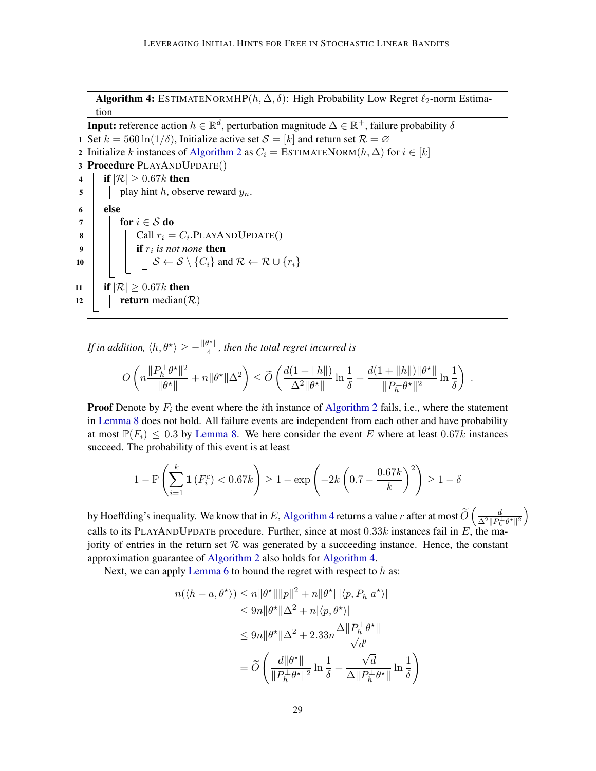Algorithm 4: ESTIMATENORMHP( $h, \Delta, \delta$ ): High Probability Low Regret  $\ell_2$ -norm Estimation

**Input:** reference action  $h \in \mathbb{R}^d$ , perturbation magnitude  $\Delta \in \mathbb{R}^+$ , failure probability  $\delta$ 1 Set  $k = 560 \ln(1/\delta)$ , Initialize active set  $\mathcal{S} = [k]$  and return set  $\mathcal{R} = \emptyset$ 2 Initialize k instances of [Algorithm 2](#page-8-0) as  $C_i = \text{ESTIMATEDORM}(h, \Delta)$  for  $i \in [k]$ 3 Procedure PLAYANDUPDATE() 4 **if**  $|\mathcal{R}| \geq 0.67k$  then  $\mathfrak{s}$  | play hint h, observe reward  $y_n$ .  $6$  else 7 | for  $i \in S$  do 8 | | | Call  $r_i = C_i$ . PLAYAND UPDATE()  $\mathsf{P} \left\lvert \quad\right\rvert \quad \text{if } r_i \textit{ is not none} \textbf{ then }$ 10  $\begin{array}{|c|c|c|}\n\hline\n10 & \\\hline\n11 & \\\hline\n12 & \\\hline\n13 & \\\hline\n24 & \\\hline\n36 & \\\hline\n48 & \\\hline\n40 & \\\hline\n40 & \\\hline\n40 & \\\hline\n40 & \\\hline\n40 & \\\hline\n40 & \\\hline\n40 & \\\hline\n40 & \\\hline\n40 & \\\hline\n40 & \\\hline\n42 & \\\hline\n40 & \\\hline\n42 & \\\hline\n44 & \\\hline\n45 & \\\hline\n46 & \\\hline\n47 & \\\hline\n48 & \\\hline$ 11 **if**  $|\mathcal{R}| \geq 0.67k$  then 12 | return median( $\mathcal{R}$ )

<span id="page-28-0"></span>*If in addition,*  $\langle h, \theta^{\star} \rangle \geq -\frac{\|\theta^{\star}\|}{4}$  $\frac{f''\parallel}{4}$ , then the total regret incurred is

$$
O\left(n\frac{\|P_h^\perp \theta^\star\|^2}{\|\theta^\star\|}+n\|\theta^\star\|\Delta^2\right)\leq \widetilde O\left(\frac{d(1+\|h\|)}{\Delta^2\|\theta^\star\|}\ln{\frac{1}{\delta}}+\frac{d(1+\|h\|)\|\theta^\star\|}{\|P_h^\perp \theta^\star\|^2}\ln{\frac{1}{\delta}}\right)\;.
$$

**Proof** Denote by  $F_i$  the event where the *i*th instance of [Algorithm 2](#page-8-0) fails, i.e., where the statement in [Lemma 8](#page-7-1) does not hold. All failure events are independent from each other and have probability at most  $\mathbb{P}(F_i) \leq 0.3$  by [Lemma 8.](#page-7-1) We here consider the event E where at least  $0.67k$  instances succeed. The probability of this event is at least

$$
1 - \mathbb{P}\left(\sum_{i=1}^{k} \mathbf{1}\left(F_i^c\right) < 0.67k\right) \ge 1 - \exp\left(-2k\left(0.7 - \frac{0.67k}{k}\right)^2\right) \ge 1 - \delta
$$

by Hoeffding's inequality. We know that in E, [Algorithm 4](#page-28-0) returns a value r after at most  $\widetilde{O}\left(\frac{d}{\Delta^2 ||P_h^{\perp} \theta^{\star}||^2}\right)$ calls to its PLAYANDUPDATE procedure. Further, since at most  $0.33k$  instances fail in E, the majority of entries in the return set  $R$  was generated by a succeeding instance. Hence, the constant approximation guarantee of [Algorithm 2](#page-8-0) also holds for [Algorithm 4.](#page-28-0)

Next, we can apply [Lemma 6](#page-7-2) to bound the regret with respect to  $h$  as:

$$
n(\langle h - a, \theta^{\star} \rangle) \le n \|\theta^{\star}\| \|p\|^2 + n \|\theta^{\star}\| |\langle p, P_h^{\perp} a^{\star} \rangle|
$$
  
\n
$$
\le 9n \|\theta^{\star}\| \Delta^2 + n |\langle p, \theta^{\star} \rangle|
$$
  
\n
$$
\le 9n \|\theta^{\star}\| \Delta^2 + 2.33n \frac{\Delta \|P_h^{\perp} \theta^{\star}\|}{\sqrt{d'}}
$$
  
\n
$$
= \widetilde{O}\left(\frac{d \|\theta^{\star}\|}{\|P_h^{\perp} \theta^{\star}\|^2} \ln \frac{1}{\delta} + \frac{\sqrt{d}}{\Delta \|P_h^{\perp} \theta^{\star}\|} \ln \frac{1}{\delta}\right)
$$

 $\setminus$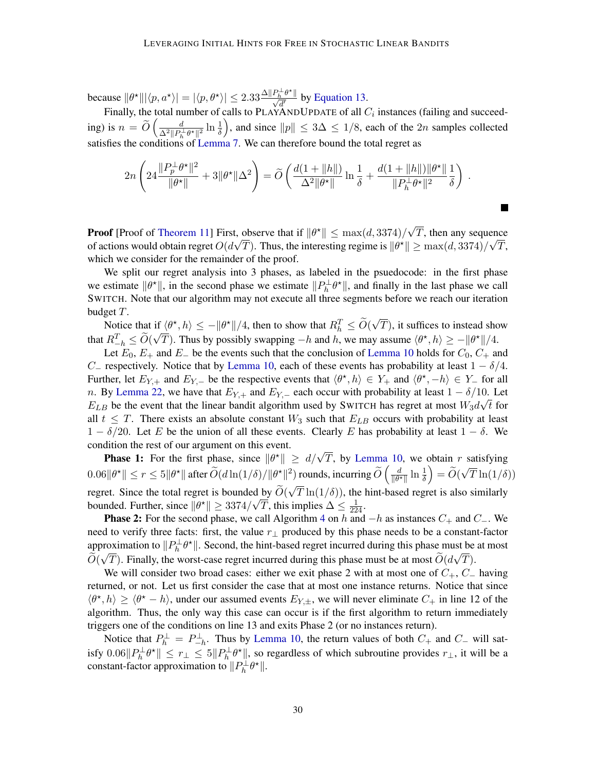because  $\|\theta^{\star}\| |\langle p, a^{\star} \rangle| = |\langle p, \theta^{\star} \rangle| \leq 2.33 \frac{\Delta \|P_h^{\perp} \theta^{\star} \|}{\sqrt{d'}}$  by [Equation 13.](#page-26-2)

Finally, the total number of calls to PLAYANDUPDATE of all  $C_i$  instances (failing and succeeding) is  $n = \tilde{O}\left(\frac{d}{\Delta^2 \|P_h^{\perp} \theta^* \|^2} \ln \frac{1}{\delta}\right)$ , and since  $\|p\| \leq 3\Delta \leq 1/8$ , each of the  $2n$  samples collected satisfies the conditions of [Lemma 7.](#page-7-0) We can therefore bound the total regret as

$$
2n\left(24\frac{\|P_p^{\perp}\theta^{\star}\|^2}{\|\theta^{\star}\|}+3\|\theta^{\star}\|\Delta^2\right)=\widetilde{O}\left(\frac{d(1+\|h\|)}{\Delta^2\|\theta^{\star}\|}\ln\frac{1}{\delta}+\frac{d(1+\|h\|)\|\theta^{\star}\|}{\|P_h^{\perp}\theta^{\star}\|^2}\frac{1}{\delta}\right).
$$

**Proof** [Proof of [Theorem 11\]](#page-9-0) First, observe that if  $\|\theta^{\star}\| \le \max(d, 3374)/\sqrt{2}$ t, observe that if  $\|\theta^*\| \leq \max(d, 3374)/\sqrt{T}$ , then any sequence of actions would obtain regret  $O(d\sqrt{T})$ . Thus, the interesting regime is  $\|\theta^{\star}\| \ge \max(d, 3374)/\sqrt{T}$ , which we consider for the remainder of the proof.

We split our regret analysis into 3 phases, as labeled in the psuedocode: in the first phase we estimate  $\|\theta^*\|$ , in the second phase we estimate  $\|P_h^{\perp}\theta^*\|$ , and finally in the last phase we call SWITCH. Note that our algorithm may not execute all three segments before we reach our iteration budget T. √

Notice that if  $\langle \theta^*, h \rangle \le -\|\theta^*\|/4$ , then to show that  $R_h^T \le \widetilde{O}(\theta)$ if  $\langle \theta^*, h \rangle \le -\|\theta^*\|/4$ , then to show that  $R_h^T \le O(\sqrt{T})$ , it suffices to instead show that  $R_{-h}^T \le \widetilde{O}(\sqrt{T})$ . Thus by possibly swapping  $-h$  and h, we may assume  $\langle \theta^*, h \rangle \ge -\|\theta^*\|/4$ .

Let  $E_0$ ,  $E_+$  and  $E_-$  be the events such that the conclusion of [Lemma 10](#page-8-2) holds for  $C_0$ ,  $C_+$  and C<sub>−</sub> respectively. Notice that by [Lemma 10,](#page-8-2) each of these events has probability at least  $1 - \delta/4$ . Further, let  $E_{Y,+}$  and  $E_{Y,-}$  be the respective events that  $\langle \theta^*, h \rangle \in Y_+$  and  $\langle \theta^*, -h \rangle \in Y_-$  for all n. By [Lemma 22,](#page-36-1) we have that  $E_{Y,+}$  and  $E_{Y,-}$  each occur with probability at least  $1 - \delta/10$ . Let  $E_{LB}$  be the event that the linear bandit algorithm used by SWITCH has regret at most  $W_3d\sqrt{t}$  for all  $t \leq T$ . There exists an absolute constant  $W_3$  such that  $E_{LB}$  occurs with probability at least  $1 - \delta/20$ . Let E be the union of all these events. Clearly E has probability at least  $1 - \delta$ . We condition the rest of our argument on this event.

muon the rest of our argument on this event.<br>**Phase 1:** For the first phase, since  $\|\theta^*\| \ge d/\sqrt{T}$ , by [Lemma 10,](#page-8-2) we obtain r satisfying  $0.06\|\theta^{\star}\|\leq r\leq 5\|\theta^{\star}\|$  after  $\widetilde{O}(d\ln(1/\delta)/\|\theta^{\star}\|^2)$  rounds, incurring  $\widetilde{O}\left(\frac{d}{\|\theta^{\star}\|}\right)$  $\frac{d}{\|\theta^{\star}\|} \ln \frac{1}{\delta} \Big) = \widetilde{O}(\delta)$ √  $T\ln(1/\delta))$ regret. Since the total regret is bounded by  $O(\sqrt{T} \ln(1/\delta))$ , the hint-based regret is also similarly √ bounded. Further, since  $\|\theta^{\star}\| \ge 3374/\sqrt{T}$ , this implies  $\Delta \le \frac{1}{224}$ .

**Phase 2:** For the second phase, we call Algorithm [4](#page-28-0) on h and  $-h$  as instances  $C_+$  and  $C_-$ . We need to verify three facts: first, the value  $r_{\perp}$  produced by this phase needs to be a constant-factor approximation to  $||P_h^{\perp} \theta^*||$ . Second, the hint-based regret incurred during this phase must be at most  $O(\sqrt{T})$ . Finally, the worst-case regret incurred during this phase must be at most  $O(d\sqrt{T})$ .

We will consider two broad cases: either we exit phase 2 with at most one of  $C_+$ ,  $C_-$  having returned, or not. Let us first consider the case that at most one instance returns. Notice that since  $\langle \theta^*, h \rangle \ge \langle \theta^* - h \rangle$ , under our assumed events  $E_{Y,\pm}$ , we will never eliminate  $C_+$  in line 12 of the algorithm. Thus, the only way this case can occur is if the first algorithm to return immediately triggers one of the conditions on line 13 and exits Phase 2 (or no instances return).

Notice that  $P_h^{\perp} = P_{-h}^{\perp}$ . Thus by [Lemma 10,](#page-8-2) the return values of both  $C_+$  and  $C_-$  will satisfy  $0.06||P_h^{\perp}\theta^{\star}|| \le r_{\perp} \le 5||P_h^{\perp}\theta^{\star}||$ , so regardless of which subroutine provides  $r_{\perp}$ , it will be a constant-factor approximation to  $||P_h^{\perp} \theta^*||$ .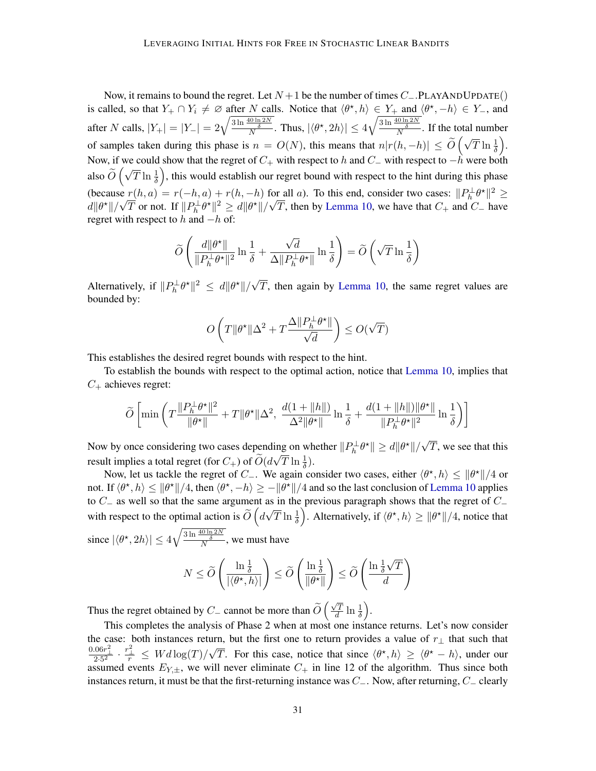Now, it remains to bound the regret. Let  $N + 1$  be the number of times  $C_$ -.PLAYANDUPDATE() is called, so that  $Y_+ \cap Y_i \neq \emptyset$  after N calls. Notice that  $\langle \theta^*, h \rangle \in Y_+$  and  $\langle \theta^*, -h \rangle \in Y_-$ , and after N calls,  $|Y_+| = |Y_-| = 2\sqrt{\frac{3\ln\frac{40\ln 2N}{\delta}}{N}}$ . Thus,  $|\langle \theta^\star, 2h \rangle| \le 4\sqrt{\frac{3\ln\frac{40\ln 2N}{\delta}}{N}}$ . If the total number of samples taken during this phase is  $n = O(N)$ , this means that  $n|r(h,-h)| \leq O$  $\left(\sqrt{T}\ln\frac{1}{\delta}\right)$ . Now, if we could show that the regret of  $C_+$  with respect to h and  $C_-\,$  with respect to  $-h$  were both also  $O$  $(\sqrt{T} \ln \frac{1}{\delta})$ , this would establish our regret bound with respect to the hint during this phase (because  $r(h, a) = r(-h, a) + r(h, -h)$  for all a). To this end, consider two cases:  $||P_h^{\perp} \theta^*||^2 \ge$ (because<br> $d\|\theta^{\star}\|/\sqrt{2}$  $T(n, a) = r(-n, a) + r(n, -n)$  to:<br>  $\overline{T}$  or not. If  $||P_h^{\perp} \theta^*||^2 \ge d||\theta^*||/\sqrt{2}$ T, then by [Lemma 10,](#page-8-2) we have that  $C_+$  and  $C_-\$  have regret with respect to  $h$  and  $-h$  of:

$$
\widetilde{O}\left(\frac{d\|\theta^\star\|}{\|P_h^\perp\theta^\star\|^2}\ln\frac{1}{\delta}+\frac{\sqrt{d}}{\Delta\|P_h^\perp\theta^\star\|}\ln\frac{1}{\delta}\right)=\widetilde{O}\left(\sqrt{T}\ln\frac{1}{\delta}\right)
$$

Alternatively, if  $||P_h^{\perp} \theta^*||^2 \leq d||\theta^*||/\sqrt{2}$  $T$ , then again by [Lemma 10,](#page-8-2) the same regret values are bounded by:

$$
O\left(T\|\theta^{\star}\|\Delta^2 + T\frac{\Delta\|P_h^{\perp}\theta^{\star}\|}{\sqrt{d}}\right) \leq O(\sqrt{T})
$$

This establishes the desired regret bounds with respect to the hint.

To establish the bounds with respect to the optimal action, notice that [Lemma 10,](#page-8-2) implies that  $C_+$  achieves regret:

$$
\widetilde{O}\left[ \min\left( T\frac{\|P_h^\perp \theta^\star\|^2}{\| \theta^\star\|}+T\| \theta^\star\|\Delta^2,\ \frac{d(1+\|h\|)}{\Delta^2\| \theta^\star\|} \ln\frac{1}{\delta}+\frac{d(1+\|h\|)\| \theta^\star\|}{\| P_h^\perp \theta^\star\|^2} \ln\frac{1}{\delta}\right)\right]
$$

Now by once considering two cases depending on whether  $||P_h^{\perp} \theta^*|| \ge d||\theta^*||/\sqrt{2}$ ing on whether  $||P_h^{\perp} \theta^*|| \ge d||\theta^*||/\sqrt{T}$ , we see that this result implies a total regret (for  $C_+$ ) of  $\widetilde{O}(d\sqrt{T} \ln \frac{1}{\delta})$ .

Now, let us tackle the regret of  $C_-\$ . We again consider two cases, either  $\langle \theta^*, h \rangle \leq ||\theta^*||/4$  or not. If  $\langle \theta^*, h \rangle \le ||\theta^*||/4$ , then  $\langle \theta^*, -h \rangle \ge -||\theta^*||/4$  and so the last conclusion of [Lemma 10](#page-8-2) applies to  $C_-\$  as well so that the same argument as in the previous paragraph shows that the regret of  $C_-\$ with respect to the optimal action is  $\widetilde{O}\left(d\sqrt{T}\ln\frac{1}{\delta}\right)$ . Alternatively, if  $\langle\theta^{\star},h\rangle\geq\|\theta^{\star}\|/4$ , notice that since  $|\langle \theta^{\star}, 2h \rangle| \le 4 \sqrt{\frac{3 \ln \frac{40 \ln 2N}{\delta}}{N}}$ , we must have

$$
N \le \widetilde{O}\left(\frac{\ln\frac{1}{\delta}}{|\langle\theta^\star,h\rangle|}\right) \le \widetilde{O}\left(\frac{\ln\frac{1}{\delta}}{\|\theta^\star\|}\right) \le \widetilde{O}\left(\frac{\ln\frac{1}{\delta}\sqrt{T}}{d}\right)
$$

Thus the regret obtained by  $C_-\$  cannot be more than  $O$  $(\sqrt{T})$  $\frac{\sqrt{T}}{d} \ln \frac{1}{\delta}$ ).

This completes the analysis of Phase 2 when at most one instance returns. Let's now consider the case: both instances return, but the first one to return provides a value of  $r_+$  that such that  $\frac{0.06 r_\perp^2}{2\cdot 5^2}\cdot \frac{r_\perp^2}{r} \,\leq\, W d \log(T) /$ √  $\overline{T}$ . For this case, notice that since  $\langle \theta^*, h \rangle \ge \langle \theta^* - h \rangle$ , under our assumed events  $E_{Y,\pm}$ , we will never eliminate  $C_+$  in line 12 of the algorithm. Thus since both instances return, it must be that the first-returning instance was  $C_-\$ . Now, after returning,  $C_-\$  clearly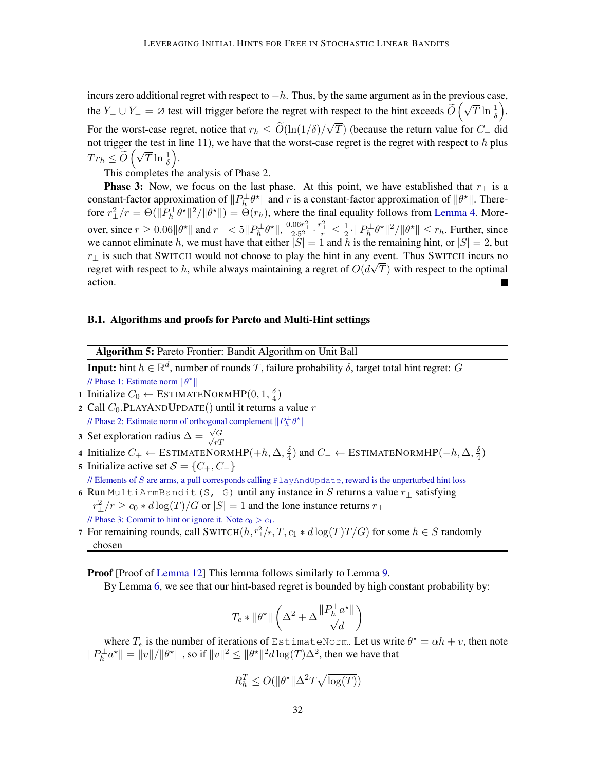incurs zero additional regret with respect to  $-h$ . Thus, by the same argument as in the previous case, the  $Y_+ \cup Y_- = \emptyset$  test will trigger before the regret with respect to the hint exceeds  $\widetilde{O}(\sqrt{T} \ln \frac{1}{\delta})$ . For the worst-case regret, notice that  $r_h \leq O(\ln(1/\delta))$ √ T) (because the return value for  $C_-\$  did not trigger the test in line 11), we have that the worst-case regret is the regret with respect to  $h$  plus  $Tr_h \leq O$  $\left(\sqrt{T}\ln\frac{1}{\delta}\right)$ .

This completes the analysis of Phase 2.

**Phase 3:** Now, we focus on the last phase. At this point, we have established that  $r_{\perp}$  is a constant-factor approximation of  $||P_h^{\perp}\theta^*||$  and r is a constant-factor approximation of  $||\theta^*||$ . Therefore  $r_\perp^2/r = \Theta(||P_h^{\perp} \theta^*||^2/||\theta^*||) = \Theta(r_h)$ , where the final equality follows from [Lemma 4.](#page-6-3) Moreover, since  $r \ge 0.06 \|\theta^{\star}\|$  and  $r_{\perp} < 5 \|P_h^{\perp}\theta^{\star}\|$ ,  $\frac{0.06r_1^2}{2 \cdot 5^2} \cdot \frac{r_1^2}{r} \le \frac{1}{2}$  $\frac{1}{2} \cdot ||P_h^{\perp} \theta^{\star}||^2 / ||\theta^{\star}|| \leq r_h$ . Further, since we cannot eliminate h, we must have that either  $|S| = 1$  and h is the remaining hint, or  $|S| = 2$ , but  $r_{\perp}$  is such that SWITCH would not choose to play the hint in any event. Thus SWITCH incurs no regret with respect to h, while always maintaining a regret of  $O(d\sqrt{T})$  with respect to the optimal action.

#### <span id="page-31-1"></span>B.1. Algorithms and proofs for Pareto and Multi-Hint settings

Algorithm 5: Pareto Frontier: Bandit Algorithm on Unit Ball **Input:** hint  $h \in \mathbb{R}^d$ , number of rounds T, failure probability  $\delta$ , target total hint regret: G // Phase 1: Estimate norm  $\|\theta^*\|$ 1 Initialize  $C_0 \leftarrow \text{ESTIMATEDORMHP}(0, 1, \frac{\delta}{4})$  $\frac{\delta}{4})$ 2 Call  $C_0$ . PLAYANDUPDATE() until it returns a value r // Phase 2: Estimate norm of orthogonal complement  $||P_h^{\perp} \theta^*||$ 3 Set exploration radius  $\Delta = \frac{\sqrt{G}}{\sqrt{g}}$  $rT$ 4 Initialize  $C_+ \leftarrow \text{ESTIMATEDORMHP}(+h, \Delta, \frac{\delta}{4})$  $\frac{\delta}{4}$ ) and  $C_−\leftarrow$  ESTIMATENORM $HP(−h, \Delta, \frac{\delta}{4})$  $\frac{6}{4})$ 5 Initialize active set  $S = \{C_+, C_-\}$ // Elements of  $S$  are arms, a pull corresponds calling  $PlayAndUpdate$ , reward is the unperturbed hint loss 6 Run MultiArmBandit(S, G) until any instance in S returns a value  $r_{\perp}$  satisfying  $r_{\perp}^2/r \geq c_0 * d \log(T)/G$  or  $|S| = 1$  and the lone instance returns  $r_{\perp}$ // Phase 3: Commit to hint or ignore it. Note  $c_0 > c_1$ .

7 For remaining rounds, call SWITCH $(h, r_\perp^2/r, T, c_1 * d \log(T) T/G)$  for some  $h \in S$  randomly chosen

<span id="page-31-0"></span>Proof [Proof of [Lemma 12\]](#page-11-1) This lemma follows similarly to Lemma [9.](#page-8-1)

By Lemma [6,](#page-7-2) we see that our hint-based regret is bounded by high constant probability by:

$$
T_e * \lVert \theta^\star \rVert \left( \Delta^2 + \Delta \frac{\lVert P_h^\perp a^\star \rVert}{\sqrt{d}} \right)
$$

where  $T_e$  is the number of iterations of EstimateNorm. Let us write  $\theta^* = \alpha h + v$ , then note  $||P_h^{\perp}a^*|| = ||v||/||\theta^*||$ , so if  $||v||^2 \le ||\theta^*||^2 d \log(T) \Delta^2$ , then we have that

$$
R_h^T \le O(\|\theta^\star\|\Delta^2 T \sqrt{\log(T)})
$$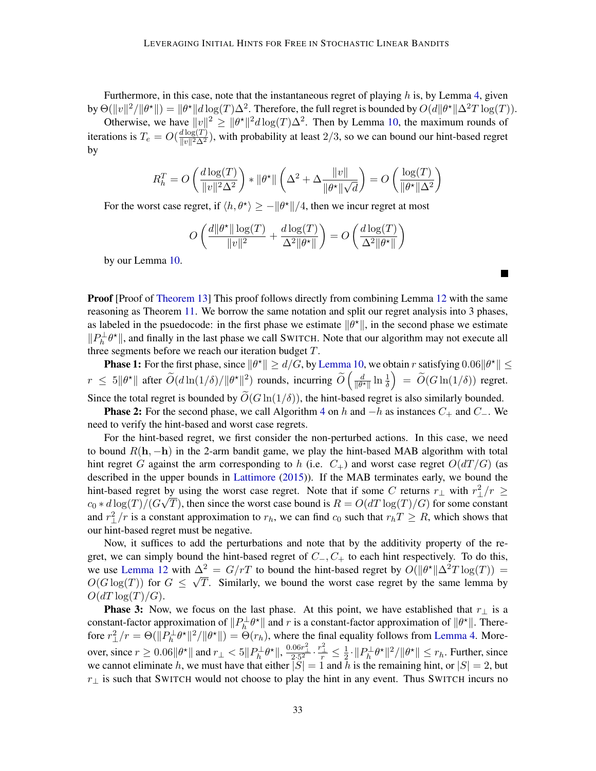Furthermore, in this case, note that the instantaneous regret of playing  $h$  is, by Lemma [4,](#page-6-3) given by  $\Theta(||v||^2/||\theta^*||) = ||\theta^*||d\log(T)\Delta^2$ . Therefore, the full regret is bounded by  $O(d||\theta^*||\Delta^2 T \log(T))$ .

Otherwise, we have  $||v||^2 \ge ||\theta^*||^2 d \log(T) \Delta^2$ . Then by Lemma [10,](#page-8-2) the maximum rounds of iterations is  $T_e = O(\frac{d \log(T)}{\log(T) \lambda^2})$  $\frac{d \log(T)}{\|v\|^2 \Delta^2}$ , with probability at least  $2/3$ , so we can bound our hint-based regret by

$$
R_h^T = O\left(\frac{d \log(T)}{\|v\|^2 \Delta^2}\right) * \|\theta^*\| \left(\Delta^2 + \Delta \frac{\|v\|}{\|\theta^*\| \sqrt{d}}\right) = O\left(\frac{\log(T)}{\|\theta^*\| \Delta^2}\right)
$$

For the worst case regret, if  $\langle h, \theta^* \rangle \ge -\|\theta^*\|/4$ , then we incur regret at most

$$
O\left(\frac{d\|\theta^{\star}\| \log(T)}{\|v\|^2} + \frac{d \log(T)}{\Delta^2 \|\theta^{\star}\|}\right) = O\left(\frac{d \log(T)}{\Delta^2 \|\theta^{\star}\|}\right)
$$

by our Lemma [10.](#page-8-2)

**Proof** [Proof of [Theorem 13\]](#page-11-0) This proof follows directly from combining Lemma [12](#page-11-1) with the same reasoning as Theorem [11.](#page-9-0) We borrow the same notation and split our regret analysis into 3 phases, as labeled in the psuedocode: in the first phase we estimate  $\|\theta^*\|$ , in the second phase we estimate  $||P_h^{\perp}\theta^{\star}||$ , and finally in the last phase we call SWITCH. Note that our algorithm may not execute all three segments before we reach our iteration budget T.

**Phase 1:** For the first phase, since  $\|\theta^*\| \ge d/G$ , by [Lemma 10,](#page-8-2) we obtain r satisfying  $0.06\|\theta^*\| \le$  $r \leq 5\|\theta^{\star}\|$  after  $\widetilde{O}(d\ln(1/\delta)/\|\theta^{\star}\|^2)$  rounds, incurring  $\widetilde{O}\left(\frac{d}{\|\theta^{\star}\|}\right)$  $\frac{d}{\|\theta^\star\|}\ln\frac{1}{\delta}\Big) \ = \ \widetilde{O}(G\ln(1/\delta)) \,$  regret.

Since the total regret is bounded by  $\tilde{O}(G \ln(1/\delta))$ , the hint-based regret is also similarly bounded.

**Phase 2:** For the second phase, we call Algorithm [4](#page-28-0) on h and  $-h$  as instances  $C_+$  and  $C_-$ . We need to verify the hint-based and worst case regrets.

For the hint-based regret, we first consider the non-perturbed actions. In this case, we need to bound  $R(h, -h)$  in the 2-arm bandit game, we play the hint-based MAB algorithm with total hint regret G against the arm corresponding to h (i.e.  $C_{+}$ ) and worst case regret  $O(dT/G)$  (as described in the upper bounds in [Lattimore](#page-14-3) [\(2015\)](#page-14-3)). If the MAB terminates early, we bound the hint-based regret by using the worst case regret. Note that if some C returns  $r_{\perp}$  with  $r_{\perp}^2/r \geq$  $c_0 * d \log(T) / (G \sqrt{T})$ , then since the worst case bound is  $R = O(dT \log(T) / G)$  for some constant and  $r_{\perp}^2/r$  is a constant approximation to  $r_h$ , we can find  $c_0$  such that  $r_hT \geq R$ , which shows that our hint-based regret must be negative.

Now, it suffices to add the perturbations and note that by the additivity property of the regret, we can simply bound the hint-based regret of  $C_-, C_+$  to each hint respectively. To do this, we use [Lemma 12](#page-11-1) with  $\Delta^2 = G/rT$  to bound the hint-based regret by  $O(||\theta^*||\Delta^2 T \log(T)) =$  $O(G \log(T))$  for  $G \leq \sqrt{T}$ . Similarly, we bound the worst case regret by the same lemma by  $O(dT \log(T)/G)$ .

**Phase 3:** Now, we focus on the last phase. At this point, we have established that  $r_{\perp}$  is a constant-factor approximation of  $||P_h^{\perp}\theta^*||$  and r is a constant-factor approximation of  $||\theta^*||$ . Therefore  $r_\perp^2/r = \Theta(||P_h^{\perp} \theta^*||^2/||\theta^*||) = \Theta(r_h)$ , where the final equality follows from [Lemma 4.](#page-6-3) Moreover, since  $r \ge 0.06 \|\theta^{\star}\|$  and  $r_{\perp} < 5 \|P_h^{\perp}\theta^{\star}\|$ ,  $\frac{0.06r_1^2}{2 \cdot 5^2} \cdot \frac{r_1^2}{r} \le \frac{1}{2}$  $\frac{1}{2} \cdot ||P_h^{\perp} \theta^{\star}||^2 / ||\theta^{\star}|| \leq r_h$ . Further, since we cannot eliminate h, we must have that either  $|S| = 1$  and h is the remaining hint, or  $|S| = 2$ , but  $r_{\perp}$  is such that SWITCH would not choose to play the hint in any event. Thus SWITCH incurs no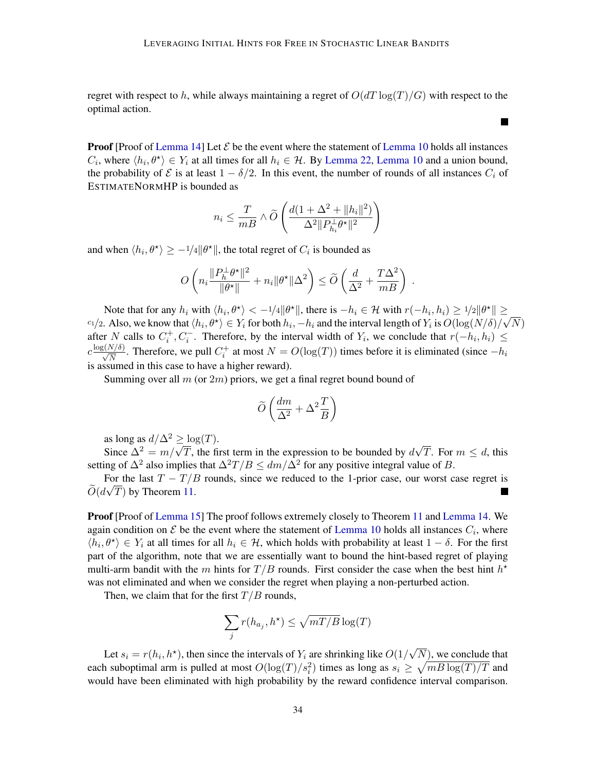regret with respect to h, while always maintaining a regret of  $O(dT \log(T)/G)$  with respect to the optimal action.

**Proof** [Proof of [Lemma 14\]](#page-12-1) Let  $\mathcal{E}$  be the event where the statement of [Lemma 10](#page-8-2) holds all instances  $C_i$ , where  $\langle h_i, \theta^* \rangle \in Y_i$  at all times for all  $h_i \in \mathcal{H}$ . By [Lemma 22,](#page-36-1) [Lemma 10](#page-8-2) and a union bound, the probability of  $\mathcal E$  is at least  $1 - \delta/2$ . In this event, the number of rounds of all instances  $C_i$  of ESTIMATENORMHP is bounded as

$$
n_i \leq \frac{T}{mB} \wedge \widetilde{O}\left(\frac{d(1+\Delta^2 + ||h_i||^2)}{\Delta^2 ||P_{h_i}^{\perp} \theta^{\star}||^2}\right)
$$

and when  $\langle h_i, \theta^* \rangle \ge -1/4 \|\theta^*\|$ , the total regret of  $C_i$  is bounded as

$$
O\left(n_i\frac{\|P_h^{\perp}\theta^{\star}\|^2}{\|\theta^{\star}\|}+n_i\|\theta^{\star}\|\Delta^2\right)\leq \widetilde{O}\left(\frac{d}{\Delta^2}+\frac{T\Delta^2}{mB}\right)\;.
$$

Note that for any  $h_i$  with  $\langle h_i, \theta^* \rangle < -1/4 ||\theta^*||$ , there is  $-h_i \in \mathcal{H}$  with  $r(-h_i, h_i) \geq 1/2 ||\theta^*|| \geq$  $c_1/2$ . Also, we know that  $\langle h_i, \theta^{\star} \rangle \in Y_i$  for both  $h_i, -h_i$  and the interval length of  $Y_i$  is  $O(\log(N/\delta)/\sqrt{N})$ after N calls to  $C_i^+, C_i^-$ . Therefore, by the interval width of  $Y_i$ , we conclude that  $r(-h_i, h_i) \leq$  $c \frac{\log(N/\delta)}{\sqrt{N}}$ . Therefore, we pull  $C_i^+$  at most  $N = O(\log(T))$  times before it is eliminated (since  $-h_i$ is assumed in this case to have a higher reward).

Summing over all  $m$  (or  $2m$ ) priors, we get a final regret bound bound of

$$
\widetilde{O}\left(\frac{dm}{\Delta^2} + \Delta^2 \frac{T}{B}\right)
$$

as long as  $d/\Delta^2 \geq \log(T)$ .

as long as  $a/\Delta^2 \ge \log(T)$ .<br>Since  $\Delta^2 = m/\sqrt{T}$ , the first term in the expression to be bounded by d √ T. For  $m \leq d$ , this setting of  $\Delta^2$  also implies that  $\Delta^2 T/B \le dm/\Delta^2$  for any positive integral value of B.

For the last  $T - T/B$  rounds, since we reduced to the 1-prior case, our worst case regret is  $O(d\sqrt{T})$  by Theorem [11.](#page-9-0) L.

Proof [Proof of [Lemma 15\]](#page-12-0) The proof follows extremely closely to Theorem [11](#page-9-0) and [Lemma 14.](#page-12-1) We again condition on  $\mathcal E$  be the event where the statement of [Lemma 10](#page-8-2) holds all instances  $C_i$ , where  $\langle h_i, \theta^* \rangle \in Y_i$  at all times for all  $h_i \in \mathcal{H}$ , which holds with probability at least  $1 - \delta$ . For the first part of the algorithm, note that we are essentially want to bound the hint-based regret of playing multi-arm bandit with the m hints for  $T/B$  rounds. First consider the case when the best hint  $h^*$ was not eliminated and when we consider the regret when playing a non-perturbed action.

Then, we claim that for the first  $T/B$  rounds,

$$
\sum_j r(h_{a_j}, h^\star) \le \sqrt{mT/B} \log(T)
$$

Let  $s_i = r(h_i, h^*)$ , then since the intervals of  $Y_i$  are shrinking like  $O(1/h^*)$ √  $(N)$ , we conclude that each suboptimal arm is pulled at most  $O(\log(T)/s_i^2)$  times as long as  $s_i \ge \sqrt{mB \log(T)/T}$  and would have been eliminated with high probability by the reward confidence interval comparison.

**College**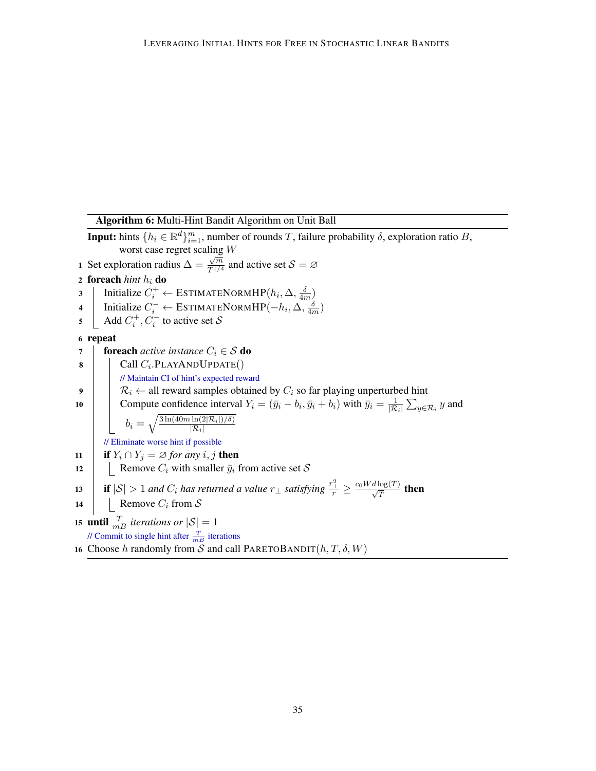<span id="page-34-0"></span>Algorithm 6: Multi-Hint Bandit Algorithm on Unit Ball **Input:** hints  $\{h_i \in \mathbb{R}^d\}_{i=1}^m$ , number of rounds T, failure probability  $\delta$ , exploration ratio B, worst case regret scaling W 1 Set exploration radius  $\Delta =$  $\frac{\sqrt{m}}{T^{1/4}}$  and active set  $S = \emptyset$ 2 foreach  $\frac{h}{h}$  do 3 | Initialize  $C_i^+ \leftarrow \text{ESTIMATENORMHP}(h_i, \Delta, \frac{\delta}{4n})$  $\frac{\delta}{4m}$ ) 4 Initialize  $C_i^- \leftarrow \text{ESTIMATED}$   $\text{MHP}(-h_i, \Delta, \frac{\delta}{4n})$  $\frac{\delta}{4m}$ 5  $\Box$  Add  $C_i^+, C_i^-$  to active set S 6 repeat 7 **foreach** *active instance*  $C_i \in S$  **do** 8 | Call  $C_i$ .PLAYANDUPDATE $()$ // Maintain CI of hint's expected reward 9  $\left| \quad \right| \quad \mathcal{R}_i \leftarrow$  all reward samples obtained by  $C_i$  so far playing unperturbed hint 10 Compute confidence interval  $Y_i = (\bar{y}_i - b_i, \bar{y}_i + b_i)$  with  $\bar{y}_i = \frac{1}{|\mathcal{R}|}$  $\frac{1}{|{\mathcal{R}}_i|}\sum_{y\in {\mathcal{R}}_i} y$  and  $b_i = \sqrt{\frac{3 \ln(40 m \ln(2\vert \mathcal{R}_i\vert)/\delta)}{\vert \mathcal{R}_i\vert}}$  $|\mathcal{R}_i|$ // Eliminate worse hint if possible 11 **if**  $Y_i \cap Y_j = \emptyset$  *for any i*, *j* then 12 | Remove  $C_i$  with smaller  $\bar{y}_i$  from active set S 13 if  $|{\cal S}| > 1$  *and*  $C_i$  *has returned a value*  $r_{\perp}$  *satisfying*  $\frac{r_{\perp}^2}{r} \ge \frac{c_0 W d \log(T)}{\sqrt{T}}$  then 14 | Remove  $C_i$  from  $S$ **15 until**  $\frac{T}{mB}$  *iterations or*  $|\mathcal{S}| = 1$ // Commit to single hint after  $\frac{T}{mB}$  iterations 16 Choose h randomly from S and call PARETOBANDIT( $h, T, \delta, W$ )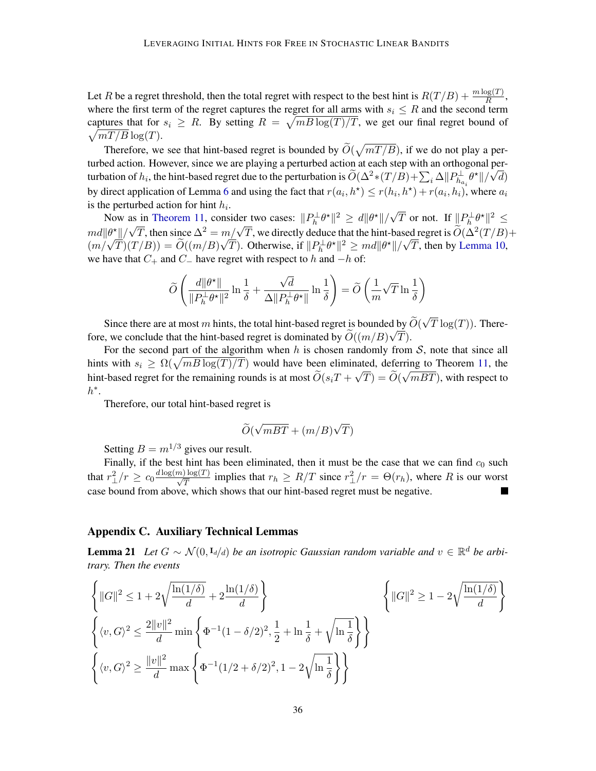Let R be a regret threshold, then the total regret with respect to the best hint is  $R(T/B) + \frac{m \log(T)}{R}$ , where the first term of the regret captures the regret for all arms with  $s_i \leq R$  and the second term captures that for  $s_i \geq R$ . By setting  $R = \sqrt{mB \log(T)/T}$ , we get our final regret bound of  $\sqrt{mT/B} \log(T)$ .

Therefore, we see that hint-based regret is bounded by  $\widetilde{O}(\sqrt{mT/B})$ , if we do not play a perturbed action. However, since we are playing a perturbed action at each step with an orthogonal perturbation of  $h_i$ , the hint-based regret due to the perturbation is  $\widetilde{O}(\Delta^2 * (T/B) + \sum_i \Delta ||P^{\perp}_{h_{a_i}} \theta^*||/\sqrt{2}$ d) by direct application of Lemma [6](#page-7-2) and using the fact that  $r(a_i, h^*) \le r(h_i, h^*) + r(a_i, h_i)$ , where  $a_i$ is the perturbed action for hint  $h_i$ .

Now as in [Theorem 11,](#page-9-0) consider two cases:  $||P_h^{\perp} \theta^*||^2 \ge d||\theta^*||/\sqrt{2}$ as in Theorem 11, consider two cases:  $||P_h^{\perp} \theta^*||^2 \geq d||\theta^*||/\sqrt{T}$  or not. If  $||P_h^{\perp} \theta^*||^2 \leq$ Now as in Theorem 11, consider two cases.  $||I_h v|| \ge a||v||/vI$  of not. If  $||I_h v|| \ge$ <br>  $m d||\theta^*||/\sqrt{T}$ , then since  $\Delta^2 = m/\sqrt{T}$ , we directly deduce that the hint-based regret is  $\widetilde{O}(\Delta^2(T/B)+$  $\lim_{(m/\sqrt{T})(T/B)}$  =  $\widetilde{O}((m/B)\sqrt{T})$ . Otherwise, if  $||P_h^{\perp}\theta^*||^2 \geq md||\theta^*||/\sqrt{T}$ , then by [Lemma 10,](#page-8-2) we have that  $C_+$  and  $C_-$  have regret with respect to h and  $-h$  of:

$$
\widetilde{O}\left(\frac{d\|\theta^{\star}\|}{\|P_h^{\perp}\theta^{\star}\|^2}\ln\frac{1}{\delta}+\frac{\sqrt{d}}{\Delta\|P_h^{\perp}\theta^{\star}\|}\ln\frac{1}{\delta}\right)=\widetilde{O}\left(\frac{1}{m}\sqrt{T}\ln\frac{1}{\delta}\right)
$$

Since there are at most m hints, the total hint-based regret is bounded by  $O(\frac{m}{\sqrt{N}})$ √ d by  $O(\sqrt{T \log(T)})$ . Therefore, we conclude that the hint-based regret is dominated by  $O((m/B)\sqrt{T})$ .

For the second part of the algorithm when h is chosen randomly from  $S$ , note that since all hints with  $s_i \ge \Omega(\sqrt{mB \log(T)/T})$  would have been eliminated, deferring to Theorem [11,](#page-9-0) the hint-based regret for the remaining rounds is at most  $O(s_iT + \sqrt{T}) = O(\sqrt{mBT})$ , with respect to  $h^*$ .

Therefore, our total hint-based regret is

$$
\widetilde{O}(\sqrt{mBT} + (m/B)\sqrt{T})
$$

Setting  $B = m^{1/3}$  gives our result.

Finally, if the best hint has been eliminated, then it must be the case that we can find  $c_0$  such that  $r_\perp^2/r \ge c_0 \frac{d \log(m) \log(T)}{\sqrt{T}}$  implies that  $r_h \ge R/T$  since  $r_\perp^2/r = \Theta(r_h)$ , where R is our worst case bound from above, which shows that our hint-based regret must be negative.

## <span id="page-35-0"></span>Appendix C. Auxiliary Technical Lemmas

<span id="page-35-1"></span>**Lemma 21** Let  $G \sim \mathcal{N}(0, I_d/d)$  be an isotropic Gaussian random variable and  $v \in \mathbb{R}^d$  be arbi*trary. Then the events*

$$
\left\{ ||G||^2 \le 1 + 2\sqrt{\frac{\ln(1/\delta)}{d}} + 2\frac{\ln(1/\delta)}{d} \right\} \qquad \left\{ ||G||^2 \ge 1 - 2\sqrt{\frac{\ln(1/\delta)}{d}} \right\}
$$
  

$$
\left\{ \langle v, G \rangle^2 \le \frac{2||v||^2}{d} \min \left\{ \Phi^{-1}(1 - \delta/2)^2, \frac{1}{2} + \ln \frac{1}{\delta} + \sqrt{\ln \frac{1}{\delta}} \right\} \right\}
$$
  

$$
\left\{ \langle v, G \rangle^2 \ge \frac{||v||^2}{d} \max \left\{ \Phi^{-1}(1/2 + \delta/2)^2, 1 - 2\sqrt{\ln \frac{1}{\delta}} \right\} \right\}
$$